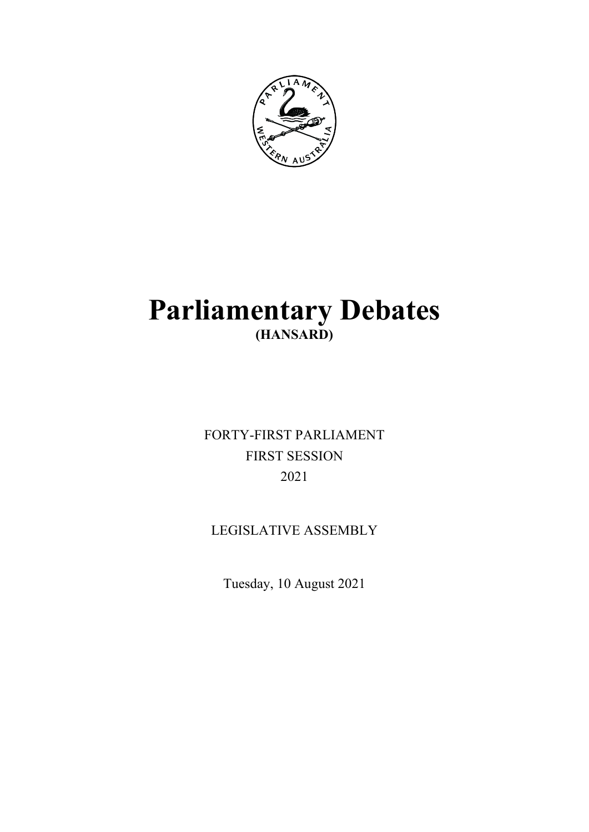

# **Parliamentary Debates (HANSARD)**

FORTY-FIRST PARLIAMENT FIRST SESSION 2021

LEGISLATIVE ASSEMBLY

Tuesday, 10 August 2021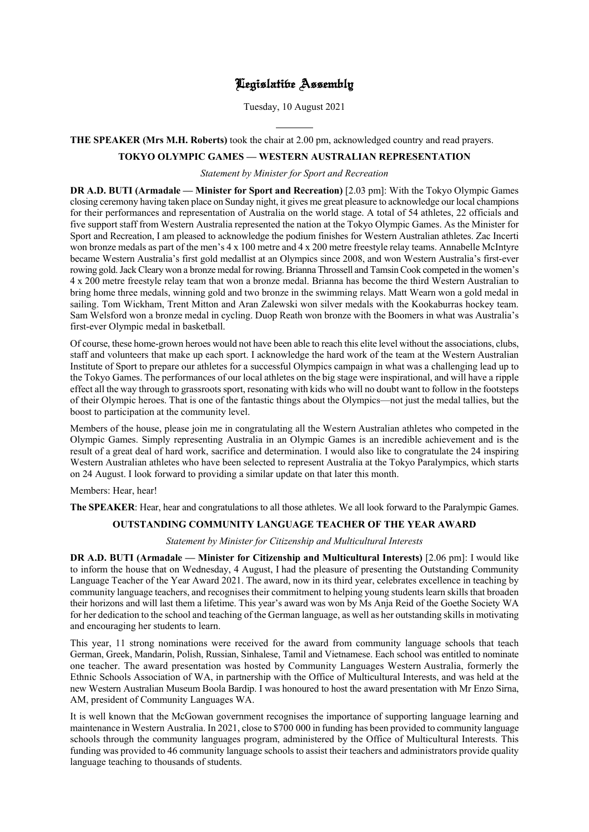# Legislative Assembly

Tuesday, 10 August 2021

# **THE SPEAKER (Mrs M.H. Roberts)** took the chair at 2.00 pm, acknowledged country and read prayers.

l

## **TOKYO OLYMPIC GAMES — WESTERN AUSTRALIAN REPRESENTATION**

## *Statement by Minister for Sport and Recreation*

**DR A.D. BUTI (Armadale — Minister for Sport and Recreation)** [2.03 pm]: With the Tokyo Olympic Games closing ceremony having taken place on Sunday night, it gives me great pleasure to acknowledge our local champions for their performances and representation of Australia on the world stage. A total of 54 athletes, 22 officials and five support staff from Western Australia represented the nation at the Tokyo Olympic Games. As the Minister for Sport and Recreation, I am pleased to acknowledge the podium finishes for Western Australian athletes. Zac Incerti won bronze medals as part of the men's 4 x 100 metre and 4 x 200 metre freestyle relay teams. Annabelle McIntyre became Western Australia's first gold medallist at an Olympics since 2008, and won Western Australia's first-ever rowing gold. Jack Cleary won a bronze medal for rowing. Brianna Throssell and Tamsin Cook competed in the women's 4 x 200 metre freestyle relay team that won a bronze medal. Brianna has become the third Western Australian to bring home three medals, winning gold and two bronze in the swimming relays. Matt Wearn won a gold medal in sailing. Tom Wickham, Trent Mitton and Aran Zalewski won silver medals with the Kookaburras hockey team. Sam Welsford won a bronze medal in cycling. Duop Reath won bronze with the Boomers in what was Australia's first-ever Olympic medal in basketball.

Of course, these home-grown heroes would not have been able to reach this elite level without the associations, clubs, staff and volunteers that make up each sport. I acknowledge the hard work of the team at the Western Australian Institute of Sport to prepare our athletes for a successful Olympics campaign in what was a challenging lead up to the Tokyo Games. The performances of our local athletes on the big stage were inspirational, and will have a ripple effect all the way through to grassroots sport, resonating with kids who will no doubt want to follow in the footsteps of their Olympic heroes. That is one of the fantastic things about the Olympics—not just the medal tallies, but the boost to participation at the community level.

Members of the house, please join me in congratulating all the Western Australian athletes who competed in the Olympic Games. Simply representing Australia in an Olympic Games is an incredible achievement and is the result of a great deal of hard work, sacrifice and determination. I would also like to congratulate the 24 inspiring Western Australian athletes who have been selected to represent Australia at the Tokyo Paralympics, which starts on 24 August. I look forward to providing a similar update on that later this month.

Members: Hear, hear!

**The SPEAKER**: Hear, hear and congratulations to all those athletes. We all look forward to the Paralympic Games.

## **OUTSTANDING COMMUNITY LANGUAGE TEACHER OF THE YEAR AWARD**

*Statement by Minister for Citizenship and Multicultural Interests*

**DR A.D. BUTI (Armadale — Minister for Citizenship and Multicultural Interests)** [2.06 pm]: I would like to inform the house that on Wednesday, 4 August, I had the pleasure of presenting the Outstanding Community Language Teacher of the Year Award 2021. The award, now in its third year, celebrates excellence in teaching by community language teachers, and recognises their commitment to helping young students learn skills that broaden their horizons and will last them a lifetime. This year's award was won by Ms Anja Reid of the Goethe Society WA for her dedication to the school and teaching of the German language, as well as her outstanding skills in motivating and encouraging her students to learn.

This year, 11 strong nominations were received for the award from community language schools that teach German, Greek, Mandarin, Polish, Russian, Sinhalese, Tamil and Vietnamese. Each school was entitled to nominate one teacher. The award presentation was hosted by Community Languages Western Australia, formerly the Ethnic Schools Association of WA, in partnership with the Office of Multicultural Interests, and was held at the new Western Australian Museum Boola Bardip. I was honoured to host the award presentation with Mr Enzo Sirna, AM, president of Community Languages WA.

It is well known that the McGowan government recognises the importance of supporting language learning and maintenance in Western Australia. In 2021, close to \$700 000 in funding has been provided to community language schools through the community languages program, administered by the Office of Multicultural Interests. This funding was provided to 46 community language schools to assist their teachers and administrators provide quality language teaching to thousands of students.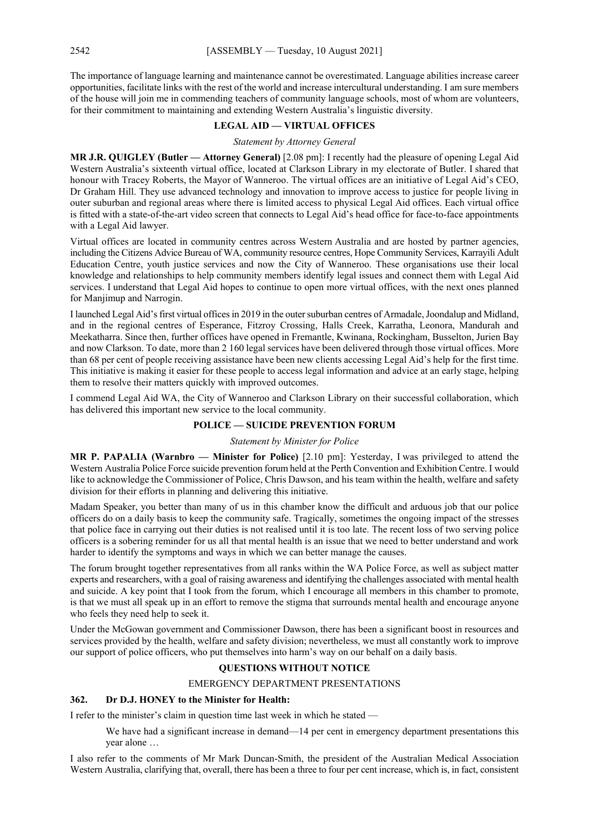The importance of language learning and maintenance cannot be overestimated. Language abilities increase career opportunities, facilitate links with the rest of the world and increase intercultural understanding. I am sure members of the house will join me in commending teachers of community language schools, most of whom are volunteers, for their commitment to maintaining and extending Western Australia's linguistic diversity.

## **LEGAL AID — VIRTUAL OFFICES**

#### *Statement by Attorney General*

**MR J.R. QUIGLEY (Butler — Attorney General)** [2.08 pm]: I recently had the pleasure of opening Legal Aid Western Australia's sixteenth virtual office, located at Clarkson Library in my electorate of Butler. I shared that honour with Tracey Roberts, the Mayor of Wanneroo. The virtual offices are an initiative of Legal Aid's CEO, Dr Graham Hill. They use advanced technology and innovation to improve access to justice for people living in outer suburban and regional areas where there is limited access to physical Legal Aid offices. Each virtual office is fitted with a state-of-the-art video screen that connects to Legal Aid's head office for face-to-face appointments with a Legal Aid lawyer.

Virtual offices are located in community centres across Western Australia and are hosted by partner agencies, including the Citizens Advice Bureau of WA, community resource centres, Hope Community Services, Karrayili Adult Education Centre, youth justice services and now the City of Wanneroo. These organisations use their local knowledge and relationships to help community members identify legal issues and connect them with Legal Aid services. I understand that Legal Aid hopes to continue to open more virtual offices, with the next ones planned for Manjimup and Narrogin.

I launched Legal Aid's first virtual offices in 2019 in the outer suburban centres of Armadale, Joondalup and Midland, and in the regional centres of Esperance, Fitzroy Crossing, Halls Creek, Karratha, Leonora, Mandurah and Meekatharra. Since then, further offices have opened in Fremantle, Kwinana, Rockingham, Busselton, Jurien Bay and now Clarkson. To date, more than 2 160 legal services have been delivered through those virtual offices. More than 68 per cent of people receiving assistance have been new clients accessing Legal Aid's help for the first time. This initiative is making it easier for these people to access legal information and advice at an early stage, helping them to resolve their matters quickly with improved outcomes.

I commend Legal Aid WA, the City of Wanneroo and Clarkson Library on their successful collaboration, which has delivered this important new service to the local community.

## **POLICE — SUICIDE PREVENTION FORUM**

## *Statement by Minister for Police*

**MR P. PAPALIA (Warnbro — Minister for Police)** [2.10 pm]: Yesterday, I was privileged to attend the Western Australia Police Force suicide prevention forum held at the Perth Convention and Exhibition Centre. I would like to acknowledge the Commissioner of Police, Chris Dawson, and his team within the health, welfare and safety division for their efforts in planning and delivering this initiative.

Madam Speaker, you better than many of us in this chamber know the difficult and arduous job that our police officers do on a daily basis to keep the community safe. Tragically, sometimes the ongoing impact of the stresses that police face in carrying out their duties is not realised until it is too late. The recent loss of two serving police officers is a sobering reminder for us all that mental health is an issue that we need to better understand and work harder to identify the symptoms and ways in which we can better manage the causes.

The forum brought together representatives from all ranks within the WA Police Force, as well as subject matter experts and researchers, with a goal of raising awareness and identifying the challenges associated with mental health and suicide. A key point that I took from the forum, which I encourage all members in this chamber to promote, is that we must all speak up in an effort to remove the stigma that surrounds mental health and encourage anyone who feels they need help to seek it.

Under the McGowan government and Commissioner Dawson, there has been a significant boost in resources and services provided by the health, welfare and safety division; nevertheless, we must all constantly work to improve our support of police officers, who put themselves into harm's way on our behalf on a daily basis.

## **QUESTIONS WITHOUT NOTICE**

## EMERGENCY DEPARTMENT PRESENTATIONS

## **362. Dr D.J. HONEY to the Minister for Health:**

I refer to the minister's claim in question time last week in which he stated —

We have had a significant increase in demand—14 per cent in emergency department presentations this year alone …

I also refer to the comments of Mr Mark Duncan-Smith, the president of the Australian Medical Association Western Australia, clarifying that, overall, there has been a three to four per cent increase, which is, in fact, consistent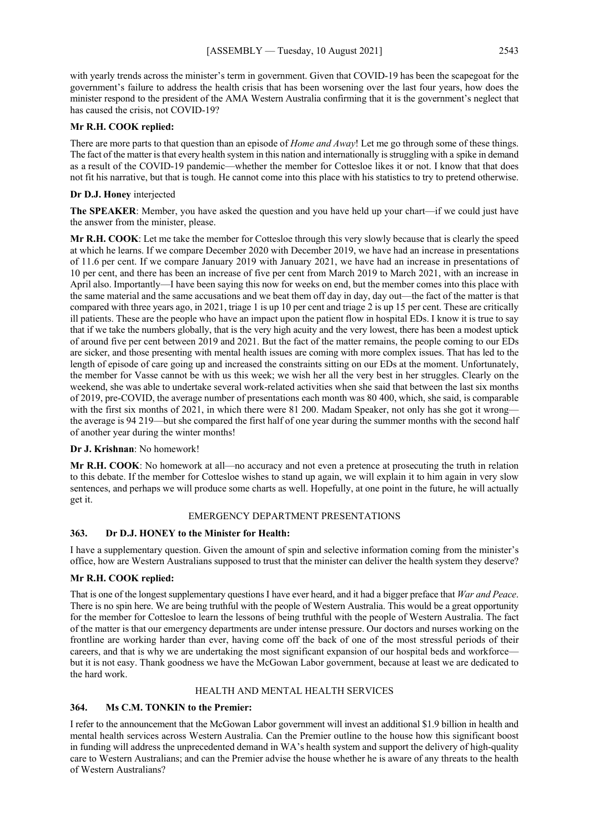with yearly trends across the minister's term in government. Given that COVID-19 has been the scapegoat for the government's failure to address the health crisis that has been worsening over the last four years, how does the minister respond to the president of the AMA Western Australia confirming that it is the government's neglect that has caused the crisis, not COVID-19?

## **Mr R.H. COOK replied:**

There are more parts to that question than an episode of *Home and Away*! Let me go through some of these things. The fact of the matter is that every health system in this nation and internationally is struggling with a spike in demand as a result of the COVID-19 pandemic—whether the member for Cottesloe likes it or not. I know that that does not fit his narrative, but that is tough. He cannot come into this place with his statistics to try to pretend otherwise.

## **Dr D.J. Honey** interjected

**The SPEAKER**: Member, you have asked the question and you have held up your chart—if we could just have the answer from the minister, please.

**Mr R.H. COOK**: Let me take the member for Cottesloe through this very slowly because that is clearly the speed at which he learns. If we compare December 2020 with December 2019, we have had an increase in presentations of 11.6 per cent. If we compare January 2019 with January 2021, we have had an increase in presentations of 10 per cent, and there has been an increase of five per cent from March 2019 to March 2021, with an increase in April also. Importantly—I have been saying this now for weeks on end, but the member comes into this place with the same material and the same accusations and we beat them off day in day, day out—the fact of the matter is that compared with three years ago, in 2021, triage 1 is up 10 per cent and triage 2 is up 15 per cent. These are critically ill patients. These are the people who have an impact upon the patient flow in hospital EDs. I know it is true to say that if we take the numbers globally, that is the very high acuity and the very lowest, there has been a modest uptick of around five per cent between 2019 and 2021. But the fact of the matter remains, the people coming to our EDs are sicker, and those presenting with mental health issues are coming with more complex issues. That has led to the length of episode of care going up and increased the constraints sitting on our EDs at the moment. Unfortunately, the member for Vasse cannot be with us this week; we wish her all the very best in her struggles. Clearly on the weekend, she was able to undertake several work-related activities when she said that between the last six months of 2019, pre-COVID, the average number of presentations each month was 80 400, which, she said, is comparable with the first six months of 2021, in which there were 81 200. Madam Speaker, not only has she got it wrongthe average is 94 219—but she compared the first half of one year during the summer months with the second half of another year during the winter months!

## **Dr J. Krishnan**: No homework!

**Mr R.H. COOK**: No homework at all—no accuracy and not even a pretence at prosecuting the truth in relation to this debate. If the member for Cottesloe wishes to stand up again, we will explain it to him again in very slow sentences, and perhaps we will produce some charts as well. Hopefully, at one point in the future, he will actually get it.

## EMERGENCY DEPARTMENT PRESENTATIONS

## **363. Dr D.J. HONEY to the Minister for Health:**

I have a supplementary question. Given the amount of spin and selective information coming from the minister's office, how are Western Australians supposed to trust that the minister can deliver the health system they deserve?

## **Mr R.H. COOK replied:**

That is one of the longest supplementary questions I have ever heard, and it had a bigger preface that *War and Peace*. There is no spin here. We are being truthful with the people of Western Australia. This would be a great opportunity for the member for Cottesloe to learn the lessons of being truthful with the people of Western Australia. The fact of the matter is that our emergency departments are under intense pressure. Our doctors and nurses working on the frontline are working harder than ever, having come off the back of one of the most stressful periods of their careers, and that is why we are undertaking the most significant expansion of our hospital beds and workforce but it is not easy. Thank goodness we have the McGowan Labor government, because at least we are dedicated to the hard work.

## HEALTH AND MENTAL HEALTH SERVICES

## **364. Ms C.M. TONKIN to the Premier:**

I refer to the announcement that the McGowan Labor government will invest an additional \$1.9 billion in health and mental health services across Western Australia. Can the Premier outline to the house how this significant boost in funding will address the unprecedented demand in WA's health system and support the delivery of high-quality care to Western Australians; and can the Premier advise the house whether he is aware of any threats to the health of Western Australians?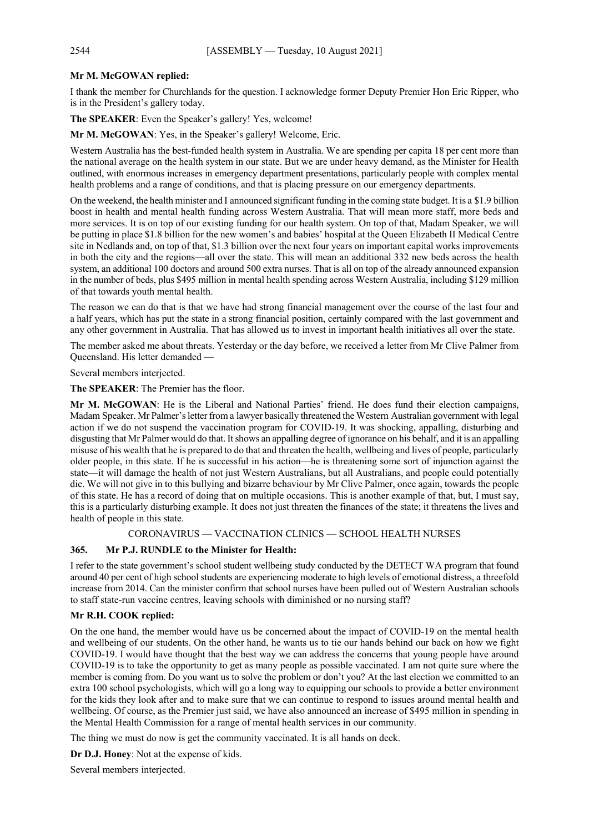## **Mr M. McGOWAN replied:**

I thank the member for Churchlands for the question. I acknowledge former Deputy Premier Hon Eric Ripper, who is in the President's gallery today.

**The SPEAKER**: Even the Speaker's gallery! Yes, welcome!

**Mr M. McGOWAN**: Yes, in the Speaker's gallery! Welcome, Eric.

Western Australia has the best-funded health system in Australia. We are spending per capita 18 per cent more than the national average on the health system in our state. But we are under heavy demand, as the Minister for Health outlined, with enormous increases in emergency department presentations, particularly people with complex mental health problems and a range of conditions, and that is placing pressure on our emergency departments.

On the weekend, the health minister and I announced significant funding in the coming state budget. It is a \$1.9 billion boost in health and mental health funding across Western Australia. That will mean more staff, more beds and more services. It is on top of our existing funding for our health system. On top of that, Madam Speaker, we will be putting in place \$1.8 billion for the new women's and babies' hospital at the Queen Elizabeth II Medical Centre site in Nedlands and, on top of that, \$1.3 billion over the next four years on important capital works improvements in both the city and the regions—all over the state. This will mean an additional 332 new beds across the health system, an additional 100 doctors and around 500 extra nurses. That is all on top of the already announced expansion in the number of beds, plus \$495 million in mental health spending across Western Australia, including \$129 million of that towards youth mental health.

The reason we can do that is that we have had strong financial management over the course of the last four and a half years, which has put the state in a strong financial position, certainly compared with the last government and any other government in Australia. That has allowed us to invest in important health initiatives all over the state.

The member asked me about threats. Yesterday or the day before, we received a letter from Mr Clive Palmer from Queensland. His letter demanded —

Several members interjected.

**The SPEAKER**: The Premier has the floor.

**Mr M. McGOWAN**: He is the Liberal and National Parties' friend. He does fund their election campaigns, Madam Speaker. Mr Palmer's letter from a lawyer basically threatened the Western Australian government with legal action if we do not suspend the vaccination program for COVID-19. It was shocking, appalling, disturbing and disgusting that Mr Palmer would do that. It shows an appalling degree of ignorance on his behalf, and it is an appalling misuse of his wealth that he is prepared to do that and threaten the health, wellbeing and lives of people, particularly older people, in this state. If he is successful in his action—he is threatening some sort of injunction against the state—it will damage the health of not just Western Australians, but all Australians, and people could potentially die. We will not give in to this bullying and bizarre behaviour by Mr Clive Palmer, once again, towards the people of this state. He has a record of doing that on multiple occasions. This is another example of that, but, I must say, this is a particularly disturbing example. It does not just threaten the finances of the state; it threatens the lives and health of people in this state.

## CORONAVIRUS — VACCINATION CLINICS — SCHOOL HEALTH NURSES

## **365. Mr P.J. RUNDLE to the Minister for Health:**

I refer to the state government's school student wellbeing study conducted by the DETECT WA program that found around 40 per cent of high school students are experiencing moderate to high levels of emotional distress, a threefold increase from 2014. Can the minister confirm that school nurses have been pulled out of Western Australian schools to staff state-run vaccine centres, leaving schools with diminished or no nursing staff?

## **Mr R.H. COOK replied:**

On the one hand, the member would have us be concerned about the impact of COVID-19 on the mental health and wellbeing of our students. On the other hand, he wants us to tie our hands behind our back on how we fight COVID-19. I would have thought that the best way we can address the concerns that young people have around COVID-19 is to take the opportunity to get as many people as possible vaccinated. I am not quite sure where the member is coming from. Do you want us to solve the problem or don't you? At the last election we committed to an extra 100 school psychologists, which will go a long way to equipping our schools to provide a better environment for the kids they look after and to make sure that we can continue to respond to issues around mental health and wellbeing. Of course, as the Premier just said, we have also announced an increase of \$495 million in spending in the Mental Health Commission for a range of mental health services in our community.

The thing we must do now is get the community vaccinated. It is all hands on deck.

**Dr D.J. Honey**: Not at the expense of kids.

Several members interjected.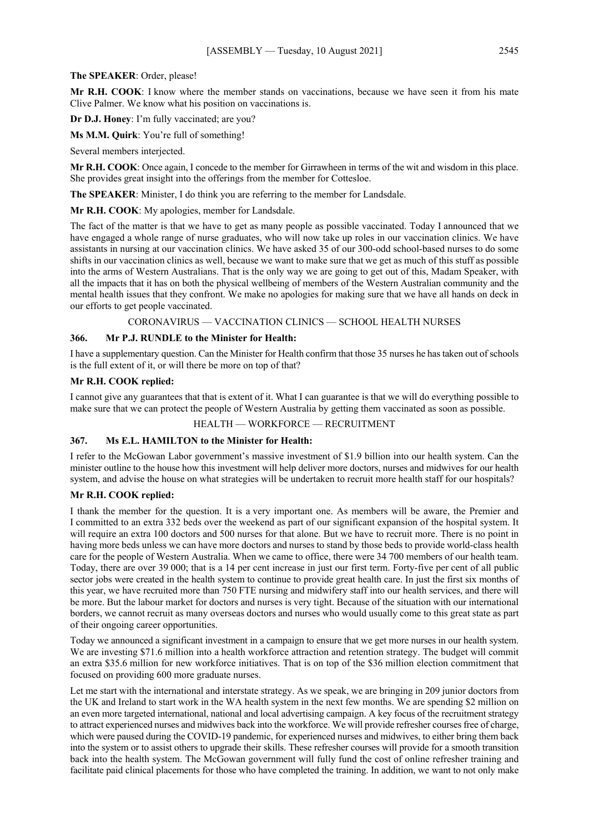#### **The SPEAKER**: Order, please!

**Mr R.H. COOK**: I know where the member stands on vaccinations, because we have seen it from his mate Clive Palmer. We know what his position on vaccinations is.

**Dr D.J. Honey**: I'm fully vaccinated; are you?

**Ms M.M. Quirk**: You're full of something!

Several members interjected.

**Mr R.H. COOK**: Once again, I concede to the member for Girrawheen in terms of the wit and wisdom in this place. She provides great insight into the offerings from the member for Cottesloe.

**The SPEAKER**: Minister, I do think you are referring to the member for Landsdale.

**Mr R.H. COOK**: My apologies, member for Landsdale.

The fact of the matter is that we have to get as many people as possible vaccinated. Today I announced that we have engaged a whole range of nurse graduates, who will now take up roles in our vaccination clinics. We have assistants in nursing at our vaccination clinics. We have asked 35 of our 300-odd school-based nurses to do some shifts in our vaccination clinics as well, because we want to make sure that we get as much of this stuff as possible into the arms of Western Australians. That is the only way we are going to get out of this, Madam Speaker, with all the impacts that it has on both the physical wellbeing of members of the Western Australian community and the mental health issues that they confront. We make no apologies for making sure that we have all hands on deck in our efforts to get people vaccinated.

CORONAVIRUS — VACCINATION CLINICS — SCHOOL HEALTH NURSES

## **366. Mr P.J. RUNDLE to the Minister for Health:**

I have a supplementary question. Can the Minister for Health confirm that those 35 nurses he has taken out of schools is the full extent of it, or will there be more on top of that?

## **Mr R.H. COOK replied:**

I cannot give any guarantees that that is extent of it. What I can guarantee is that we will do everything possible to make sure that we can protect the people of Western Australia by getting them vaccinated as soon as possible.

#### HEALTH — WORKFORCE — RECRUITMENT

## **367. Ms E.L. HAMILTON to the Minister for Health:**

I refer to the McGowan Labor government's massive investment of \$1.9 billion into our health system. Can the minister outline to the house how this investment will help deliver more doctors, nurses and midwives for our health system, and advise the house on what strategies will be undertaken to recruit more health staff for our hospitals?

## **Mr R.H. COOK replied:**

I thank the member for the question. It is a very important one. As members will be aware, the Premier and I committed to an extra 332 beds over the weekend as part of our significant expansion of the hospital system. It will require an extra 100 doctors and 500 nurses for that alone. But we have to recruit more. There is no point in having more beds unless we can have more doctors and nurses to stand by those beds to provide world-class health care for the people of Western Australia. When we came to office, there were 34 700 members of our health team. Today, there are over 39 000; that is a 14 per cent increase in just our first term. Forty-five per cent of all public sector jobs were created in the health system to continue to provide great health care. In just the first six months of this year, we have recruited more than 750 FTE nursing and midwifery staff into our health services, and there will be more. But the labour market for doctors and nurses is very tight. Because of the situation with our international borders, we cannot recruit as many overseas doctors and nurses who would usually come to this great state as part of their ongoing career opportunities.

Today we announced a significant investment in a campaign to ensure that we get more nurses in our health system. We are investing \$71.6 million into a health workforce attraction and retention strategy. The budget will commit an extra \$35.6 million for new workforce initiatives. That is on top of the \$36 million election commitment that focused on providing 600 more graduate nurses.

Let me start with the international and interstate strategy. As we speak, we are bringing in 209 junior doctors from the UK and Ireland to start work in the WA health system in the next few months. We are spending \$2 million on an even more targeted international, national and local advertising campaign. A key focus of the recruitment strategy to attract experienced nurses and midwives back into the workforce. We will provide refresher courses free of charge, which were paused during the COVID-19 pandemic, for experienced nurses and midwives, to either bring them back into the system or to assist others to upgrade their skills. These refresher courses will provide for a smooth transition back into the health system. The McGowan government will fully fund the cost of online refresher training and facilitate paid clinical placements for those who have completed the training. In addition, we want to not only make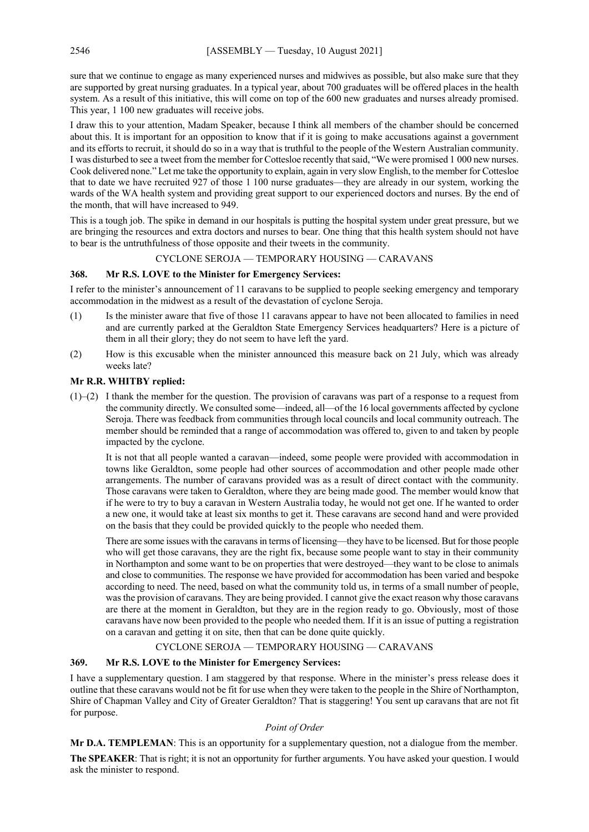sure that we continue to engage as many experienced nurses and midwives as possible, but also make sure that they are supported by great nursing graduates. In a typical year, about 700 graduates will be offered places in the health system. As a result of this initiative, this will come on top of the 600 new graduates and nurses already promised. This year, 1 100 new graduates will receive jobs.

I draw this to your attention, Madam Speaker, because I think all members of the chamber should be concerned about this. It is important for an opposition to know that if it is going to make accusations against a government and its efforts to recruit, it should do so in a way that is truthful to the people of the Western Australian community. I was disturbed to see a tweet from the member for Cottesloe recently that said, "We were promised 1 000 new nurses. Cook delivered none." Let me take the opportunity to explain, again in very slow English, to the member for Cottesloe that to date we have recruited 927 of those 1 100 nurse graduates—they are already in our system, working the wards of the WA health system and providing great support to our experienced doctors and nurses. By the end of the month, that will have increased to 949.

This is a tough job. The spike in demand in our hospitals is putting the hospital system under great pressure, but we are bringing the resources and extra doctors and nurses to bear. One thing that this health system should not have to bear is the untruthfulness of those opposite and their tweets in the community.

## CYCLONE SEROJA — TEMPORARY HOUSING — CARAVANS

## **368. Mr R.S. LOVE to the Minister for Emergency Services:**

I refer to the minister's announcement of 11 caravans to be supplied to people seeking emergency and temporary accommodation in the midwest as a result of the devastation of cyclone Seroja.

- (1) Is the minister aware that five of those 11 caravans appear to have not been allocated to families in need and are currently parked at the Geraldton State Emergency Services headquarters? Here is a picture of them in all their glory; they do not seem to have left the yard.
- (2) How is this excusable when the minister announced this measure back on 21 July, which was already weeks late?

## **Mr R.R. WHITBY replied:**

 $(1)$ – $(2)$  I thank the member for the question. The provision of caravans was part of a response to a request from the community directly. We consulted some—indeed, all—of the 16 local governments affected by cyclone Seroja. There was feedback from communities through local councils and local community outreach. The member should be reminded that a range of accommodation was offered to, given to and taken by people impacted by the cyclone.

It is not that all people wanted a caravan—indeed, some people were provided with accommodation in towns like Geraldton, some people had other sources of accommodation and other people made other arrangements. The number of caravans provided was as a result of direct contact with the community. Those caravans were taken to Geraldton, where they are being made good. The member would know that if he were to try to buy a caravan in Western Australia today, he would not get one. If he wanted to order a new one, it would take at least six months to get it. These caravans are second hand and were provided on the basis that they could be provided quickly to the people who needed them.

There are some issues with the caravans in terms of licensing—they have to be licensed. But for those people who will get those caravans, they are the right fix, because some people want to stay in their community in Northampton and some want to be on properties that were destroyed—they want to be close to animals and close to communities. The response we have provided for accommodation has been varied and bespoke according to need. The need, based on what the community told us, in terms of a small number of people, was the provision of caravans. They are being provided. I cannot give the exact reason why those caravans are there at the moment in Geraldton, but they are in the region ready to go. Obviously, most of those caravans have now been provided to the people who needed them. If it is an issue of putting a registration on a caravan and getting it on site, then that can be done quite quickly.

## CYCLONE SEROJA — TEMPORARY HOUSING — CARAVANS

#### **369. Mr R.S. LOVE to the Minister for Emergency Services:**

I have a supplementary question. I am staggered by that response. Where in the minister's press release does it outline that these caravans would not be fit for use when they were taken to the people in the Shire of Northampton, Shire of Chapman Valley and City of Greater Geraldton? That is staggering! You sent up caravans that are not fit for purpose.

#### *Point of Order*

**Mr D.A. TEMPLEMAN**: This is an opportunity for a supplementary question, not a dialogue from the member.

**The SPEAKER**: That is right; it is not an opportunity for further arguments. You have asked your question. I would ask the minister to respond.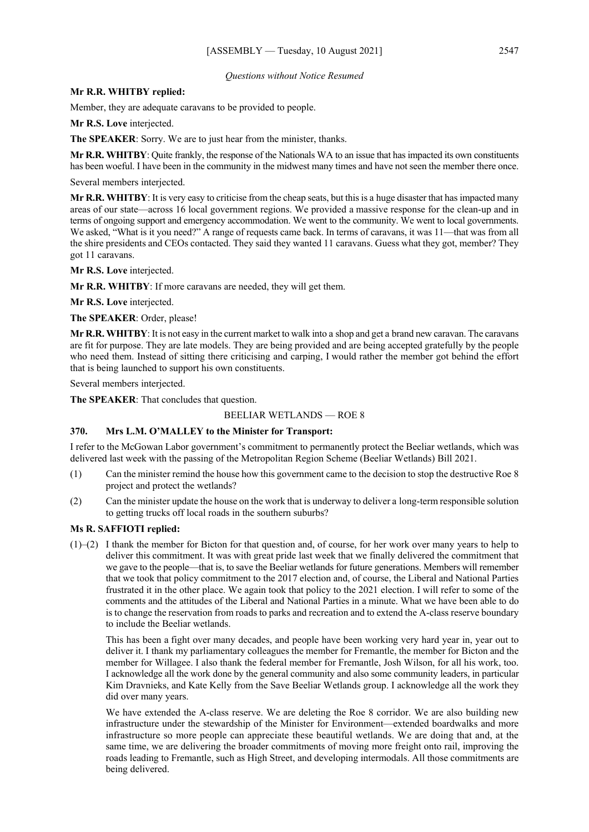#### *Questions without Notice Resumed*

## **Mr R.R. WHITBY replied:**

Member, they are adequate caravans to be provided to people.

**Mr R.S. Love** interjected.

**The SPEAKER**: Sorry. We are to just hear from the minister, thanks.

**Mr R.R. WHITBY**: Quite frankly, the response of the Nationals WA to an issue that has impacted its own constituents has been woeful. I have been in the community in the midwest many times and have not seen the member there once.

Several members interjected.

**Mr R.R. WHITBY**: It is very easy to criticise from the cheap seats, but this is a huge disaster that has impacted many areas of our state—across 16 local government regions. We provided a massive response for the clean-up and in terms of ongoing support and emergency accommodation. We went to the community. We went to local governments. We asked, "What is it you need?" A range of requests came back. In terms of caravans, it was 11—that was from all the shire presidents and CEOs contacted. They said they wanted 11 caravans. Guess what they got, member? They got 11 caravans.

**Mr R.S. Love** interjected.

**Mr R.R. WHITBY**: If more caravans are needed, they will get them.

**Mr R.S. Love** interjected.

**The SPEAKER**: Order, please!

**Mr R.R. WHITBY**: It is not easy in the current market to walk into a shop and get a brand new caravan. The caravans are fit for purpose. They are late models. They are being provided and are being accepted gratefully by the people who need them. Instead of sitting there criticising and carping, I would rather the member got behind the effort that is being launched to support his own constituents.

Several members interjected.

**The SPEAKER**: That concludes that question.

BEELIAR WETLANDS — ROE 8

## **370. Mrs L.M. O'MALLEY to the Minister for Transport:**

I refer to the McGowan Labor government's commitment to permanently protect the Beeliar wetlands, which was delivered last week with the passing of the Metropolitan Region Scheme (Beeliar Wetlands) Bill 2021.

- (1) Can the minister remind the house how this government came to the decision to stop the destructive Roe 8 project and protect the wetlands?
- (2) Can the minister update the house on the work that is underway to deliver a long-term responsible solution to getting trucks off local roads in the southern suburbs?

## **Ms R. SAFFIOTI replied:**

(1)–(2) I thank the member for Bicton for that question and, of course, for her work over many years to help to deliver this commitment. It was with great pride last week that we finally delivered the commitment that we gave to the people—that is, to save the Beeliar wetlands for future generations. Members will remember that we took that policy commitment to the 2017 election and, of course, the Liberal and National Parties frustrated it in the other place. We again took that policy to the 2021 election. I will refer to some of the comments and the attitudes of the Liberal and National Parties in a minute. What we have been able to do is to change the reservation from roads to parks and recreation and to extend the A-class reserve boundary to include the Beeliar wetlands.

This has been a fight over many decades, and people have been working very hard year in, year out to deliver it. I thank my parliamentary colleagues the member for Fremantle, the member for Bicton and the member for Willagee. I also thank the federal member for Fremantle, Josh Wilson, for all his work, too. I acknowledge all the work done by the general community and also some community leaders, in particular Kim Dravnieks, and Kate Kelly from the Save Beeliar Wetlands group. I acknowledge all the work they did over many years.

We have extended the A-class reserve. We are deleting the Roe 8 corridor. We are also building new infrastructure under the stewardship of the Minister for Environment—extended boardwalks and more infrastructure so more people can appreciate these beautiful wetlands. We are doing that and, at the same time, we are delivering the broader commitments of moving more freight onto rail, improving the roads leading to Fremantle, such as High Street, and developing intermodals. All those commitments are being delivered.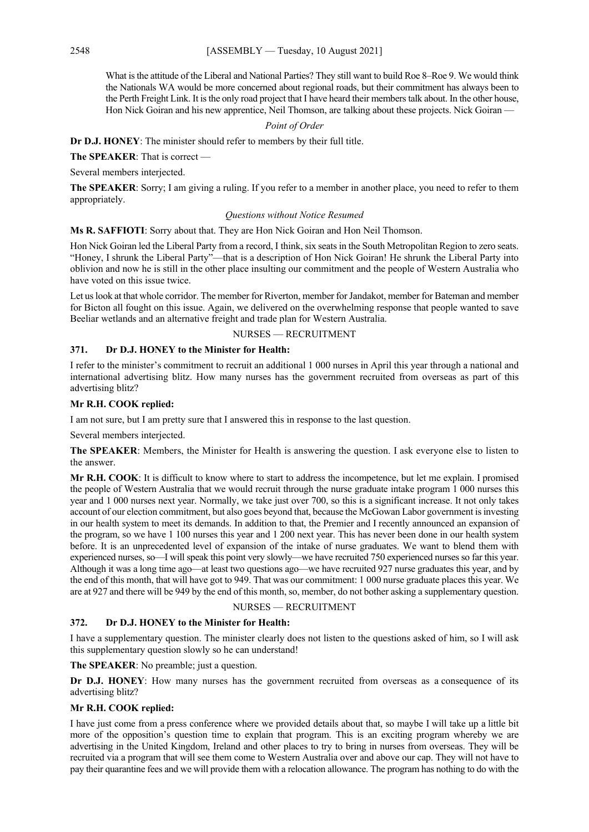What is the attitude of the Liberal and National Parties? They still want to build Roe 8–Roe 9. We would think the Nationals WA would be more concerned about regional roads, but their commitment has always been to the Perth Freight Link. It is the only road project that I have heard their members talk about. In the other house, Hon Nick Goiran and his new apprentice, Neil Thomson, are talking about these projects. Nick Goiran -

## *Point of Order*

**Dr D.J. HONEY**: The minister should refer to members by their full title.

**The SPEAKER**: That is correct —

Several members interjected.

**The SPEAKER**: Sorry; I am giving a ruling. If you refer to a member in another place, you need to refer to them appropriately.

#### *Questions without Notice Resumed*

**Ms R. SAFFIOTI**: Sorry about that. They are Hon Nick Goiran and Hon Neil Thomson.

Hon Nick Goiran led the Liberal Party from a record, I think, six seats in the South Metropolitan Region to zero seats. "Honey, I shrunk the Liberal Party"—that is a description of Hon Nick Goiran! He shrunk the Liberal Party into oblivion and now he is still in the other place insulting our commitment and the people of Western Australia who have voted on this issue twice.

Let us look at that whole corridor. The member for Riverton, member for Jandakot, member for Bateman and member for Bicton all fought on this issue. Again, we delivered on the overwhelming response that people wanted to save Beeliar wetlands and an alternative freight and trade plan for Western Australia.

NURSES — RECRUITMENT

## **371. Dr D.J. HONEY to the Minister for Health:**

I refer to the minister's commitment to recruit an additional 1 000 nurses in April this year through a national and international advertising blitz. How many nurses has the government recruited from overseas as part of this advertising blitz?

## **Mr R.H. COOK replied:**

I am not sure, but I am pretty sure that I answered this in response to the last question.

Several members interjected.

**The SPEAKER**: Members, the Minister for Health is answering the question. I ask everyone else to listen to the answer.

**Mr R.H. COOK**: It is difficult to know where to start to address the incompetence, but let me explain. I promised the people of Western Australia that we would recruit through the nurse graduate intake program 1 000 nurses this year and 1 000 nurses next year. Normally, we take just over 700, so this is a significant increase. It not only takes account of our election commitment, but also goes beyond that, because the McGowan Labor government is investing in our health system to meet its demands. In addition to that, the Premier and I recently announced an expansion of the program, so we have 1 100 nurses this year and 1 200 next year. This has never been done in our health system before. It is an unprecedented level of expansion of the intake of nurse graduates. We want to blend them with experienced nurses, so—I will speak this point very slowly—we have recruited 750 experienced nurses so far this year. Although it was a long time ago—at least two questions ago—we have recruited 927 nurse graduates this year, and by the end of this month, that will have got to 949. That was our commitment: 1 000 nurse graduate places this year. We are at 927 and there will be 949 by the end of this month, so, member, do not bother asking a supplementary question.

$$
\mathsf{NURSES} - \mathsf{RECRUITMENT}
$$

## **372. Dr D.J. HONEY to the Minister for Health:**

I have a supplementary question. The minister clearly does not listen to the questions asked of him, so I will ask this supplementary question slowly so he can understand!

**The SPEAKER**: No preamble; just a question.

**Dr D.J. HONEY**: How many nurses has the government recruited from overseas as a consequence of its advertising blitz?

## **Mr R.H. COOK replied:**

I have just come from a press conference where we provided details about that, so maybe I will take up a little bit more of the opposition's question time to explain that program. This is an exciting program whereby we are advertising in the United Kingdom, Ireland and other places to try to bring in nurses from overseas. They will be recruited via a program that will see them come to Western Australia over and above our cap. They will not have to pay their quarantine fees and we will provide them with a relocation allowance. The program has nothing to do with the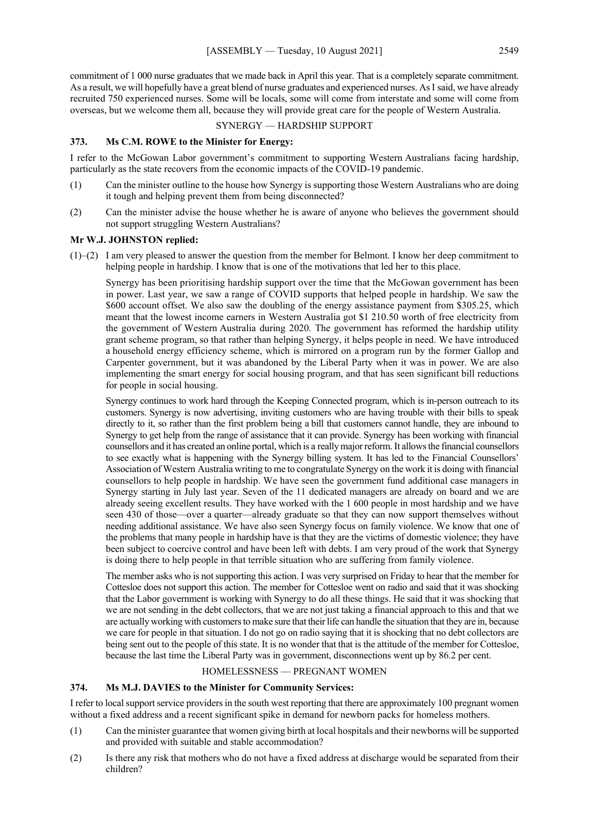commitment of 1 000 nurse graduates that we made back in April this year. That is a completely separate commitment. As a result, we will hopefully have a great blend of nurse graduates and experienced nurses. As I said, we have already recruited 750 experienced nurses. Some will be locals, some will come from interstate and some will come from overseas, but we welcome them all, because they will provide great care for the people of Western Australia.

#### SYNERGY — HARDSHIP SUPPORT

#### **373. Ms C.M. ROWE to the Minister for Energy:**

I refer to the McGowan Labor government's commitment to supporting Western Australians facing hardship, particularly as the state recovers from the economic impacts of the COVID-19 pandemic.

- (1) Can the minister outline to the house how Synergy is supporting those Western Australians who are doing it tough and helping prevent them from being disconnected?
- (2) Can the minister advise the house whether he is aware of anyone who believes the government should not support struggling Western Australians?

## **Mr W.J. JOHNSTON replied:**

(1)–(2) I am very pleased to answer the question from the member for Belmont. I know her deep commitment to helping people in hardship. I know that is one of the motivations that led her to this place.

Synergy has been prioritising hardship support over the time that the McGowan government has been in power. Last year, we saw a range of COVID supports that helped people in hardship. We saw the \$600 account offset. We also saw the doubling of the energy assistance payment from \$305.25, which meant that the lowest income earners in Western Australia got \$1 210.50 worth of free electricity from the government of Western Australia during 2020. The government has reformed the hardship utility grant scheme program, so that rather than helping Synergy, it helps people in need. We have introduced a household energy efficiency scheme, which is mirrored on a program run by the former Gallop and Carpenter government, but it was abandoned by the Liberal Party when it was in power. We are also implementing the smart energy for social housing program, and that has seen significant bill reductions for people in social housing.

Synergy continues to work hard through the Keeping Connected program, which is in-person outreach to its customers. Synergy is now advertising, inviting customers who are having trouble with their bills to speak directly to it, so rather than the first problem being a bill that customers cannot handle, they are inbound to Synergy to get help from the range of assistance that it can provide. Synergy has been working with financial counsellors and it has created an online portal, which is a really major reform. It allows the financial counsellors to see exactly what is happening with the Synergy billing system. It has led to the Financial Counsellors' Association of Western Australia writing to me to congratulate Synergy on the work it is doing with financial counsellors to help people in hardship. We have seen the government fund additional case managers in Synergy starting in July last year. Seven of the 11 dedicated managers are already on board and we are already seeing excellent results. They have worked with the 1 600 people in most hardship and we have seen 430 of those—over a quarter—already graduate so that they can now support themselves without needing additional assistance. We have also seen Synergy focus on family violence. We know that one of the problems that many people in hardship have is that they are the victims of domestic violence; they have been subject to coercive control and have been left with debts. I am very proud of the work that Synergy is doing there to help people in that terrible situation who are suffering from family violence.

The member asks who is not supporting this action. I was very surprised on Friday to hear that the member for Cottesloe does not support this action. The member for Cottesloe went on radio and said that it was shocking that the Labor government is working with Synergy to do all these things. He said that it was shocking that we are not sending in the debt collectors, that we are not just taking a financial approach to this and that we are actually working with customers to make sure that their life can handle the situation that they are in, because we care for people in that situation. I do not go on radio saying that it is shocking that no debt collectors are being sent out to the people of this state. It is no wonder that that is the attitude of the member for Cottesloe, because the last time the Liberal Party was in government, disconnections went up by 86.2 per cent.

#### HOMELESSNESS — PREGNANT WOMEN

#### **374. Ms M.J. DAVIES to the Minister for Community Services:**

I refer to local support service providers in the south west reporting that there are approximately 100 pregnant women without a fixed address and a recent significant spike in demand for newborn packs for homeless mothers.

- (1) Can the minister guarantee that women giving birth at local hospitals and their newborns will be supported and provided with suitable and stable accommodation?
- (2) Is there any risk that mothers who do not have a fixed address at discharge would be separated from their children?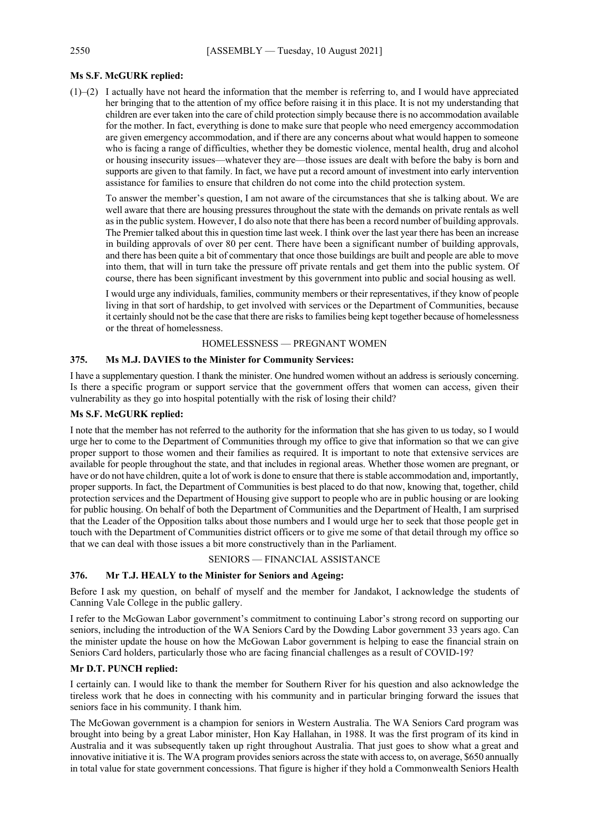## **Ms S.F. McGURK replied:**

(1)–(2) I actually have not heard the information that the member is referring to, and I would have appreciated her bringing that to the attention of my office before raising it in this place. It is not my understanding that children are ever taken into the care of child protection simply because there is no accommodation available for the mother. In fact, everything is done to make sure that people who need emergency accommodation are given emergency accommodation, and if there are any concerns about what would happen to someone who is facing a range of difficulties, whether they be domestic violence, mental health, drug and alcohol or housing insecurity issues—whatever they are—those issues are dealt with before the baby is born and supports are given to that family. In fact, we have put a record amount of investment into early intervention assistance for families to ensure that children do not come into the child protection system.

To answer the member's question, I am not aware of the circumstances that she is talking about. We are well aware that there are housing pressures throughout the state with the demands on private rentals as well as in the public system. However, I do also note that there has been a record number of building approvals. The Premier talked about this in question time last week. I think over the last year there has been an increase in building approvals of over 80 per cent. There have been a significant number of building approvals, and there has been quite a bit of commentary that once those buildings are built and people are able to move into them, that will in turn take the pressure off private rentals and get them into the public system. Of course, there has been significant investment by this government into public and social housing as well.

I would urge any individuals, families, community members or their representatives, if they know of people living in that sort of hardship, to get involved with services or the Department of Communities, because it certainly should not be the case that there are risks to families being kept together because of homelessness or the threat of homelessness.

#### HOMELESSNESS — PREGNANT WOMEN

## **375. Ms M.J. DAVIES to the Minister for Community Services:**

I have a supplementary question. I thank the minister. One hundred women without an address is seriously concerning. Is there a specific program or support service that the government offers that women can access, given their vulnerability as they go into hospital potentially with the risk of losing their child?

## **Ms S.F. McGURK replied:**

I note that the member has not referred to the authority for the information that she has given to us today, so I would urge her to come to the Department of Communities through my office to give that information so that we can give proper support to those women and their families as required. It is important to note that extensive services are available for people throughout the state, and that includes in regional areas. Whether those women are pregnant, or have or do not have children, quite a lot of work is done to ensure that there is stable accommodation and, importantly, proper supports. In fact, the Department of Communities is best placed to do that now, knowing that, together, child protection services and the Department of Housing give support to people who are in public housing or are looking for public housing. On behalf of both the Department of Communities and the Department of Health, I am surprised that the Leader of the Opposition talks about those numbers and I would urge her to seek that those people get in touch with the Department of Communities district officers or to give me some of that detail through my office so that we can deal with those issues a bit more constructively than in the Parliament.

#### SENIORS — FINANCIAL ASSISTANCE

#### **376. Mr T.J. HEALY to the Minister for Seniors and Ageing:**

Before I ask my question, on behalf of myself and the member for Jandakot, I acknowledge the students of Canning Vale College in the public gallery.

I refer to the McGowan Labor government's commitment to continuing Labor's strong record on supporting our seniors, including the introduction of the WA Seniors Card by the Dowding Labor government 33 years ago. Can the minister update the house on how the McGowan Labor government is helping to ease the financial strain on Seniors Card holders, particularly those who are facing financial challenges as a result of COVID-19?

## **Mr D.T. PUNCH replied:**

I certainly can. I would like to thank the member for Southern River for his question and also acknowledge the tireless work that he does in connecting with his community and in particular bringing forward the issues that seniors face in his community. I thank him.

The McGowan government is a champion for seniors in Western Australia. The WA Seniors Card program was brought into being by a great Labor minister, Hon Kay Hallahan, in 1988. It was the first program of its kind in Australia and it was subsequently taken up right throughout Australia. That just goes to show what a great and innovative initiative it is. The WA program provides seniors across the state with access to, on average, \$650 annually in total value for state government concessions. That figure is higher if they hold a Commonwealth Seniors Health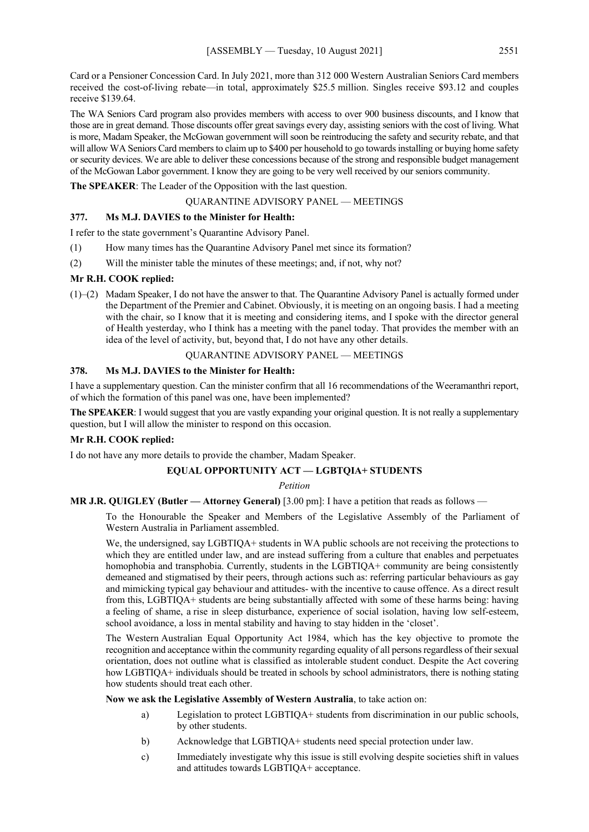Card or a Pensioner Concession Card. In July 2021, more than 312 000 Western Australian Seniors Card members received the cost-of-living rebate—in total, approximately \$25.5 million. Singles receive \$93.12 and couples receive \$139.64.

The WA Seniors Card program also provides members with access to over 900 business discounts, and I know that those are in great demand. Those discounts offer great savings every day, assisting seniors with the cost of living. What is more, Madam Speaker, the McGowan government will soon be reintroducing the safety and security rebate, and that will allow WA Seniors Card members to claim up to \$400 per household to go towards installing or buying home safety or security devices. We are able to deliver these concessions because of the strong and responsible budget management of the McGowan Labor government. I know they are going to be very well received by our seniors community.

**The SPEAKER**: The Leader of the Opposition with the last question.

#### QUARANTINE ADVISORY PANEL — MEETINGS

#### **377. Ms M.J. DAVIES to the Minister for Health:**

I refer to the state government's Quarantine Advisory Panel.

- (1) How many times has the Quarantine Advisory Panel met since its formation?
- (2) Will the minister table the minutes of these meetings; and, if not, why not?

#### **Mr R.H. COOK replied:**

(1)–(2) Madam Speaker, I do not have the answer to that. The Quarantine Advisory Panel is actually formed under the Department of the Premier and Cabinet. Obviously, it is meeting on an ongoing basis. I had a meeting with the chair, so I know that it is meeting and considering items, and I spoke with the director general of Health yesterday, who I think has a meeting with the panel today. That provides the member with an idea of the level of activity, but, beyond that, I do not have any other details.

## QUARANTINE ADVISORY PANEL — MEETINGS

## **378. Ms M.J. DAVIES to the Minister for Health:**

I have a supplementary question. Can the minister confirm that all 16 recommendations of the Weeramanthri report, of which the formation of this panel was one, have been implemented?

**The SPEAKER**: I would suggest that you are vastly expanding your original question. It is not really a supplementary question, but I will allow the minister to respond on this occasion.

#### **Mr R.H. COOK replied:**

I do not have any more details to provide the chamber, Madam Speaker.

## **EQUAL OPPORTUNITY ACT — LGBTQIA+ STUDENTS**

## *Petition*

**MR J.R. QUIGLEY (Butler — Attorney General)** [3.00 pm]: I have a petition that reads as follows —

To the Honourable the Speaker and Members of the Legislative Assembly of the Parliament of Western Australia in Parliament assembled.

We, the undersigned, say LGBTIQA+ students in WA public schools are not receiving the protections to which they are entitled under law, and are instead suffering from a culture that enables and perpetuates homophobia and transphobia. Currently, students in the LGBTIQA+ community are being consistently demeaned and stigmatised by their peers, through actions such as: referring particular behaviours as gay and mimicking typical gay behaviour and attitudes- with the incentive to cause offence. As a direct result from this, LGBTIQA+ students are being substantially affected with some of these harms being: having a feeling of shame, a rise in sleep disturbance, experience of social isolation, having low self-esteem, school avoidance, a loss in mental stability and having to stay hidden in the 'closet'.

The Western Australian Equal Opportunity Act 1984, which has the key objective to promote the recognition and acceptance within the community regarding equality of all persons regardless of their sexual orientation, does not outline what is classified as intolerable student conduct. Despite the Act covering how LGBTIQA+ individuals should be treated in schools by school administrators, there is nothing stating how students should treat each other.

#### **Now we ask the Legislative Assembly of Western Australia**, to take action on:

- a) Legislation to protect LGBTIQA+ students from discrimination in our public schools, by other students.
- b) Acknowledge that LGBTIQA+ students need special protection under law.
- c) Immediately investigate why this issue is still evolving despite societies shift in values and attitudes towards LGBTIQA+ acceptance.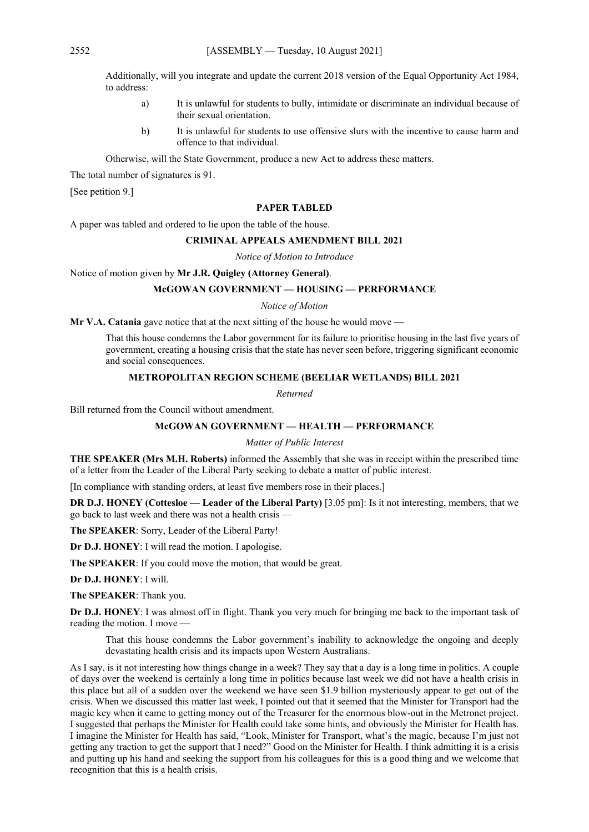Additionally, will you integrate and update the current 2018 version of the Equal Opportunity Act 1984, to address:

- a) It is unlawful for students to bully, intimidate or discriminate an individual because of their sexual orientation.
- b) It is unlawful for students to use offensive slurs with the incentive to cause harm and offence to that individual.

Otherwise, will the State Government, produce a new Act to address these matters.

The total number of signatures is 91.

[See petition 9.]

#### **PAPER TABLED**

A paper was tabled and ordered to lie upon the table of the house.

#### **CRIMINAL APPEALS AMENDMENT BILL 2021**

*Notice of Motion to Introduce*

Notice of motion given by **Mr J.R. Quigley (Attorney General)**.

#### **McGOWAN GOVERNMENT — HOUSING — PERFORMANCE**

#### *Notice of Motion*

**Mr V.A. Catania** gave notice that at the next sitting of the house he would move —

That this house condemns the Labor government for its failure to prioritise housing in the last five years of government, creating a housing crisis that the state has never seen before, triggering significant economic and social consequences.

#### **METROPOLITAN REGION SCHEME (BEELIAR WETLANDS) BILL 2021**

*Returned*

Bill returned from the Council without amendment.

## **McGOWAN GOVERNMENT — HEALTH — PERFORMANCE**

#### *Matter of Public Interest*

**THE SPEAKER (Mrs M.H. Roberts)** informed the Assembly that she was in receipt within the prescribed time of a letter from the Leader of the Liberal Party seeking to debate a matter of public interest.

[In compliance with standing orders, at least five members rose in their places.]

**DR D.J. HONEY (Cottesloe — Leader of the Liberal Party)** [3.05 pm]: Is it not interesting, members, that we go back to last week and there was not a health crisis —

**The SPEAKER**: Sorry, Leader of the Liberal Party!

**Dr D.J. HONEY**: I will read the motion. I apologise.

**The SPEAKER**: If you could move the motion, that would be great.

**Dr D.J. HONEY**: I will.

**The SPEAKER**: Thank you.

**Dr D.J. HONEY**: I was almost off in flight. Thank you very much for bringing me back to the important task of reading the motion. I move —

That this house condemns the Labor government's inability to acknowledge the ongoing and deeply devastating health crisis and its impacts upon Western Australians.

As I say, is it not interesting how things change in a week? They say that a day is a long time in politics. A couple of days over the weekend is certainly a long time in politics because last week we did not have a health crisis in this place but all of a sudden over the weekend we have seen \$1.9 billion mysteriously appear to get out of the crisis. When we discussed this matter last week, I pointed out that it seemed that the Minister for Transport had the magic key when it came to getting money out of the Treasurer for the enormous blow-out in the Metronet project. I suggested that perhaps the Minister for Health could take some hints, and obviously the Minister for Health has. I imagine the Minister for Health has said, "Look, Minister for Transport, what's the magic, because I'm just not getting any traction to get the support that I need?" Good on the Minister for Health. I think admitting it is a crisis and putting up his hand and seeking the support from his colleagues for this is a good thing and we welcome that recognition that this is a health crisis.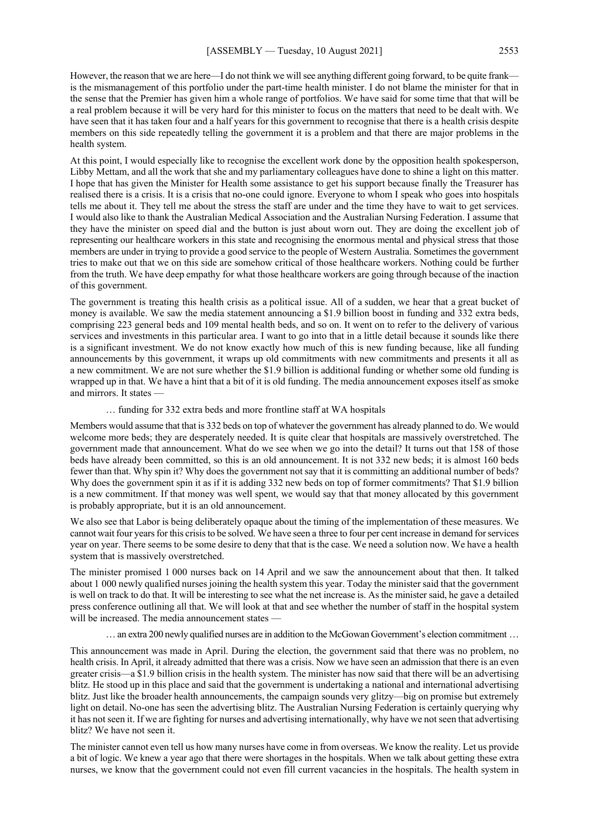However, the reason that we are here—I do not think we will see anything different going forward, to be quite frank is the mismanagement of this portfolio under the part-time health minister. I do not blame the minister for that in the sense that the Premier has given him a whole range of portfolios. We have said for some time that that will be a real problem because it will be very hard for this minister to focus on the matters that need to be dealt with. We have seen that it has taken four and a half years for this government to recognise that there is a health crisis despite members on this side repeatedly telling the government it is a problem and that there are major problems in the health system.

At this point, I would especially like to recognise the excellent work done by the opposition health spokesperson, Libby Mettam, and all the work that she and my parliamentary colleagues have done to shine a light on this matter. I hope that has given the Minister for Health some assistance to get his support because finally the Treasurer has realised there is a crisis. It is a crisis that no-one could ignore. Everyone to whom I speak who goes into hospitals tells me about it. They tell me about the stress the staff are under and the time they have to wait to get services. I would also like to thank the Australian Medical Association and the Australian Nursing Federation. I assume that they have the minister on speed dial and the button is just about worn out. They are doing the excellent job of representing our healthcare workers in this state and recognising the enormous mental and physical stress that those members are under in trying to provide a good service to the people of Western Australia. Sometimes the government tries to make out that we on this side are somehow critical of those healthcare workers. Nothing could be further from the truth. We have deep empathy for what those healthcare workers are going through because of the inaction of this government.

The government is treating this health crisis as a political issue. All of a sudden, we hear that a great bucket of money is available. We saw the media statement announcing a \$1.9 billion boost in funding and 332 extra beds, comprising 223 general beds and 109 mental health beds, and so on. It went on to refer to the delivery of various services and investments in this particular area. I want to go into that in a little detail because it sounds like there is a significant investment. We do not know exactly how much of this is new funding because, like all funding announcements by this government, it wraps up old commitments with new commitments and presents it all as a new commitment. We are not sure whether the \$1.9 billion is additional funding or whether some old funding is wrapped up in that. We have a hint that a bit of it is old funding. The media announcement exposes itself as smoke and mirrors. It states —

… funding for 332 extra beds and more frontline staff at WA hospitals

Members would assume that that is 332 beds on top of whatever the government has already planned to do. We would welcome more beds; they are desperately needed. It is quite clear that hospitals are massively overstretched. The government made that announcement. What do we see when we go into the detail? It turns out that 158 of those beds have already been committed, so this is an old announcement. It is not 332 new beds; it is almost 160 beds fewer than that. Why spin it? Why does the government not say that it is committing an additional number of beds? Why does the government spin it as if it is adding 332 new beds on top of former commitments? That \$1.9 billion is a new commitment. If that money was well spent, we would say that that money allocated by this government is probably appropriate, but it is an old announcement.

We also see that Labor is being deliberately opaque about the timing of the implementation of these measures. We cannot wait four years for this crisis to be solved. We have seen a three to four per cent increase in demand for services year on year. There seems to be some desire to deny that that is the case. We need a solution now. We have a health system that is massively overstretched.

The minister promised 1 000 nurses back on 14 April and we saw the announcement about that then. It talked about 1 000 newly qualified nurses joining the health system this year. Today the minister said that the government is well on track to do that. It will be interesting to see what the net increase is. As the minister said, he gave a detailed press conference outlining all that. We will look at that and see whether the number of staff in the hospital system will be increased. The media announcement states -

… an extra 200 newly qualified nurses are in addition to the McGowan Government's election commitment …

This announcement was made in April. During the election, the government said that there was no problem, no health crisis. In April, it already admitted that there was a crisis. Now we have seen an admission that there is an even greater crisis—a \$1.9 billion crisis in the health system. The minister has now said that there will be an advertising blitz. He stood up in this place and said that the government is undertaking a national and international advertising blitz. Just like the broader health announcements, the campaign sounds very glitzy—big on promise but extremely light on detail. No-one has seen the advertising blitz. The Australian Nursing Federation is certainly querying why it has not seen it. If we are fighting for nurses and advertising internationally, why have we not seen that advertising blitz? We have not seen it.

The minister cannot even tell us how many nurses have come in from overseas. We know the reality. Let us provide a bit of logic. We knew a year ago that there were shortages in the hospitals. When we talk about getting these extra nurses, we know that the government could not even fill current vacancies in the hospitals. The health system in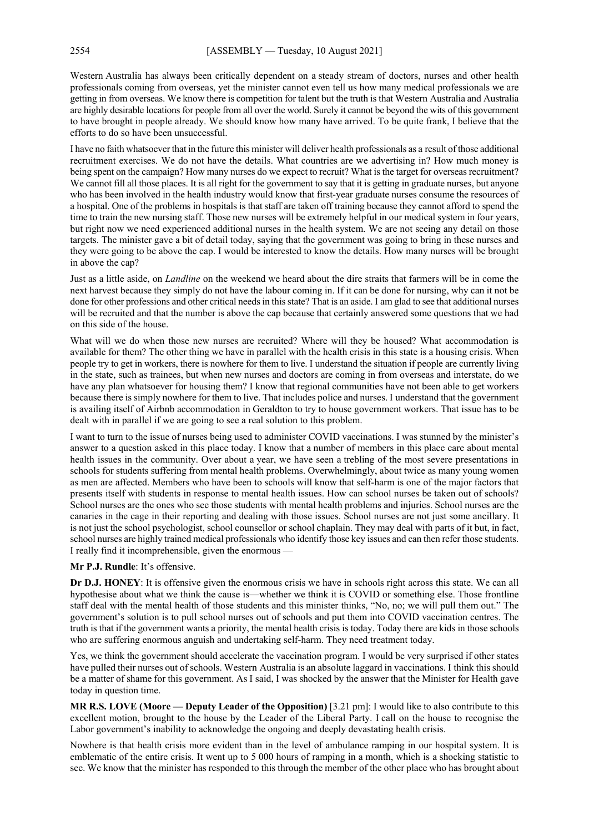Western Australia has always been critically dependent on a steady stream of doctors, nurses and other health professionals coming from overseas, yet the minister cannot even tell us how many medical professionals we are getting in from overseas. We know there is competition for talent but the truth is that Western Australia and Australia are highly desirable locations for people from all over the world. Surely it cannot be beyond the wits of this government to have brought in people already. We should know how many have arrived. To be quite frank, I believe that the efforts to do so have been unsuccessful.

I have no faith whatsoever that in the future this minister will deliver health professionals as a result of those additional recruitment exercises. We do not have the details. What countries are we advertising in? How much money is being spent on the campaign? How many nurses do we expect to recruit? What is the target for overseas recruitment? We cannot fill all those places. It is all right for the government to say that it is getting in graduate nurses, but anyone who has been involved in the health industry would know that first-year graduate nurses consume the resources of a hospital. One of the problems in hospitals is that staff are taken off training because they cannot afford to spend the time to train the new nursing staff. Those new nurses will be extremely helpful in our medical system in four years, but right now we need experienced additional nurses in the health system. We are not seeing any detail on those targets. The minister gave a bit of detail today, saying that the government was going to bring in these nurses and they were going to be above the cap. I would be interested to know the details. How many nurses will be brought in above the cap?

Just as a little aside, on *Landline* on the weekend we heard about the dire straits that farmers will be in come the next harvest because they simply do not have the labour coming in. If it can be done for nursing, why can it not be done for other professions and other critical needs in this state? That is an aside. I am glad to see that additional nurses will be recruited and that the number is above the cap because that certainly answered some questions that we had on this side of the house.

What will we do when those new nurses are recruited? Where will they be housed? What accommodation is available for them? The other thing we have in parallel with the health crisis in this state is a housing crisis. When people try to get in workers, there is nowhere for them to live. I understand the situation if people are currently living in the state, such as trainees, but when new nurses and doctors are coming in from overseas and interstate, do we have any plan whatsoever for housing them? I know that regional communities have not been able to get workers because there is simply nowhere for them to live. That includes police and nurses. I understand that the government is availing itself of Airbnb accommodation in Geraldton to try to house government workers. That issue has to be dealt with in parallel if we are going to see a real solution to this problem.

I want to turn to the issue of nurses being used to administer COVID vaccinations. I was stunned by the minister's answer to a question asked in this place today. I know that a number of members in this place care about mental health issues in the community. Over about a year, we have seen a trebling of the most severe presentations in schools for students suffering from mental health problems. Overwhelmingly, about twice as many young women as men are affected. Members who have been to schools will know that self-harm is one of the major factors that presents itself with students in response to mental health issues. How can school nurses be taken out of schools? School nurses are the ones who see those students with mental health problems and injuries. School nurses are the canaries in the cage in their reporting and dealing with those issues. School nurses are not just some ancillary. It is not just the school psychologist, school counsellor or school chaplain. They may deal with parts of it but, in fact, school nurses are highly trained medical professionals who identify those key issues and can then refer those students. I really find it incomprehensible, given the enormous —

**Mr P.J. Rundle**: It's offensive.

**Dr D.J. HONEY**: It is offensive given the enormous crisis we have in schools right across this state. We can all hypothesise about what we think the cause is—whether we think it is COVID or something else. Those frontline staff deal with the mental health of those students and this minister thinks, "No, no; we will pull them out." The government's solution is to pull school nurses out of schools and put them into COVID vaccination centres. The truth is that if the government wants a priority, the mental health crisis is today. Today there are kids in those schools who are suffering enormous anguish and undertaking self-harm. They need treatment today.

Yes, we think the government should accelerate the vaccination program. I would be very surprised if other states have pulled their nurses out of schools. Western Australia is an absolute laggard in vaccinations. I think this should be a matter of shame for this government. As I said, I was shocked by the answer that the Minister for Health gave today in question time.

**MR R.S. LOVE (Moore — Deputy Leader of the Opposition)** [3.21 pm]: I would like to also contribute to this excellent motion, brought to the house by the Leader of the Liberal Party. I call on the house to recognise the Labor government's inability to acknowledge the ongoing and deeply devastating health crisis.

Nowhere is that health crisis more evident than in the level of ambulance ramping in our hospital system. It is emblematic of the entire crisis. It went up to 5 000 hours of ramping in a month, which is a shocking statistic to see. We know that the minister has responded to this through the member of the other place who has brought about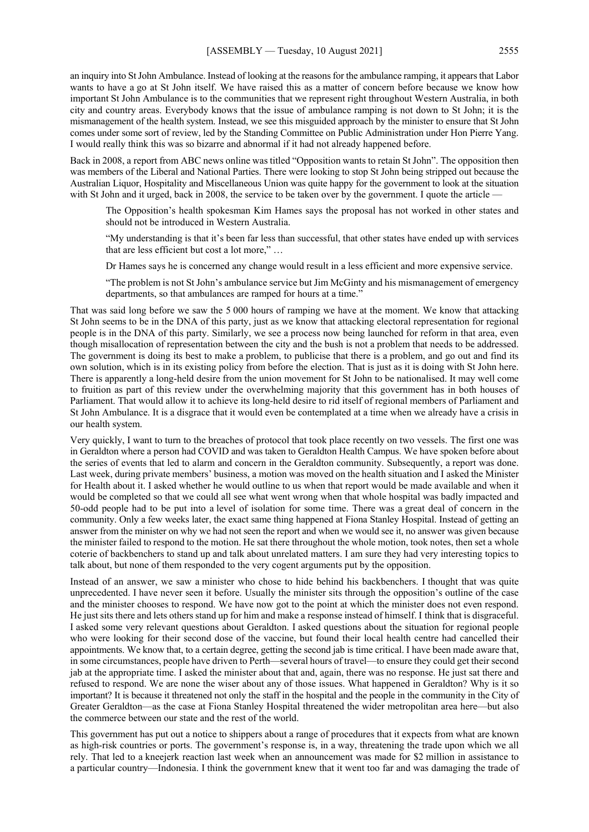an inquiry into St John Ambulance. Instead of looking at the reasons for the ambulance ramping, it appears that Labor wants to have a go at St John itself. We have raised this as a matter of concern before because we know how important St John Ambulance is to the communities that we represent right throughout Western Australia, in both city and country areas. Everybody knows that the issue of ambulance ramping is not down to St John; it is the mismanagement of the health system. Instead, we see this misguided approach by the minister to ensure that St John comes under some sort of review, led by the Standing Committee on Public Administration under Hon Pierre Yang. I would really think this was so bizarre and abnormal if it had not already happened before.

Back in 2008, a report from ABC news online was titled "Opposition wants to retain St John". The opposition then was members of the Liberal and National Parties. There were looking to stop St John being stripped out because the Australian Liquor, Hospitality and Miscellaneous Union was quite happy for the government to look at the situation with St John and it urged, back in 2008, the service to be taken over by the government. I quote the article —

The Opposition's health spokesman Kim Hames says the proposal has not worked in other states and should not be introduced in Western Australia.

"My understanding is that it's been far less than successful, that other states have ended up with services that are less efficient but cost a lot more," …

Dr Hames says he is concerned any change would result in a less efficient and more expensive service.

"The problem is not St John's ambulance service but Jim McGinty and his mismanagement of emergency departments, so that ambulances are ramped for hours at a time."

That was said long before we saw the 5 000 hours of ramping we have at the moment. We know that attacking St John seems to be in the DNA of this party, just as we know that attacking electoral representation for regional people is in the DNA of this party. Similarly, we see a process now being launched for reform in that area, even though misallocation of representation between the city and the bush is not a problem that needs to be addressed. The government is doing its best to make a problem, to publicise that there is a problem, and go out and find its own solution, which is in its existing policy from before the election. That is just as it is doing with St John here. There is apparently a long-held desire from the union movement for St John to be nationalised. It may well come to fruition as part of this review under the overwhelming majority that this government has in both houses of Parliament. That would allow it to achieve its long-held desire to rid itself of regional members of Parliament and St John Ambulance. It is a disgrace that it would even be contemplated at a time when we already have a crisis in our health system.

Very quickly, I want to turn to the breaches of protocol that took place recently on two vessels. The first one was in Geraldton where a person had COVID and was taken to Geraldton Health Campus. We have spoken before about the series of events that led to alarm and concern in the Geraldton community. Subsequently, a report was done. Last week, during private members' business, a motion was moved on the health situation and I asked the Minister for Health about it. I asked whether he would outline to us when that report would be made available and when it would be completed so that we could all see what went wrong when that whole hospital was badly impacted and 50-odd people had to be put into a level of isolation for some time. There was a great deal of concern in the community. Only a few weeks later, the exact same thing happened at Fiona Stanley Hospital. Instead of getting an answer from the minister on why we had not seen the report and when we would see it, no answer was given because the minister failed to respond to the motion. He sat there throughout the whole motion, took notes, then set a whole coterie of backbenchers to stand up and talk about unrelated matters. I am sure they had very interesting topics to talk about, but none of them responded to the very cogent arguments put by the opposition.

Instead of an answer, we saw a minister who chose to hide behind his backbenchers. I thought that was quite unprecedented. I have never seen it before. Usually the minister sits through the opposition's outline of the case and the minister chooses to respond. We have now got to the point at which the minister does not even respond. He just sits there and lets others stand up for him and make a response instead of himself. I think that is disgraceful. I asked some very relevant questions about Geraldton. I asked questions about the situation for regional people who were looking for their second dose of the vaccine, but found their local health centre had cancelled their appointments. We know that, to a certain degree, getting the second jab is time critical. I have been made aware that, in some circumstances, people have driven to Perth—several hours of travel—to ensure they could get their second jab at the appropriate time. I asked the minister about that and, again, there was no response. He just sat there and refused to respond. We are none the wiser about any of those issues. What happened in Geraldton? Why is it so important? It is because it threatened not only the staff in the hospital and the people in the community in the City of Greater Geraldton—as the case at Fiona Stanley Hospital threatened the wider metropolitan area here—but also the commerce between our state and the rest of the world.

This government has put out a notice to shippers about a range of procedures that it expects from what are known as high-risk countries or ports. The government's response is, in a way, threatening the trade upon which we all rely. That led to a kneejerk reaction last week when an announcement was made for \$2 million in assistance to a particular country—Indonesia. I think the government knew that it went too far and was damaging the trade of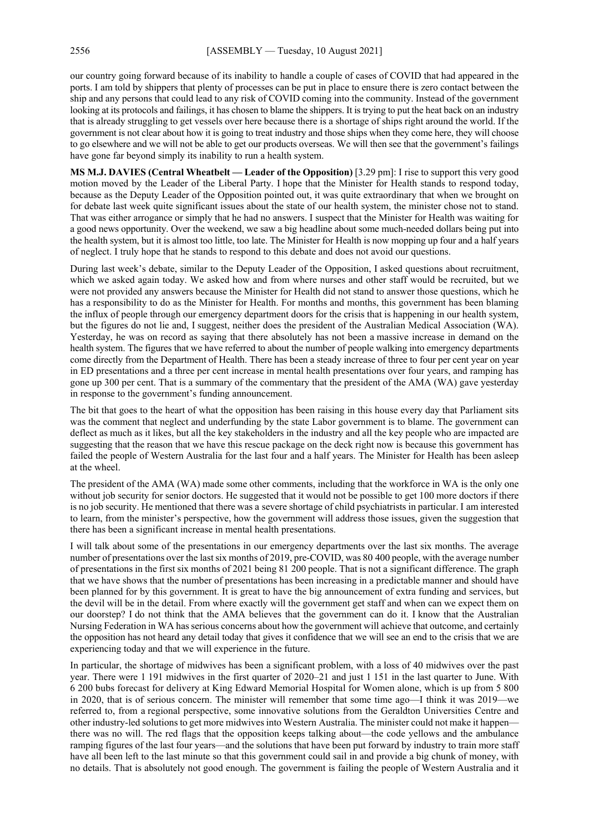our country going forward because of its inability to handle a couple of cases of COVID that had appeared in the ports. I am told by shippers that plenty of processes can be put in place to ensure there is zero contact between the ship and any persons that could lead to any risk of COVID coming into the community. Instead of the government looking at its protocols and failings, it has chosen to blame the shippers. It is trying to put the heat back on an industry that is already struggling to get vessels over here because there is a shortage of ships right around the world. If the government is not clear about how it is going to treat industry and those ships when they come here, they will choose to go elsewhere and we will not be able to get our products overseas. We will then see that the government's failings have gone far beyond simply its inability to run a health system.

**MS M.J. DAVIES (Central Wheatbelt — Leader of the Opposition)** [3.29 pm]: I rise to support this very good motion moved by the Leader of the Liberal Party. I hope that the Minister for Health stands to respond today, because as the Deputy Leader of the Opposition pointed out, it was quite extraordinary that when we brought on for debate last week quite significant issues about the state of our health system, the minister chose not to stand. That was either arrogance or simply that he had no answers. I suspect that the Minister for Health was waiting for a good news opportunity. Over the weekend, we saw a big headline about some much-needed dollars being put into the health system, but it is almost too little, too late. The Minister for Health is now mopping up four and a half years of neglect. I truly hope that he stands to respond to this debate and does not avoid our questions.

During last week's debate, similar to the Deputy Leader of the Opposition, I asked questions about recruitment, which we asked again today. We asked how and from where nurses and other staff would be recruited, but we were not provided any answers because the Minister for Health did not stand to answer those questions, which he has a responsibility to do as the Minister for Health. For months and months, this government has been blaming the influx of people through our emergency department doors for the crisis that is happening in our health system, but the figures do not lie and, I suggest, neither does the president of the Australian Medical Association (WA). Yesterday, he was on record as saying that there absolutely has not been a massive increase in demand on the health system. The figures that we have referred to about the number of people walking into emergency departments come directly from the Department of Health. There has been a steady increase of three to four per cent year on year in ED presentations and a three per cent increase in mental health presentations over four years, and ramping has gone up 300 per cent. That is a summary of the commentary that the president of the AMA (WA) gave yesterday in response to the government's funding announcement.

The bit that goes to the heart of what the opposition has been raising in this house every day that Parliament sits was the comment that neglect and underfunding by the state Labor government is to blame. The government can deflect as much as it likes, but all the key stakeholders in the industry and all the key people who are impacted are suggesting that the reason that we have this rescue package on the deck right now is because this government has failed the people of Western Australia for the last four and a half years. The Minister for Health has been asleep at the wheel.

The president of the AMA (WA) made some other comments, including that the workforce in WA is the only one without job security for senior doctors. He suggested that it would not be possible to get 100 more doctors if there is no job security. He mentioned that there was a severe shortage of child psychiatrists in particular. I am interested to learn, from the minister's perspective, how the government will address those issues, given the suggestion that there has been a significant increase in mental health presentations.

I will talk about some of the presentations in our emergency departments over the last six months. The average number of presentations over the last six months of 2019, pre-COVID, was 80 400 people, with the average number of presentations in the first six months of 2021 being 81 200 people. That is not a significant difference. The graph that we have shows that the number of presentations has been increasing in a predictable manner and should have been planned for by this government. It is great to have the big announcement of extra funding and services, but the devil will be in the detail. From where exactly will the government get staff and when can we expect them on our doorstep? I do not think that the AMA believes that the government can do it. I know that the Australian Nursing Federation in WA has serious concerns about how the government will achieve that outcome, and certainly the opposition has not heard any detail today that gives it confidence that we will see an end to the crisis that we are experiencing today and that we will experience in the future.

In particular, the shortage of midwives has been a significant problem, with a loss of 40 midwives over the past year. There were 1 191 midwives in the first quarter of 2020–21 and just 1 151 in the last quarter to June. With 6 200 bubs forecast for delivery at King Edward Memorial Hospital for Women alone, which is up from 5 800 in 2020, that is of serious concern. The minister will remember that some time ago—I think it was 2019—we referred to, from a regional perspective, some innovative solutions from the Geraldton Universities Centre and other industry-led solutions to get more midwives into Western Australia. The minister could not make it happen there was no will. The red flags that the opposition keeps talking about—the code yellows and the ambulance ramping figures of the last four years—and the solutions that have been put forward by industry to train more staff have all been left to the last minute so that this government could sail in and provide a big chunk of money, with no details. That is absolutely not good enough. The government is failing the people of Western Australia and it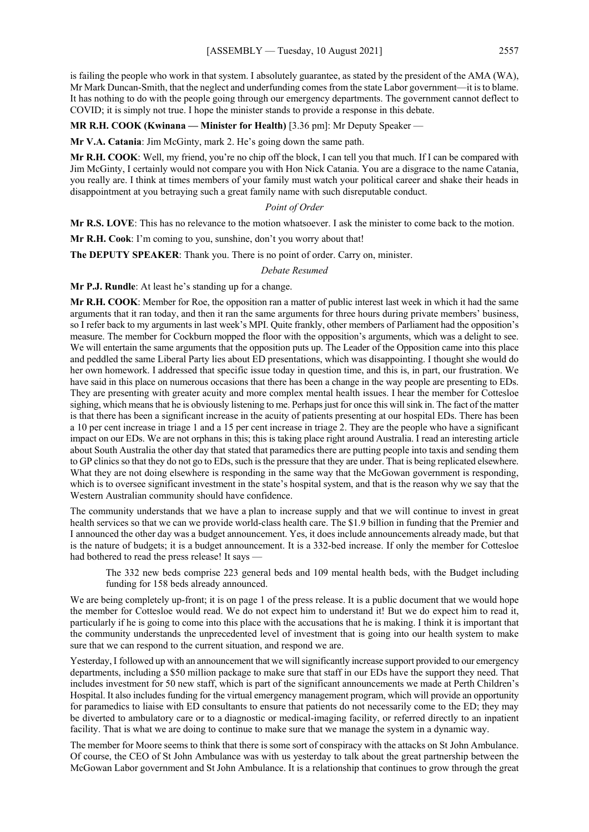is failing the people who work in that system. I absolutely guarantee, as stated by the president of the AMA (WA), Mr Mark Duncan-Smith, that the neglect and underfunding comes from the state Labor government—it is to blame. It has nothing to do with the people going through our emergency departments. The government cannot deflect to COVID; it is simply not true. I hope the minister stands to provide a response in this debate.

## **MR R.H. COOK (Kwinana — Minister for Health)** [3.36 pm]: Mr Deputy Speaker —

**Mr V.A. Catania**: Jim McGinty, mark 2. He's going down the same path.

**Mr R.H. COOK**: Well, my friend, you're no chip off the block, I can tell you that much. If I can be compared with Jim McGinty, I certainly would not compare you with Hon Nick Catania. You are a disgrace to the name Catania, you really are. I think at times members of your family must watch your political career and shake their heads in disappointment at you betraying such a great family name with such disreputable conduct.

#### *Point of Order*

**Mr R.S. LOVE**: This has no relevance to the motion whatsoever. I ask the minister to come back to the motion.

**Mr R.H. Cook**: I'm coming to you, sunshine, don't you worry about that!

**The DEPUTY SPEAKER**: Thank you. There is no point of order. Carry on, minister.

#### *Debate Resumed*

**Mr P.J. Rundle**: At least he's standing up for a change.

**Mr R.H. COOK**: Member for Roe, the opposition ran a matter of public interest last week in which it had the same arguments that it ran today, and then it ran the same arguments for three hours during private members' business, so I refer back to my arguments in last week's MPI. Quite frankly, other members of Parliament had the opposition's measure. The member for Cockburn mopped the floor with the opposition's arguments, which was a delight to see. We will entertain the same arguments that the opposition puts up. The Leader of the Opposition came into this place and peddled the same Liberal Party lies about ED presentations, which was disappointing. I thought she would do her own homework. I addressed that specific issue today in question time, and this is, in part, our frustration. We have said in this place on numerous occasions that there has been a change in the way people are presenting to EDs. They are presenting with greater acuity and more complex mental health issues. I hear the member for Cottesloe sighing, which means that he is obviously listening to me. Perhaps just for once this will sink in. The fact of the matter is that there has been a significant increase in the acuity of patients presenting at our hospital EDs. There has been a 10 per cent increase in triage 1 and a 15 per cent increase in triage 2. They are the people who have a significant impact on our EDs. We are not orphans in this; this is taking place right around Australia. I read an interesting article about South Australia the other day that stated that paramedics there are putting people into taxis and sending them to GP clinics so that they do not go to EDs, such is the pressure that they are under. That is being replicated elsewhere. What they are not doing elsewhere is responding in the same way that the McGowan government is responding, which is to oversee significant investment in the state's hospital system, and that is the reason why we say that the Western Australian community should have confidence.

The community understands that we have a plan to increase supply and that we will continue to invest in great health services so that we can we provide world-class health care. The \$1.9 billion in funding that the Premier and I announced the other day was a budget announcement. Yes, it does include announcements already made, but that is the nature of budgets; it is a budget announcement. It is a 332-bed increase. If only the member for Cottesloe had bothered to read the press release! It says —

The 332 new beds comprise 223 general beds and 109 mental health beds, with the Budget including funding for 158 beds already announced.

We are being completely up-front; it is on page 1 of the press release. It is a public document that we would hope the member for Cottesloe would read. We do not expect him to understand it! But we do expect him to read it, particularly if he is going to come into this place with the accusations that he is making. I think it is important that the community understands the unprecedented level of investment that is going into our health system to make sure that we can respond to the current situation, and respond we are.

Yesterday, I followed up with an announcement that we will significantly increase support provided to our emergency departments, including a \$50 million package to make sure that staff in our EDs have the support they need. That includes investment for 50 new staff, which is part of the significant announcements we made at Perth Children's Hospital. It also includes funding for the virtual emergency management program, which will provide an opportunity for paramedics to liaise with ED consultants to ensure that patients do not necessarily come to the ED; they may be diverted to ambulatory care or to a diagnostic or medical-imaging facility, or referred directly to an inpatient facility. That is what we are doing to continue to make sure that we manage the system in a dynamic way.

The member for Moore seems to think that there is some sort of conspiracy with the attacks on St John Ambulance. Of course, the CEO of St John Ambulance was with us yesterday to talk about the great partnership between the McGowan Labor government and St John Ambulance. It is a relationship that continues to grow through the great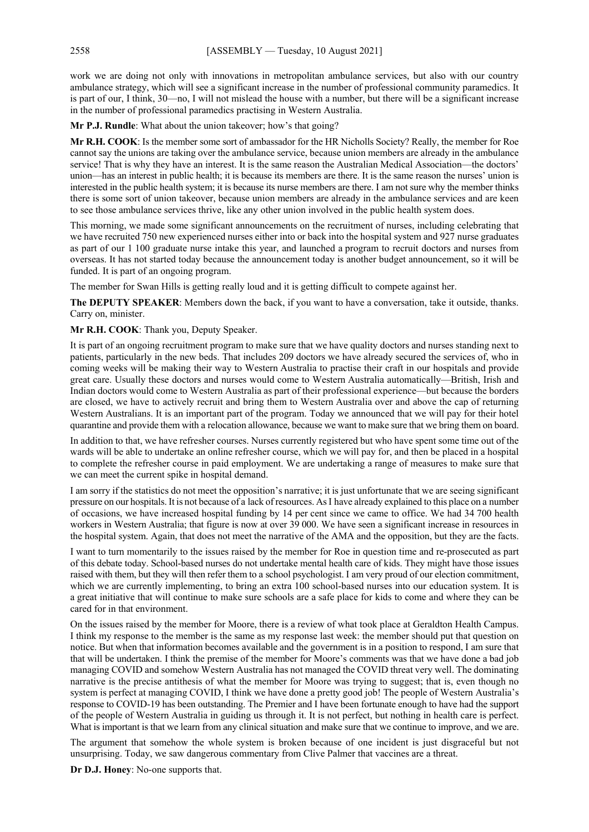work we are doing not only with innovations in metropolitan ambulance services, but also with our country ambulance strategy, which will see a significant increase in the number of professional community paramedics. It is part of our, I think, 30—no, I will not mislead the house with a number, but there will be a significant increase in the number of professional paramedics practising in Western Australia.

**Mr P.J. Rundle**: What about the union takeover; how's that going?

**Mr R.H. COOK**: Is the member some sort of ambassador for the HR Nicholls Society? Really, the member for Roe cannot say the unions are taking over the ambulance service, because union members are already in the ambulance service! That is why they have an interest. It is the same reason the Australian Medical Association—the doctors' union—has an interest in public health; it is because its members are there. It is the same reason the nurses' union is interested in the public health system; it is because its nurse members are there. I am not sure why the member thinks there is some sort of union takeover, because union members are already in the ambulance services and are keen to see those ambulance services thrive, like any other union involved in the public health system does.

This morning, we made some significant announcements on the recruitment of nurses, including celebrating that we have recruited 750 new experienced nurses either into or back into the hospital system and 927 nurse graduates as part of our 1 100 graduate nurse intake this year, and launched a program to recruit doctors and nurses from overseas. It has not started today because the announcement today is another budget announcement, so it will be funded. It is part of an ongoing program.

The member for Swan Hills is getting really loud and it is getting difficult to compete against her.

**The DEPUTY SPEAKER**: Members down the back, if you want to have a conversation, take it outside, thanks. Carry on, minister.

**Mr R.H. COOK**: Thank you, Deputy Speaker.

It is part of an ongoing recruitment program to make sure that we have quality doctors and nurses standing next to patients, particularly in the new beds. That includes 209 doctors we have already secured the services of, who in coming weeks will be making their way to Western Australia to practise their craft in our hospitals and provide great care. Usually these doctors and nurses would come to Western Australia automatically—British, Irish and Indian doctors would come to Western Australia as part of their professional experience—but because the borders are closed, we have to actively recruit and bring them to Western Australia over and above the cap of returning Western Australians. It is an important part of the program. Today we announced that we will pay for their hotel quarantine and provide them with a relocation allowance, because we want to make sure that we bring them on board.

In addition to that, we have refresher courses. Nurses currently registered but who have spent some time out of the wards will be able to undertake an online refresher course, which we will pay for, and then be placed in a hospital to complete the refresher course in paid employment. We are undertaking a range of measures to make sure that we can meet the current spike in hospital demand.

I am sorry if the statistics do not meet the opposition's narrative; it is just unfortunate that we are seeing significant pressure on our hospitals. It is not because of a lack of resources. AsI have already explained to this place on a number of occasions, we have increased hospital funding by 14 per cent since we came to office. We had 34 700 health workers in Western Australia; that figure is now at over 39 000. We have seen a significant increase in resources in the hospital system. Again, that does not meet the narrative of the AMA and the opposition, but they are the facts.

I want to turn momentarily to the issues raised by the member for Roe in question time and re-prosecuted as part of this debate today. School-based nurses do not undertake mental health care of kids. They might have those issues raised with them, but they will then refer them to a school psychologist. I am very proud of our election commitment, which we are currently implementing, to bring an extra 100 school-based nurses into our education system. It is a great initiative that will continue to make sure schools are a safe place for kids to come and where they can be cared for in that environment.

On the issues raised by the member for Moore, there is a review of what took place at Geraldton Health Campus. I think my response to the member is the same as my response last week: the member should put that question on notice. But when that information becomes available and the government is in a position to respond, I am sure that that will be undertaken. I think the premise of the member for Moore's comments was that we have done a bad job managing COVID and somehow Western Australia has not managed the COVID threat very well. The dominating narrative is the precise antithesis of what the member for Moore was trying to suggest; that is, even though no system is perfect at managing COVID, I think we have done a pretty good job! The people of Western Australia's response to COVID-19 has been outstanding. The Premier and I have been fortunate enough to have had the support of the people of Western Australia in guiding us through it. It is not perfect, but nothing in health care is perfect. What is important is that we learn from any clinical situation and make sure that we continue to improve, and we are.

The argument that somehow the whole system is broken because of one incident is just disgraceful but not unsurprising. Today, we saw dangerous commentary from Clive Palmer that vaccines are a threat.

**Dr D.J. Honey**: No-one supports that.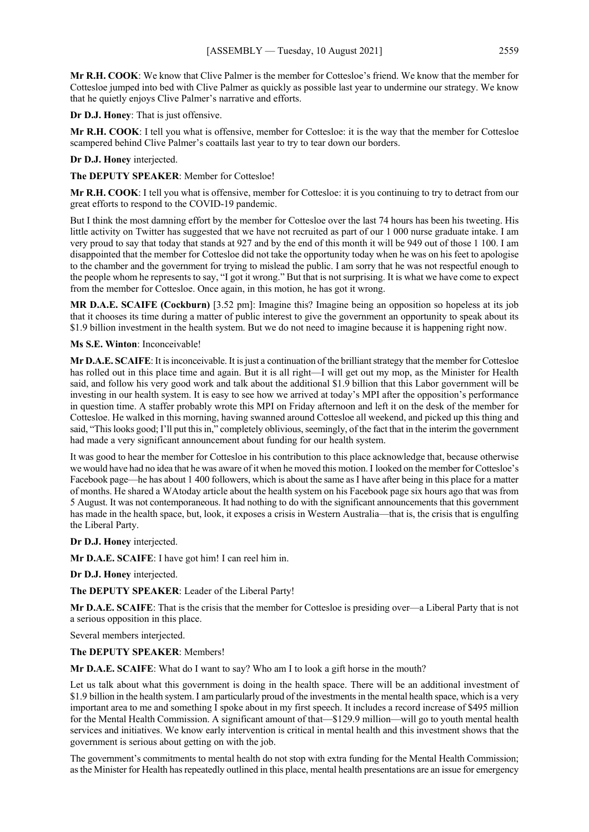**Mr R.H. COOK**: We know that Clive Palmer is the member for Cottesloe's friend. We know that the member for Cottesloe jumped into bed with Clive Palmer as quickly as possible last year to undermine our strategy. We know that he quietly enjoys Clive Palmer's narrative and efforts.

**Dr D.J. Honey**: That is just offensive.

**Mr R.H. COOK**: I tell you what is offensive, member for Cottesloe: it is the way that the member for Cottesloe scampered behind Clive Palmer's coattails last year to try to tear down our borders.

#### **Dr D.J. Honey** interjected.

**The DEPUTY SPEAKER**: Member for Cottesloe!

**Mr R.H. COOK**: I tell you what is offensive, member for Cottesloe: it is you continuing to try to detract from our great efforts to respond to the COVID-19 pandemic.

But I think the most damning effort by the member for Cottesloe over the last 74 hours has been his tweeting. His little activity on Twitter has suggested that we have not recruited as part of our 1 000 nurse graduate intake. I am very proud to say that today that stands at 927 and by the end of this month it will be 949 out of those 1 100. I am disappointed that the member for Cottesloe did not take the opportunity today when he was on his feet to apologise to the chamber and the government for trying to mislead the public. I am sorry that he was not respectful enough to the people whom he represents to say, "I got it wrong." But that is not surprising. It is what we have come to expect from the member for Cottesloe. Once again, in this motion, he has got it wrong.

**MR D.A.E. SCAIFE (Cockburn)** [3.52 pm]: Imagine this? Imagine being an opposition so hopeless at its job that it chooses its time during a matter of public interest to give the government an opportunity to speak about its \$1.9 billion investment in the health system. But we do not need to imagine because it is happening right now.

**Ms S.E. Winton**: Inconceivable!

**Mr D.A.E. SCAIFE**: It is inconceivable. It is just a continuation of the brilliant strategy that the member for Cottesloe has rolled out in this place time and again. But it is all right—I will get out my mop, as the Minister for Health said, and follow his very good work and talk about the additional \$1.9 billion that this Labor government will be investing in our health system. It is easy to see how we arrived at today's MPI after the opposition's performance in question time. A staffer probably wrote this MPI on Friday afternoon and left it on the desk of the member for Cottesloe. He walked in this morning, having swanned around Cottesloe all weekend, and picked up this thing and said, "This looks good; I'll put this in," completely oblivious, seemingly, of the fact that in the interim the government had made a very significant announcement about funding for our health system.

It was good to hear the member for Cottesloe in his contribution to this place acknowledge that, because otherwise we would have had no idea that he was aware of it when he moved this motion.I looked on the member for Cottesloe's Facebook page—he has about 1 400 followers, which is about the same as I have after being in this place for a matter of months. He shared a WAtoday article about the health system on his Facebook page six hours ago that was from 5 August. It was not contemporaneous. It had nothing to do with the significant announcements that this government has made in the health space, but, look, it exposes a crisis in Western Australia—that is, the crisis that is engulfing the Liberal Party.

**Dr D.J. Honey** interjected.

**Mr D.A.E. SCAIFE**: I have got him! I can reel him in.

**Dr D.J. Honey** interjected.

**The DEPUTY SPEAKER**: Leader of the Liberal Party!

**Mr D.A.E. SCAIFE**: That is the crisis that the member for Cottesloe is presiding over—a Liberal Party that is not a serious opposition in this place.

Several members interjected.

#### **The DEPUTY SPEAKER**: Members!

**Mr D.A.E. SCAIFE**: What do I want to say? Who am I to look a gift horse in the mouth?

Let us talk about what this government is doing in the health space. There will be an additional investment of \$1.9 billion in the health system. I am particularly proud of the investments in the mental health space, which is a very important area to me and something I spoke about in my first speech. It includes a record increase of \$495 million for the Mental Health Commission. A significant amount of that—\$129.9 million—will go to youth mental health services and initiatives. We know early intervention is critical in mental health and this investment shows that the government is serious about getting on with the job.

The government's commitments to mental health do not stop with extra funding for the Mental Health Commission; as the Minister for Health has repeatedly outlined in this place, mental health presentations are an issue for emergency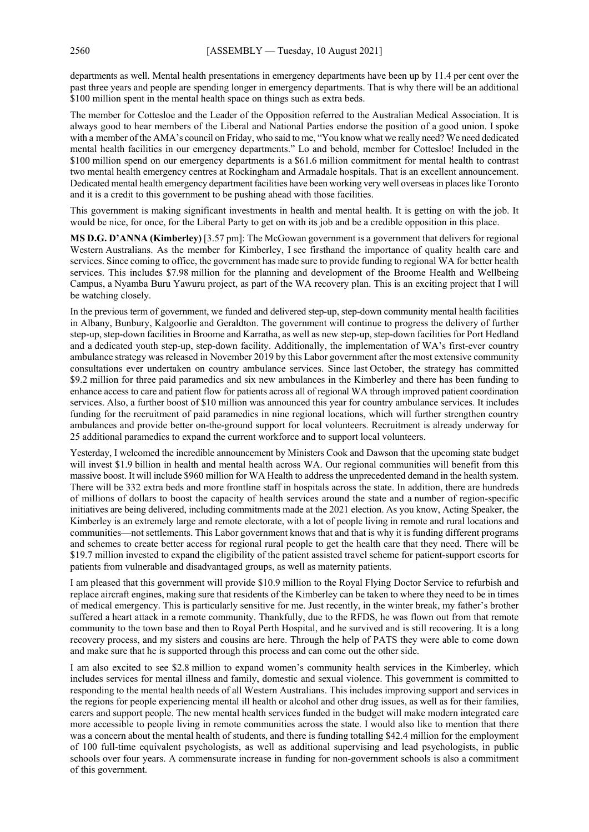departments as well. Mental health presentations in emergency departments have been up by 11.4 per cent over the past three years and people are spending longer in emergency departments. That is why there will be an additional \$100 million spent in the mental health space on things such as extra beds.

The member for Cottesloe and the Leader of the Opposition referred to the Australian Medical Association. It is always good to hear members of the Liberal and National Parties endorse the position of a good union. I spoke with a member of the AMA's council on Friday, who said to me, "You know what we really need? We need dedicated mental health facilities in our emergency departments." Lo and behold, member for Cottesloe! Included in the \$100 million spend on our emergency departments is a \$61.6 million commitment for mental health to contrast two mental health emergency centres at Rockingham and Armadale hospitals. That is an excellent announcement. Dedicated mental health emergency department facilities have been working very well overseas in places like Toronto and it is a credit to this government to be pushing ahead with those facilities.

This government is making significant investments in health and mental health. It is getting on with the job. It would be nice, for once, for the Liberal Party to get on with its job and be a credible opposition in this place.

**MS D.G. D'ANNA (Kimberley)** [3.57 pm]: The McGowan government is a government that delivers for regional Western Australians. As the member for Kimberley, I see firsthand the importance of quality health care and services. Since coming to office, the government has made sure to provide funding to regional WA for better health services. This includes \$7.98 million for the planning and development of the Broome Health and Wellbeing Campus, a Nyamba Buru Yawuru project, as part of the WA recovery plan. This is an exciting project that I will be watching closely.

In the previous term of government, we funded and delivered step-up, step-down community mental health facilities in Albany, Bunbury, Kalgoorlie and Geraldton. The government will continue to progress the delivery of further step-up, step-down facilities in Broome and Karratha, as well as new step-up, step-down facilities for Port Hedland and a dedicated youth step-up, step-down facility. Additionally, the implementation of WA's first-ever country ambulance strategy was released in November 2019 by this Labor government after the most extensive community consultations ever undertaken on country ambulance services. Since last October, the strategy has committed \$9.2 million for three paid paramedics and six new ambulances in the Kimberley and there has been funding to enhance access to care and patient flow for patients across all of regional WA through improved patient coordination services. Also, a further boost of \$10 million was announced this year for country ambulance services. It includes funding for the recruitment of paid paramedics in nine regional locations, which will further strengthen country ambulances and provide better on-the-ground support for local volunteers. Recruitment is already underway for 25 additional paramedics to expand the current workforce and to support local volunteers.

Yesterday, I welcomed the incredible announcement by Ministers Cook and Dawson that the upcoming state budget will invest \$1.9 billion in health and mental health across WA. Our regional communities will benefit from this massive boost. It will include \$960 million for WA Health to address the unprecedented demand in the health system. There will be 332 extra beds and more frontline staff in hospitals across the state. In addition, there are hundreds of millions of dollars to boost the capacity of health services around the state and a number of region-specific initiatives are being delivered, including commitments made at the 2021 election. As you know, Acting Speaker, the Kimberley is an extremely large and remote electorate, with a lot of people living in remote and rural locations and communities—not settlements. This Labor government knows that and that is why it is funding different programs and schemes to create better access for regional rural people to get the health care that they need. There will be \$19.7 million invested to expand the eligibility of the patient assisted travel scheme for patient-support escorts for patients from vulnerable and disadvantaged groups, as well as maternity patients.

I am pleased that this government will provide \$10.9 million to the Royal Flying Doctor Service to refurbish and replace aircraft engines, making sure that residents of the Kimberley can be taken to where they need to be in times of medical emergency. This is particularly sensitive for me. Just recently, in the winter break, my father's brother suffered a heart attack in a remote community. Thankfully, due to the RFDS, he was flown out from that remote community to the town base and then to Royal Perth Hospital, and he survived and is still recovering. It is a long recovery process, and my sisters and cousins are here. Through the help of PATS they were able to come down and make sure that he is supported through this process and can come out the other side.

I am also excited to see \$2.8 million to expand women's community health services in the Kimberley, which includes services for mental illness and family, domestic and sexual violence. This government is committed to responding to the mental health needs of all Western Australians. This includes improving support and services in the regions for people experiencing mental ill health or alcohol and other drug issues, as well as for their families, carers and support people. The new mental health services funded in the budget will make modern integrated care more accessible to people living in remote communities across the state. I would also like to mention that there was a concern about the mental health of students, and there is funding totalling \$42.4 million for the employment of 100 full-time equivalent psychologists, as well as additional supervising and lead psychologists, in public schools over four years. A commensurate increase in funding for non-government schools is also a commitment of this government.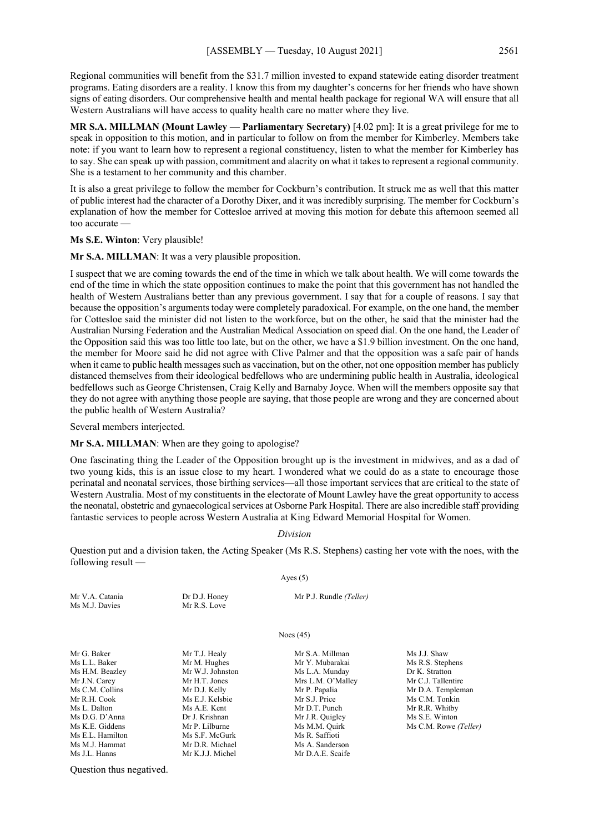Regional communities will benefit from the \$31.7 million invested to expand statewide eating disorder treatment programs. Eating disorders are a reality. I know this from my daughter's concerns for her friends who have shown signs of eating disorders. Our comprehensive health and mental health package for regional WA will ensure that all Western Australians will have access to quality health care no matter where they live.

**MR S.A. MILLMAN (Mount Lawley — Parliamentary Secretary)** [4.02 pm]: It is a great privilege for me to speak in opposition to this motion, and in particular to follow on from the member for Kimberley. Members take note: if you want to learn how to represent a regional constituency, listen to what the member for Kimberley has to say. She can speak up with passion, commitment and alacrity on what it takes to represent a regional community. She is a testament to her community and this chamber.

It is also a great privilege to follow the member for Cockburn's contribution. It struck me as well that this matter of public interest had the character of a Dorothy Dixer, and it was incredibly surprising. The member for Cockburn's explanation of how the member for Cottesloe arrived at moving this motion for debate this afternoon seemed all too accurate —

#### **Ms S.E. Winton**: Very plausible!

#### **Mr S.A. MILLMAN**: It was a very plausible proposition.

I suspect that we are coming towards the end of the time in which we talk about health. We will come towards the end of the time in which the state opposition continues to make the point that this government has not handled the health of Western Australians better than any previous government. I say that for a couple of reasons. I say that because the opposition's arguments today were completely paradoxical. For example, on the one hand, the member for Cottesloe said the minister did not listen to the workforce, but on the other, he said that the minister had the Australian Nursing Federation and the Australian Medical Association on speed dial. On the one hand, the Leader of the Opposition said this was too little too late, but on the other, we have a \$1.9 billion investment. On the one hand, the member for Moore said he did not agree with Clive Palmer and that the opposition was a safe pair of hands when it came to public health messages such as vaccination, but on the other, not one opposition member has publicly distanced themselves from their ideological bedfellows who are undermining public health in Australia, ideological bedfellows such as George Christensen, Craig Kelly and Barnaby Joyce. When will the members opposite say that they do not agree with anything those people are saying, that those people are wrong and they are concerned about the public health of Western Australia?

Several members interjected.

#### **Mr S.A. MILLMAN**: When are they going to apologise?

One fascinating thing the Leader of the Opposition brought up is the investment in midwives, and as a dad of two young kids, this is an issue close to my heart. I wondered what we could do as a state to encourage those perinatal and neonatal services, those birthing services—all those important services that are critical to the state of Western Australia. Most of my constituents in the electorate of Mount Lawley have the great opportunity to access the neonatal, obstetric and gynaecological services at Osborne Park Hospital. There are also incredible staff providing fantastic services to people across Western Australia at King Edward Memorial Hospital for Women.

#### *Division*

Question put and a division taken, the Acting Speaker (Ms R.S. Stephens) casting her vote with the noes, with the following result —

| Mr V.A. Catania  | Dr D.J. Honey    | Mr P.J. Rundle (Teller) |                |
|------------------|------------------|-------------------------|----------------|
| Ms M.J. Davies   | Mr R.S. Love     |                         |                |
|                  |                  |                         |                |
|                  |                  | Noes $(45)$             |                |
| Mr G. Baker      | Mr T.J. Healy    | Mr S.A. Millman         | Ms J.J. Shaw   |
| Ms L.L. Baker    | Mr M. Hughes     | Mr Y. Mubarakai         | Ms R.S. Steph  |
| Ms H.M. Beazley  | Mr W.J. Johnston | Ms L.A. Munday          | Dr K. Stratton |
| Mr J.N. Carey    | Mr H.T. Jones    | Mrs L.M. O'Malley       | Mr C.J. Taller |
| Ms C.M. Collins  | Mr D.J. Kelly    | Mr P. Papalia           | Mr D.A. Tem    |
| Mr R.H. Cook     | Ms E.J. Kelsbie  | Mr S.J. Price           | Ms C.M. Tonl   |
| Ms L. Dalton     | Ms A.E. Kent     | Mr D.T. Punch           | Mr R.R. Whit   |
| Ms D.G. D'Anna   | Dr J. Krishnan   | Mr J.R. Quigley         | Ms S.E. Winto  |
| Ms K.E. Giddens  | Mr P. Lilburne   | Ms M.M. Quirk           | Ms C.M. Row    |
| Ms E.L. Hamilton | Ms S.F. McGurk   | Ms R. Saffioti          |                |
| Ms M.J. Hammat   | Mr D.R. Michael  | Ms A. Sanderson         |                |
| Ms J.L. Hanns    | Mr K.J.J. Michel | Mr D.A.E. Scaife        |                |

Ms J.J. Shaw Ms R.S. Stephens Mr C.J. Tallentire Mr D.A. Templeman Ms C.M. Tonkin Mr R.R. Whitby Ms S.E. Winton Ms C.M. Rowe (Teller)

Question thus negatived.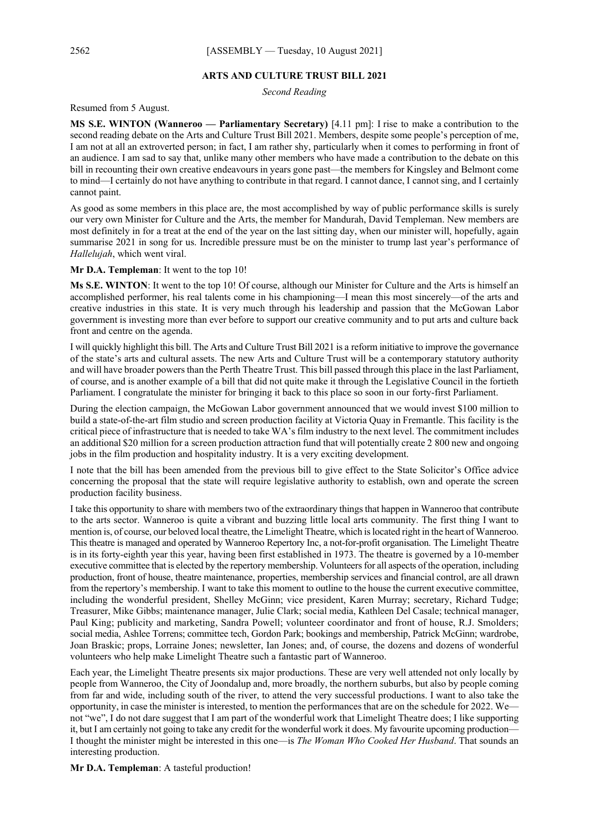## **ARTS AND CULTURE TRUST BILL 2021**

*Second Reading*

Resumed from 5 August.

**MS S.E. WINTON (Wanneroo — Parliamentary Secretary)** [4.11 pm]: I rise to make a contribution to the second reading debate on the Arts and Culture Trust Bill 2021. Members, despite some people's perception of me, I am not at all an extroverted person; in fact, I am rather shy, particularly when it comes to performing in front of an audience. I am sad to say that, unlike many other members who have made a contribution to the debate on this bill in recounting their own creative endeavours in years gone past—the members for Kingsley and Belmont come to mind—I certainly do not have anything to contribute in that regard. I cannot dance, I cannot sing, and I certainly cannot paint.

As good as some members in this place are, the most accomplished by way of public performance skills is surely our very own Minister for Culture and the Arts, the member for Mandurah, David Templeman. New members are most definitely in for a treat at the end of the year on the last sitting day, when our minister will, hopefully, again summarise 2021 in song for us. Incredible pressure must be on the minister to trump last year's performance of *Hallelujah*, which went viral.

## **Mr D.A. Templeman**: It went to the top 10!

**Ms S.E. WINTON**: It went to the top 10! Of course, although our Minister for Culture and the Arts is himself an accomplished performer, his real talents come in his championing—I mean this most sincerely—of the arts and creative industries in this state. It is very much through his leadership and passion that the McGowan Labor government is investing more than ever before to support our creative community and to put arts and culture back front and centre on the agenda.

I will quickly highlight this bill. The Arts and Culture Trust Bill 2021 is a reform initiative to improve the governance of the state's arts and cultural assets. The new Arts and Culture Trust will be a contemporary statutory authority and will have broader powers than the Perth Theatre Trust. This bill passed through this place in the last Parliament, of course, and is another example of a bill that did not quite make it through the Legislative Council in the fortieth Parliament. I congratulate the minister for bringing it back to this place so soon in our forty-first Parliament.

During the election campaign, the McGowan Labor government announced that we would invest \$100 million to build a state-of-the-art film studio and screen production facility at Victoria Quay in Fremantle. This facility is the critical piece of infrastructure that is needed to take WA's film industry to the next level. The commitment includes an additional \$20 million for a screen production attraction fund that will potentially create 2 800 new and ongoing jobs in the film production and hospitality industry. It is a very exciting development.

I note that the bill has been amended from the previous bill to give effect to the State Solicitor's Office advice concerning the proposal that the state will require legislative authority to establish, own and operate the screen production facility business.

I take this opportunity to share with members two of the extraordinary things that happen in Wanneroo that contribute to the arts sector. Wanneroo is quite a vibrant and buzzing little local arts community. The first thing I want to mention is, of course, our beloved local theatre, the Limelight Theatre, which is located right in the heart of Wanneroo. This theatre is managed and operated by Wanneroo Repertory Inc, a not-for-profit organisation. The Limelight Theatre is in its forty-eighth year this year, having been first established in 1973. The theatre is governed by a 10-member executive committee that is elected by the repertory membership. Volunteers for all aspects of the operation, including production, front of house, theatre maintenance, properties, membership services and financial control, are all drawn from the repertory's membership. I want to take this moment to outline to the house the current executive committee, including the wonderful president, Shelley McGinn; vice president, Karen Murray; secretary, Richard Tudge; Treasurer, Mike Gibbs; maintenance manager, Julie Clark; social media, Kathleen Del Casale; technical manager, Paul King; publicity and marketing, Sandra Powell; volunteer coordinator and front of house, R.J. Smolders; social media, Ashlee Torrens; committee tech, Gordon Park; bookings and membership, Patrick McGinn; wardrobe, Joan Braskic; props, Lorraine Jones; newsletter, Ian Jones; and, of course, the dozens and dozens of wonderful volunteers who help make Limelight Theatre such a fantastic part of Wanneroo.

Each year, the Limelight Theatre presents six major productions. These are very well attended not only locally by people from Wanneroo, the City of Joondalup and, more broadly, the northern suburbs, but also by people coming from far and wide, including south of the river, to attend the very successful productions. I want to also take the opportunity, in case the minister is interested, to mention the performances that are on the schedule for 2022. We not "we", I do not dare suggest that I am part of the wonderful work that Limelight Theatre does; I like supporting it, but I am certainly not going to take any credit for the wonderful work it does. My favourite upcoming production— I thought the minister might be interested in this one—is *The Woman Who Cooked Her Husband*. That sounds an interesting production.

#### **Mr D.A. Templeman**: A tasteful production!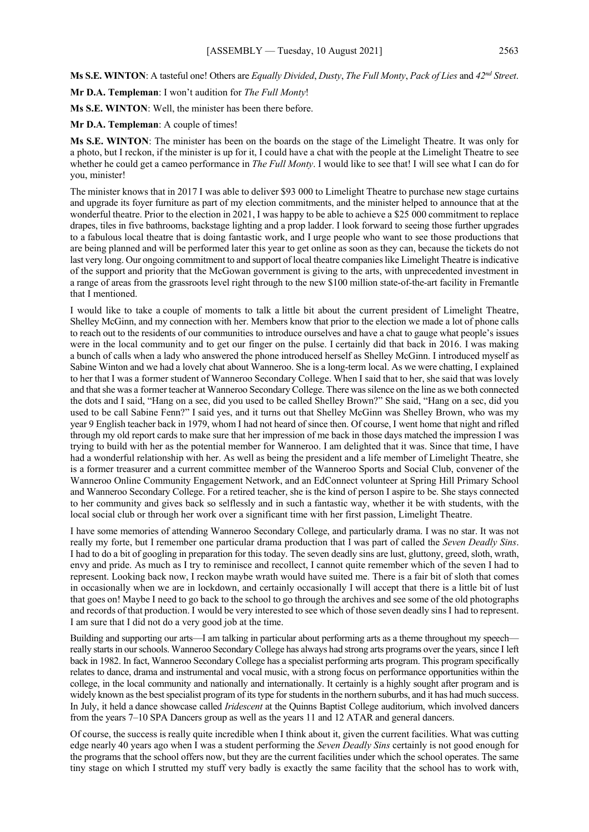**Ms S.E. WINTON**: A tasteful one! Others are *Equally Divided*, *Dusty*, *The Full Monty*, *Pack of Lies* and *42nd Street*.

**Mr D.A. Templeman**: I won't audition for *The Full Monty*!

**Ms S.E. WINTON**: Well, the minister has been there before.

**Mr D.A. Templeman**: A couple of times!

**Ms S.E. WINTON**: The minister has been on the boards on the stage of the Limelight Theatre. It was only for a photo, but I reckon, if the minister is up for it, I could have a chat with the people at the Limelight Theatre to see whether he could get a cameo performance in *The Full Monty*. I would like to see that! I will see what I can do for you, minister!

The minister knows that in 2017 I was able to deliver \$93 000 to Limelight Theatre to purchase new stage curtains and upgrade its foyer furniture as part of my election commitments, and the minister helped to announce that at the wonderful theatre. Prior to the election in 2021, I was happy to be able to achieve a \$25 000 commitment to replace drapes, tiles in five bathrooms, backstage lighting and a prop ladder. I look forward to seeing those further upgrades to a fabulous local theatre that is doing fantastic work, and I urge people who want to see those productions that are being planned and will be performed later this year to get online as soon as they can, because the tickets do not last very long. Our ongoing commitment to and support of local theatre companies like Limelight Theatre is indicative of the support and priority that the McGowan government is giving to the arts, with unprecedented investment in a range of areas from the grassroots level right through to the new \$100 million state-of-the-art facility in Fremantle that I mentioned.

I would like to take a couple of moments to talk a little bit about the current president of Limelight Theatre, Shelley McGinn, and my connection with her. Members know that prior to the election we made a lot of phone calls to reach out to the residents of our communities to introduce ourselves and have a chat to gauge what people's issues were in the local community and to get our finger on the pulse. I certainly did that back in 2016. I was making a bunch of calls when a lady who answered the phone introduced herself as Shelley McGinn. I introduced myself as Sabine Winton and we had a lovely chat about Wanneroo. She is a long-term local. As we were chatting, I explained to her that I was a former student of Wanneroo Secondary College. When I said that to her, she said that was lovely and that she was a former teacher at Wanneroo Secondary College. There was silence on the line as we both connected the dots and I said, "Hang on a sec, did you used to be called Shelley Brown?" She said, "Hang on a sec, did you used to be call Sabine Fenn?" I said yes, and it turns out that Shelley McGinn was Shelley Brown, who was my year 9 English teacher back in 1979, whom I had not heard of since then. Of course, I went home that night and rifled through my old report cards to make sure that her impression of me back in those days matched the impression I was trying to build with her as the potential member for Wanneroo. I am delighted that it was. Since that time, I have had a wonderful relationship with her. As well as being the president and a life member of Limelight Theatre, she is a former treasurer and a current committee member of the Wanneroo Sports and Social Club, convener of the Wanneroo Online Community Engagement Network, and an EdConnect volunteer at Spring Hill Primary School and Wanneroo Secondary College. For a retired teacher, she is the kind of person I aspire to be. She stays connected to her community and gives back so selflessly and in such a fantastic way, whether it be with students, with the local social club or through her work over a significant time with her first passion, Limelight Theatre.

I have some memories of attending Wanneroo Secondary College, and particularly drama. I was no star. It was not really my forte, but I remember one particular drama production that I was part of called the *Seven Deadly Sins*. I had to do a bit of googling in preparation for this today. The seven deadly sins are lust, gluttony, greed, sloth, wrath, envy and pride. As much as I try to reminisce and recollect, I cannot quite remember which of the seven I had to represent. Looking back now, I reckon maybe wrath would have suited me. There is a fair bit of sloth that comes in occasionally when we are in lockdown, and certainly occasionally I will accept that there is a little bit of lust that goes on! Maybe I need to go back to the school to go through the archives and see some of the old photographs and records of that production. I would be very interested to see which of those seven deadly sinsI had to represent. I am sure that I did not do a very good job at the time.

Building and supporting our arts—I am talking in particular about performing arts as a theme throughout my speech really starts in our schools. Wanneroo Secondary College has always had strong arts programs over the years, since I left back in 1982. In fact, Wanneroo Secondary College has a specialist performing arts program. This program specifically relates to dance, drama and instrumental and vocal music, with a strong focus on performance opportunities within the college, in the local community and nationally and internationally. It certainly is a highly sought after program and is widely known as the best specialist program of its type for students in the northern suburbs, and it has had much success. In July, it held a dance showcase called *Iridescent* at the Quinns Baptist College auditorium, which involved dancers from the years 7–10 SPA Dancers group as well as the years 11 and 12 ATAR and general dancers.

Of course, the success is really quite incredible when I think about it, given the current facilities. What was cutting edge nearly 40 years ago when I was a student performing the *Seven Deadly Sins* certainly is not good enough for the programs that the school offers now, but they are the current facilities under which the school operates. The same tiny stage on which I strutted my stuff very badly is exactly the same facility that the school has to work with,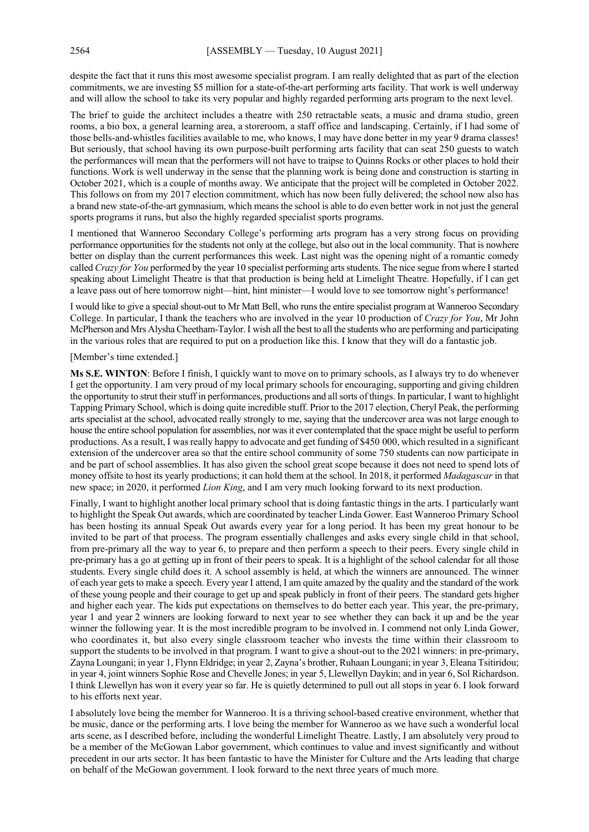despite the fact that it runs this most awesome specialist program. I am really delighted that as part of the election commitments, we are investing \$5 million for a state-of-the-art performing arts facility. That work is well underway and will allow the school to take its very popular and highly regarded performing arts program to the next level.

The brief to guide the architect includes a theatre with 250 retractable seats, a music and drama studio, green rooms, a bio box, a general learning area, a storeroom, a staff office and landscaping. Certainly, if I had some of those bells-and-whistles facilities available to me, who knows, I may have done better in my year 9 drama classes! But seriously, that school having its own purpose-built performing arts facility that can seat 250 guests to watch the performances will mean that the performers will not have to traipse to Quinns Rocks or other places to hold their functions. Work is well underway in the sense that the planning work is being done and construction is starting in October 2021, which is a couple of months away. We anticipate that the project will be completed in October 2022. This follows on from my 2017 election commitment, which has now been fully delivered; the school now also has a brand new state-of-the-art gymnasium, which means the school is able to do even better work in not just the general sports programs it runs, but also the highly regarded specialist sports programs.

I mentioned that Wanneroo Secondary College's performing arts program has a very strong focus on providing performance opportunities for the students not only at the college, but also out in the local community. That is nowhere better on display than the current performances this week. Last night was the opening night of a romantic comedy called *Crazy for You* performed by the year 10 specialist performing arts students. The nice segue from where I started speaking about Limelight Theatre is that that production is being held at Limelight Theatre. Hopefully, if I can get a leave pass out of here tomorrow night—hint, hint minister—I would love to see tomorrow night's performance!

I would like to give a special shout-out to Mr Matt Bell, who runs the entire specialist program at Wanneroo Secondary College. In particular, I thank the teachers who are involved in the year 10 production of *Crazy for You*, Mr John McPherson and Mrs Alysha Cheetham-Taylor.I wish all the best to all the students who are performing and participating in the various roles that are required to put on a production like this. I know that they will do a fantastic job.

#### [Member's time extended.]

**Ms S.E. WINTON**: Before I finish, I quickly want to move on to primary schools, as I always try to do whenever I get the opportunity. I am very proud of my local primary schools for encouraging, supporting and giving children the opportunity to strut their stuff in performances, productions and all sorts of things. In particular, I want to highlight Tapping Primary School, which is doing quite incredible stuff. Prior to the 2017 election, Cheryl Peak, the performing arts specialist at the school, advocated really strongly to me, saying that the undercover area was not large enough to house the entire school population for assemblies, nor was it ever contemplated that the space might be useful to perform productions. As a result, I was really happy to advocate and get funding of \$450 000, which resulted in a significant extension of the undercover area so that the entire school community of some 750 students can now participate in and be part of school assemblies. It has also given the school great scope because it does not need to spend lots of money offsite to host its yearly productions; it can hold them at the school. In 2018, it performed *Madagascar* in that new space; in 2020, it performed *Lion King*, and I am very much looking forward to its next production.

Finally, I want to highlight another local primary school that is doing fantastic things in the arts. I particularly want to highlight the Speak Out awards, which are coordinated by teacher Linda Gower. East Wanneroo Primary School has been hosting its annual Speak Out awards every year for a long period. It has been my great honour to be invited to be part of that process. The program essentially challenges and asks every single child in that school, from pre-primary all the way to year 6, to prepare and then perform a speech to their peers. Every single child in pre-primary has a go at getting up in front of their peers to speak. It is a highlight of the school calendar for all those students. Every single child does it. A school assembly is held, at which the winners are announced. The winner of each year gets to make a speech. Every year I attend, I am quite amazed by the quality and the standard of the work of these young people and their courage to get up and speak publicly in front of their peers. The standard gets higher and higher each year. The kids put expectations on themselves to do better each year. This year, the pre-primary, year 1 and year 2 winners are looking forward to next year to see whether they can back it up and be the year winner the following year. It is the most incredible program to be involved in. I commend not only Linda Gower, who coordinates it, but also every single classroom teacher who invests the time within their classroom to support the students to be involved in that program. I want to give a shout-out to the 2021 winners: in pre-primary, Zayna Loungani; in year 1, Flynn Eldridge; in year 2, Zayna's brother, Ruhaan Loungani; in year 3, Eleana Tsitiridou; in year 4, joint winners Sophie Rose and Chevelle Jones; in year 5, Llewellyn Daykin; and in year 6, Sol Richardson. I think Llewellyn has won it every year so far. He is quietly determined to pull out all stops in year 6. I look forward to his efforts next year.

I absolutely love being the member for Wanneroo. It is a thriving school-based creative environment, whether that be music, dance or the performing arts. I love being the member for Wanneroo as we have such a wonderful local arts scene, as I described before, including the wonderful Limelight Theatre. Lastly, I am absolutely very proud to be a member of the McGowan Labor government, which continues to value and invest significantly and without precedent in our arts sector. It has been fantastic to have the Minister for Culture and the Arts leading that charge on behalf of the McGowan government. I look forward to the next three years of much more.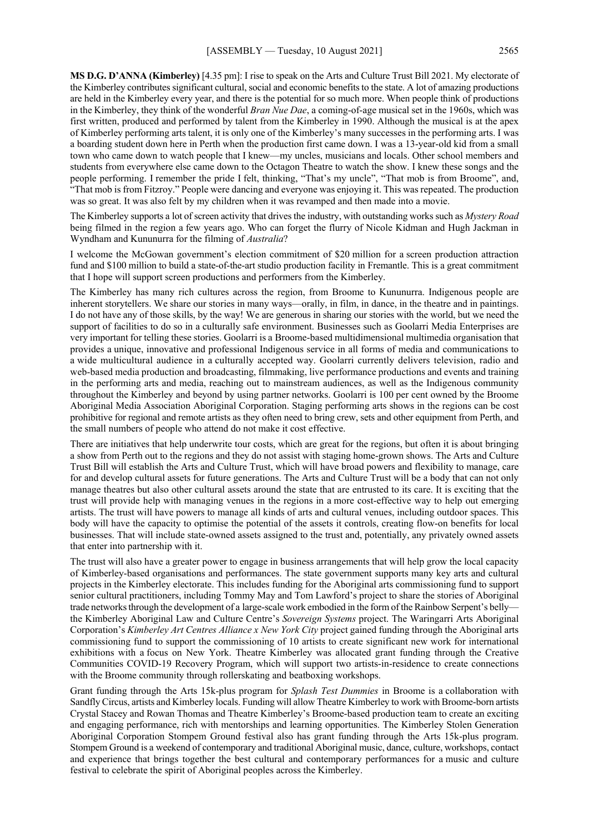**MS D.G. D'ANNA (Kimberley)** [4.35 pm]: I rise to speak on the Arts and Culture Trust Bill 2021. My electorate of the Kimberley contributes significant cultural, social and economic benefits to the state. A lot of amazing productions are held in the Kimberley every year, and there is the potential for so much more. When people think of productions in the Kimberley, they think of the wonderful *Bran Nue Dae*, a coming-of-age musical set in the 1960s, which was first written, produced and performed by talent from the Kimberley in 1990. Although the musical is at the apex of Kimberley performing arts talent, it is only one of the Kimberley's many successes in the performing arts. I was a boarding student down here in Perth when the production first came down. I was a 13-year-old kid from a small town who came down to watch people that I knew—my uncles, musicians and locals. Other school members and students from everywhere else came down to the Octagon Theatre to watch the show. I knew these songs and the people performing. I remember the pride I felt, thinking, "That's my uncle", "That mob is from Broome", and, "That mob is from Fitzroy." People were dancing and everyone was enjoying it. This was repeated. The production was so great. It was also felt by my children when it was revamped and then made into a movie.

The Kimberley supports a lot of screen activity that drives the industry, with outstanding works such as *Mystery Road* being filmed in the region a few years ago. Who can forget the flurry of Nicole Kidman and Hugh Jackman in Wyndham and Kununurra for the filming of *Australia*?

I welcome the McGowan government's election commitment of \$20 million for a screen production attraction fund and \$100 million to build a state-of-the-art studio production facility in Fremantle. This is a great commitment that I hope will support screen productions and performers from the Kimberley.

The Kimberley has many rich cultures across the region, from Broome to Kununurra. Indigenous people are inherent storytellers. We share our stories in many ways—orally, in film, in dance, in the theatre and in paintings. I do not have any of those skills, by the way! We are generous in sharing our stories with the world, but we need the support of facilities to do so in a culturally safe environment. Businesses such as Goolarri Media Enterprises are very important for telling these stories. Goolarri is a Broome-based multidimensional multimedia organisation that provides a unique, innovative and professional Indigenous service in all forms of media and communications to a wide multicultural audience in a culturally accepted way. Goolarri currently delivers television, radio and web-based media production and broadcasting, filmmaking, live performance productions and events and training in the performing arts and media, reaching out to mainstream audiences, as well as the Indigenous community throughout the Kimberley and beyond by using partner networks. Goolarri is 100 per cent owned by the Broome Aboriginal Media Association Aboriginal Corporation. Staging performing arts shows in the regions can be cost prohibitive for regional and remote artists as they often need to bring crew, sets and other equipment from Perth, and the small numbers of people who attend do not make it cost effective.

There are initiatives that help underwrite tour costs, which are great for the regions, but often it is about bringing a show from Perth out to the regions and they do not assist with staging home-grown shows. The Arts and Culture Trust Bill will establish the Arts and Culture Trust, which will have broad powers and flexibility to manage, care for and develop cultural assets for future generations. The Arts and Culture Trust will be a body that can not only manage theatres but also other cultural assets around the state that are entrusted to its care. It is exciting that the trust will provide help with managing venues in the regions in a more cost-effective way to help out emerging artists. The trust will have powers to manage all kinds of arts and cultural venues, including outdoor spaces. This body will have the capacity to optimise the potential of the assets it controls, creating flow-on benefits for local businesses. That will include state-owned assets assigned to the trust and, potentially, any privately owned assets that enter into partnership with it.

The trust will also have a greater power to engage in business arrangements that will help grow the local capacity of Kimberley-based organisations and performances. The state government supports many key arts and cultural projects in the Kimberley electorate. This includes funding for the Aboriginal arts commissioning fund to support senior cultural practitioners, including Tommy May and Tom Lawford's project to share the stories of Aboriginal trade networks through the development of a large-scale work embodied in the form of the Rainbow Serpent's belly the Kimberley Aboriginal Law and Culture Centre's *Sovereign Systems* project. The Waringarri Arts Aboriginal Corporation's *Kimberley Art Centres Alliance x New York City* project gained funding through the Aboriginal arts commissioning fund to support the commissioning of 10 artists to create significant new work for international exhibitions with a focus on New York. Theatre Kimberley was allocated grant funding through the Creative Communities COVID-19 Recovery Program, which will support two artists-in-residence to create connections with the Broome community through rollerskating and beatboxing workshops.

Grant funding through the Arts 15k-plus program for *Splash Test Dummies* in Broome is a collaboration with Sandfly Circus, artists and Kimberley locals. Funding will allow Theatre Kimberley to work with Broome-born artists Crystal Stacey and Rowan Thomas and Theatre Kimberley's Broome-based production team to create an exciting and engaging performance, rich with mentorships and learning opportunities. The Kimberley Stolen Generation Aboriginal Corporation Stompem Ground festival also has grant funding through the Arts 15k-plus program. Stompem Ground is a weekend of contemporary and traditional Aboriginal music, dance, culture, workshops, contact and experience that brings together the best cultural and contemporary performances for a music and culture festival to celebrate the spirit of Aboriginal peoples across the Kimberley.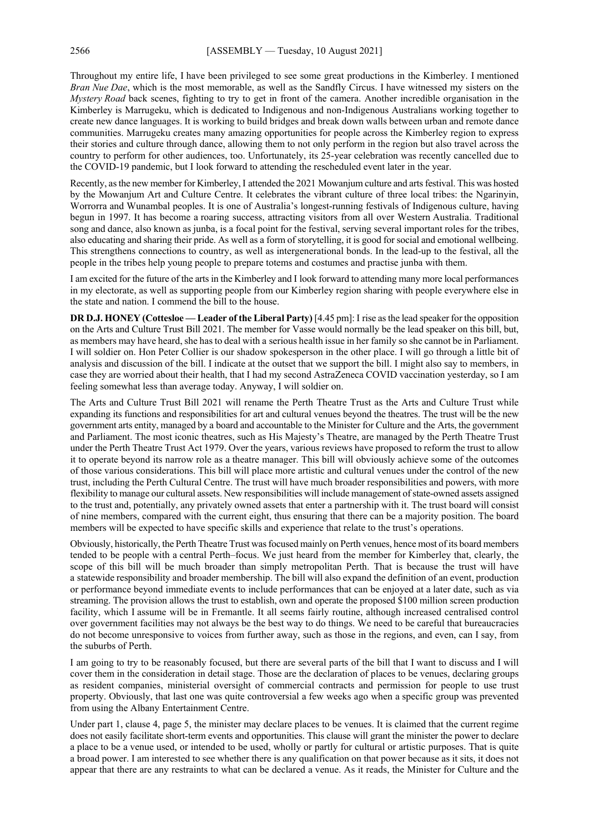Throughout my entire life, I have been privileged to see some great productions in the Kimberley. I mentioned *Bran Nue Dae*, which is the most memorable, as well as the Sandfly Circus. I have witnessed my sisters on the *Mystery Road* back scenes, fighting to try to get in front of the camera. Another incredible organisation in the Kimberley is Marrugeku, which is dedicated to Indigenous and non-Indigenous Australians working together to create new dance languages. It is working to build bridges and break down walls between urban and remote dance communities. Marrugeku creates many amazing opportunities for people across the Kimberley region to express their stories and culture through dance, allowing them to not only perform in the region but also travel across the country to perform for other audiences, too. Unfortunately, its 25-year celebration was recently cancelled due to the COVID-19 pandemic, but I look forward to attending the rescheduled event later in the year.

Recently, as the new member for Kimberley, I attended the 2021 Mowanjum culture and arts festival. This was hosted by the Mowanjum Art and Culture Centre. It celebrates the vibrant culture of three local tribes: the Ngarinyin, Worrorra and Wunambal peoples. It is one of Australia's longest-running festivals of Indigenous culture, having begun in 1997. It has become a roaring success, attracting visitors from all over Western Australia. Traditional song and dance, also known as junba, is a focal point for the festival, serving several important roles for the tribes, also educating and sharing their pride. As well as a form of storytelling, it is good for social and emotional wellbeing. This strengthens connections to country, as well as intergenerational bonds. In the lead-up to the festival, all the people in the tribes help young people to prepare totems and costumes and practise junba with them.

I am excited for the future of the arts in the Kimberley and I look forward to attending many more local performances in my electorate, as well as supporting people from our Kimberley region sharing with people everywhere else in the state and nation. I commend the bill to the house.

**DR D.J. HONEY (Cottesloe — Leader of the Liberal Party)** [4.45 pm]: I rise as the lead speaker for the opposition on the Arts and Culture Trust Bill 2021. The member for Vasse would normally be the lead speaker on this bill, but, as members may have heard, she has to deal with a serious health issue in her family so she cannot be in Parliament. I will soldier on. Hon Peter Collier is our shadow spokesperson in the other place. I will go through a little bit of analysis and discussion of the bill. I indicate at the outset that we support the bill. I might also say to members, in case they are worried about their health, that I had my second AstraZeneca COVID vaccination yesterday, so I am feeling somewhat less than average today. Anyway, I will soldier on.

The Arts and Culture Trust Bill 2021 will rename the Perth Theatre Trust as the Arts and Culture Trust while expanding its functions and responsibilities for art and cultural venues beyond the theatres. The trust will be the new government arts entity, managed by a board and accountable to the Minister for Culture and the Arts, the government and Parliament. The most iconic theatres, such as His Majesty's Theatre, are managed by the Perth Theatre Trust under the Perth Theatre Trust Act 1979. Over the years, various reviews have proposed to reform the trust to allow it to operate beyond its narrow role as a theatre manager. This bill will obviously achieve some of the outcomes of those various considerations. This bill will place more artistic and cultural venues under the control of the new trust, including the Perth Cultural Centre. The trust will have much broader responsibilities and powers, with more flexibility to manage our cultural assets. New responsibilities will include management of state-owned assets assigned to the trust and, potentially, any privately owned assets that enter a partnership with it. The trust board will consist of nine members, compared with the current eight, thus ensuring that there can be a majority position. The board members will be expected to have specific skills and experience that relate to the trust's operations.

Obviously, historically, the Perth Theatre Trust was focused mainly on Perth venues, hence most of its board members tended to be people with a central Perth–focus. We just heard from the member for Kimberley that, clearly, the scope of this bill will be much broader than simply metropolitan Perth. That is because the trust will have a statewide responsibility and broader membership. The bill will also expand the definition of an event, production or performance beyond immediate events to include performances that can be enjoyed at a later date, such as via streaming. The provision allows the trust to establish, own and operate the proposed \$100 million screen production facility, which I assume will be in Fremantle. It all seems fairly routine, although increased centralised control over government facilities may not always be the best way to do things. We need to be careful that bureaucracies do not become unresponsive to voices from further away, such as those in the regions, and even, can I say, from the suburbs of Perth.

I am going to try to be reasonably focused, but there are several parts of the bill that I want to discuss and I will cover them in the consideration in detail stage. Those are the declaration of places to be venues, declaring groups as resident companies, ministerial oversight of commercial contracts and permission for people to use trust property. Obviously, that last one was quite controversial a few weeks ago when a specific group was prevented from using the Albany Entertainment Centre.

Under part 1, clause 4, page 5, the minister may declare places to be venues. It is claimed that the current regime does not easily facilitate short-term events and opportunities. This clause will grant the minister the power to declare a place to be a venue used, or intended to be used, wholly or partly for cultural or artistic purposes. That is quite a broad power. I am interested to see whether there is any qualification on that power because as it sits, it does not appear that there are any restraints to what can be declared a venue. As it reads, the Minister for Culture and the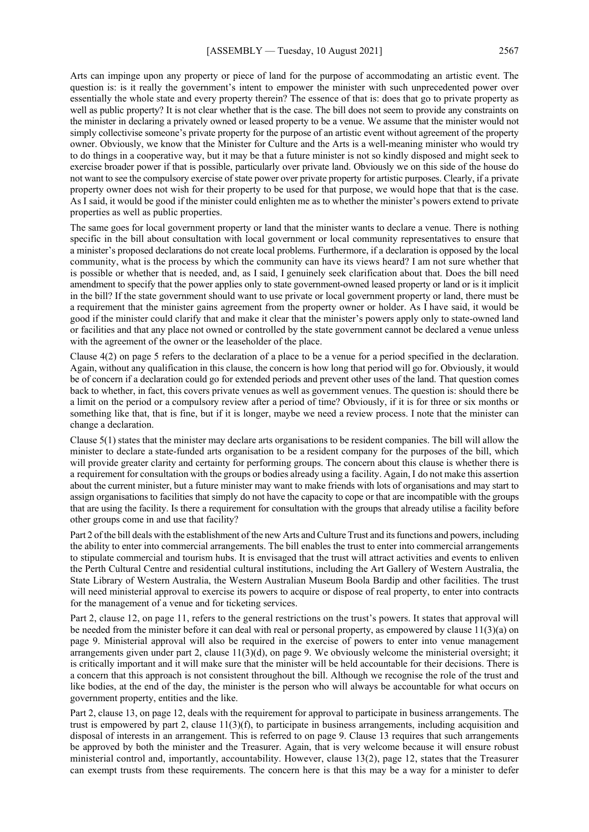Arts can impinge upon any property or piece of land for the purpose of accommodating an artistic event. The question is: is it really the government's intent to empower the minister with such unprecedented power over essentially the whole state and every property therein? The essence of that is: does that go to private property as well as public property? It is not clear whether that is the case. The bill does not seem to provide any constraints on the minister in declaring a privately owned or leased property to be a venue. We assume that the minister would not simply collectivise someone's private property for the purpose of an artistic event without agreement of the property owner. Obviously, we know that the Minister for Culture and the Arts is a well-meaning minister who would try to do things in a cooperative way, but it may be that a future minister is not so kindly disposed and might seek to exercise broader power if that is possible, particularly over private land. Obviously we on this side of the house do not want to see the compulsory exercise of state power over private property for artistic purposes. Clearly, if a private property owner does not wish for their property to be used for that purpose, we would hope that that is the case. As I said, it would be good if the minister could enlighten me as to whether the minister's powers extend to private properties as well as public properties.

The same goes for local government property or land that the minister wants to declare a venue. There is nothing specific in the bill about consultation with local government or local community representatives to ensure that a minister's proposed declarations do not create local problems. Furthermore, if a declaration is opposed by the local community, what is the process by which the community can have its views heard? I am not sure whether that is possible or whether that is needed, and, as I said, I genuinely seek clarification about that. Does the bill need amendment to specify that the power applies only to state government-owned leased property or land or is it implicit in the bill? If the state government should want to use private or local government property or land, there must be a requirement that the minister gains agreement from the property owner or holder. As I have said, it would be good if the minister could clarify that and make it clear that the minister's powers apply only to state-owned land or facilities and that any place not owned or controlled by the state government cannot be declared a venue unless with the agreement of the owner or the leaseholder of the place.

Clause 4(2) on page 5 refers to the declaration of a place to be a venue for a period specified in the declaration. Again, without any qualification in this clause, the concern is how long that period will go for. Obviously, it would be of concern if a declaration could go for extended periods and prevent other uses of the land. That question comes back to whether, in fact, this covers private venues as well as government venues. The question is: should there be a limit on the period or a compulsory review after a period of time? Obviously, if it is for three or six months or something like that, that is fine, but if it is longer, maybe we need a review process. I note that the minister can change a declaration.

Clause 5(1) states that the minister may declare arts organisations to be resident companies. The bill will allow the minister to declare a state-funded arts organisation to be a resident company for the purposes of the bill, which will provide greater clarity and certainty for performing groups. The concern about this clause is whether there is a requirement for consultation with the groups or bodies already using a facility. Again, I do not make this assertion about the current minister, but a future minister may want to make friends with lots of organisations and may start to assign organisations to facilities that simply do not have the capacity to cope or that are incompatible with the groups that are using the facility. Is there a requirement for consultation with the groups that already utilise a facility before other groups come in and use that facility?

Part 2 of the bill deals with the establishment of the new Arts and Culture Trust and its functions and powers, including the ability to enter into commercial arrangements. The bill enables the trust to enter into commercial arrangements to stipulate commercial and tourism hubs. It is envisaged that the trust will attract activities and events to enliven the Perth Cultural Centre and residential cultural institutions, including the Art Gallery of Western Australia, the State Library of Western Australia, the Western Australian Museum Boola Bardip and other facilities. The trust will need ministerial approval to exercise its powers to acquire or dispose of real property, to enter into contracts for the management of a venue and for ticketing services.

Part 2, clause 12, on page 11, refers to the general restrictions on the trust's powers. It states that approval will be needed from the minister before it can deal with real or personal property, as empowered by clause 11(3)(a) on page 9. Ministerial approval will also be required in the exercise of powers to enter into venue management arrangements given under part 2, clause 11(3)(d), on page 9. We obviously welcome the ministerial oversight; it is critically important and it will make sure that the minister will be held accountable for their decisions. There is a concern that this approach is not consistent throughout the bill. Although we recognise the role of the trust and like bodies, at the end of the day, the minister is the person who will always be accountable for what occurs on government property, entities and the like.

Part 2, clause 13, on page 12, deals with the requirement for approval to participate in business arrangements. The trust is empowered by part 2, clause 11(3)(f), to participate in business arrangements, including acquisition and disposal of interests in an arrangement. This is referred to on page 9. Clause 13 requires that such arrangements be approved by both the minister and the Treasurer. Again, that is very welcome because it will ensure robust ministerial control and, importantly, accountability. However, clause 13(2), page 12, states that the Treasurer can exempt trusts from these requirements. The concern here is that this may be a way for a minister to defer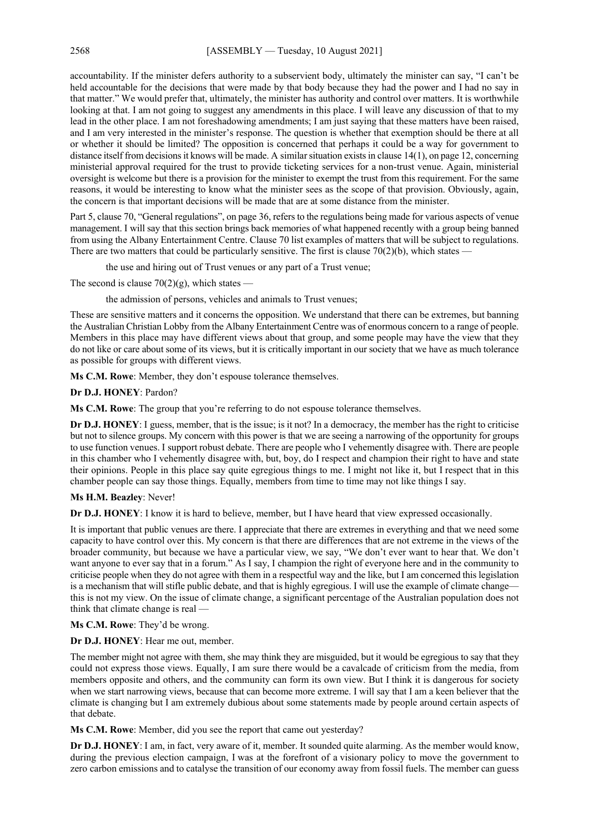accountability. If the minister defers authority to a subservient body, ultimately the minister can say, "I can't be held accountable for the decisions that were made by that body because they had the power and I had no say in that matter." We would prefer that, ultimately, the minister has authority and control over matters. It is worthwhile looking at that. I am not going to suggest any amendments in this place. I will leave any discussion of that to my lead in the other place. I am not foreshadowing amendments; I am just saying that these matters have been raised, and I am very interested in the minister's response. The question is whether that exemption should be there at all or whether it should be limited? The opposition is concerned that perhaps it could be a way for government to distance itself from decisions it knows will be made. A similar situation exists in clause 14(1), on page 12, concerning ministerial approval required for the trust to provide ticketing services for a non-trust venue. Again, ministerial oversight is welcome but there is a provision for the minister to exempt the trust from this requirement. For the same reasons, it would be interesting to know what the minister sees as the scope of that provision. Obviously, again, the concern is that important decisions will be made that are at some distance from the minister.

Part 5, clause 70, "General regulations", on page 36, refers to the regulations being made for various aspects of venue management. I will say that this section brings back memories of what happened recently with a group being banned from using the Albany Entertainment Centre. Clause 70 list examples of matters that will be subject to regulations. There are two matters that could be particularly sensitive. The first is clause  $70(2)(b)$ , which states –

the use and hiring out of Trust venues or any part of a Trust venue;

The second is clause  $70(2)(g)$ , which states —

the admission of persons, vehicles and animals to Trust venues;

These are sensitive matters and it concerns the opposition. We understand that there can be extremes, but banning the Australian Christian Lobby from the Albany Entertainment Centre was of enormous concern to a range of people. Members in this place may have different views about that group, and some people may have the view that they do not like or care about some of its views, but it is critically important in our society that we have as much tolerance as possible for groups with different views.

**Ms C.M. Rowe**: Member, they don't espouse tolerance themselves.

**Dr D.J. HONEY**: Pardon?

**Ms C.M. Rowe**: The group that you're referring to do not espouse tolerance themselves.

**Dr D.J. HONEY**: I guess, member, that is the issue; is it not? In a democracy, the member has the right to criticise but not to silence groups. My concern with this power is that we are seeing a narrowing of the opportunity for groups to use function venues. I support robust debate. There are people who I vehemently disagree with. There are people in this chamber who I vehemently disagree with, but, boy, do I respect and champion their right to have and state their opinions. People in this place say quite egregious things to me. I might not like it, but I respect that in this chamber people can say those things. Equally, members from time to time may not like things I say.

**Ms H.M. Beazley**: Never!

**Dr D.J. HONEY**: I know it is hard to believe, member, but I have heard that view expressed occasionally.

It is important that public venues are there. I appreciate that there are extremes in everything and that we need some capacity to have control over this. My concern is that there are differences that are not extreme in the views of the broader community, but because we have a particular view, we say, "We don't ever want to hear that. We don't want anyone to ever say that in a forum." As I say, I champion the right of everyone here and in the community to criticise people when they do not agree with them in a respectful way and the like, but I am concerned this legislation is a mechanism that will stifle public debate, and that is highly egregious. I will use the example of climate change this is not my view. On the issue of climate change, a significant percentage of the Australian population does not think that climate change is real —

**Ms C.M. Rowe**: They'd be wrong.

**Dr D.J. HONEY**: Hear me out, member.

The member might not agree with them, she may think they are misguided, but it would be egregious to say that they could not express those views. Equally, I am sure there would be a cavalcade of criticism from the media, from members opposite and others, and the community can form its own view. But I think it is dangerous for society when we start narrowing views, because that can become more extreme. I will say that I am a keen believer that the climate is changing but I am extremely dubious about some statements made by people around certain aspects of that debate.

**Ms C.M. Rowe**: Member, did you see the report that came out yesterday?

**Dr D.J. HONEY**: I am, in fact, very aware of it, member. It sounded quite alarming. As the member would know, during the previous election campaign, I was at the forefront of a visionary policy to move the government to zero carbon emissions and to catalyse the transition of our economy away from fossil fuels. The member can guess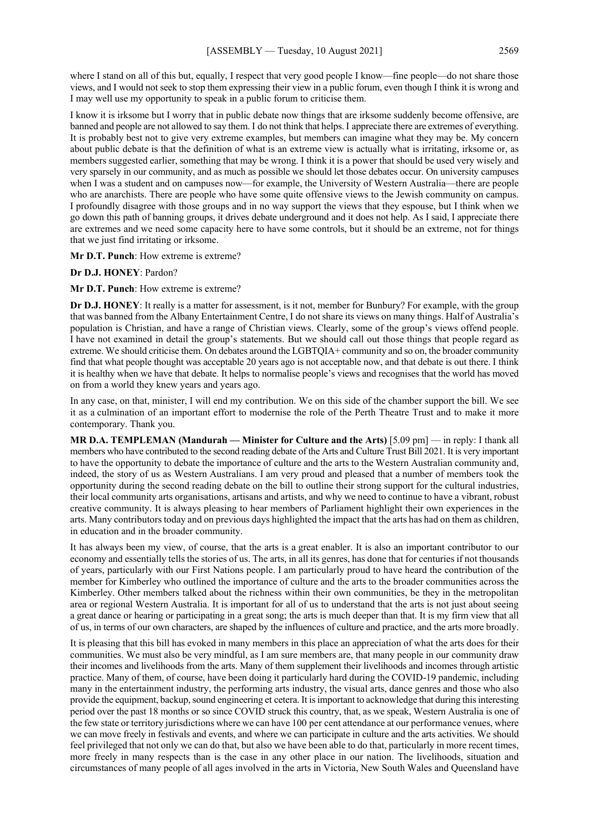where I stand on all of this but, equally, I respect that very good people I know—fine people—do not share those views, and I would not seek to stop them expressing their view in a public forum, even though I think it is wrong and I may well use my opportunity to speak in a public forum to criticise them.

I know it is irksome but I worry that in public debate now things that are irksome suddenly become offensive, are banned and people are not allowed to say them. I do not think that helps. I appreciate there are extremes of everything. It is probably best not to give very extreme examples, but members can imagine what they may be. My concern about public debate is that the definition of what is an extreme view is actually what is irritating, irksome or, as members suggested earlier, something that may be wrong. I think it is a power that should be used very wisely and very sparsely in our community, and as much as possible we should let those debates occur. On university campuses when I was a student and on campuses now—for example, the University of Western Australia—there are people who are anarchists. There are people who have some quite offensive views to the Jewish community on campus. I profoundly disagree with those groups and in no way support the views that they espouse, but I think when we go down this path of banning groups, it drives debate underground and it does not help. As I said, I appreciate there are extremes and we need some capacity here to have some controls, but it should be an extreme, not for things that we just find irritating or irksome.

**Mr D.T. Punch**: How extreme is extreme?

#### **Dr D.J. HONEY**: Pardon?

**Mr D.T. Punch**: How extreme is extreme?

**Dr D.J. HONEY**: It really is a matter for assessment, is it not, member for Bunbury? For example, with the group that was banned from the Albany Entertainment Centre, I do not share its views on many things. Half of Australia's population is Christian, and have a range of Christian views. Clearly, some of the group's views offend people. I have not examined in detail the group's statements. But we should call out those things that people regard as extreme. We should criticise them. On debates around the LGBTQIA+ community and so on, the broader community find that what people thought was acceptable 20 years ago is not acceptable now, and that debate is out there. I think it is healthy when we have that debate. It helps to normalise people's views and recognises that the world has moved on from a world they knew years and years ago.

In any case, on that, minister, I will end my contribution. We on this side of the chamber support the bill. We see it as a culmination of an important effort to modernise the role of the Perth Theatre Trust and to make it more contemporary. Thank you.

**MR D.A. TEMPLEMAN (Mandurah — Minister for Culture and the Arts)** [5.09 pm] — in reply: I thank all members who have contributed to the second reading debate of the Arts and Culture Trust Bill 2021. It is very important to have the opportunity to debate the importance of culture and the arts to the Western Australian community and, indeed, the story of us as Western Australians. I am very proud and pleased that a number of members took the opportunity during the second reading debate on the bill to outline their strong support for the cultural industries, their local community arts organisations, artisans and artists, and why we need to continue to have a vibrant, robust creative community. It is always pleasing to hear members of Parliament highlight their own experiences in the arts. Many contributors today and on previous days highlighted the impact that the arts has had on them as children, in education and in the broader community.

It has always been my view, of course, that the arts is a great enabler. It is also an important contributor to our economy and essentially tells the stories of us. The arts, in all its genres, has done that for centuries if not thousands of years, particularly with our First Nations people. I am particularly proud to have heard the contribution of the member for Kimberley who outlined the importance of culture and the arts to the broader communities across the Kimberley. Other members talked about the richness within their own communities, be they in the metropolitan area or regional Western Australia. It is important for all of us to understand that the arts is not just about seeing a great dance or hearing or participating in a great song; the arts is much deeper than that. It is my firm view that all of us, in terms of our own characters, are shaped by the influences of culture and practice, and the arts more broadly.

It is pleasing that this bill has evoked in many members in this place an appreciation of what the arts does for their communities. We must also be very mindful, as I am sure members are, that many people in our community draw their incomes and livelihoods from the arts. Many of them supplement their livelihoods and incomes through artistic practice. Many of them, of course, have been doing it particularly hard during the COVID-19 pandemic, including many in the entertainment industry, the performing arts industry, the visual arts, dance genres and those who also provide the equipment, backup, sound engineering et cetera. It is important to acknowledge that during this interesting period over the past 18 months or so since COVID struck this country, that, as we speak, Western Australia is one of the few state or territory jurisdictions where we can have 100 per cent attendance at our performance venues, where we can move freely in festivals and events, and where we can participate in culture and the arts activities. We should feel privileged that not only we can do that, but also we have been able to do that, particularly in more recent times, more freely in many respects than is the case in any other place in our nation. The livelihoods, situation and circumstances of many people of all ages involved in the arts in Victoria, New South Wales and Queensland have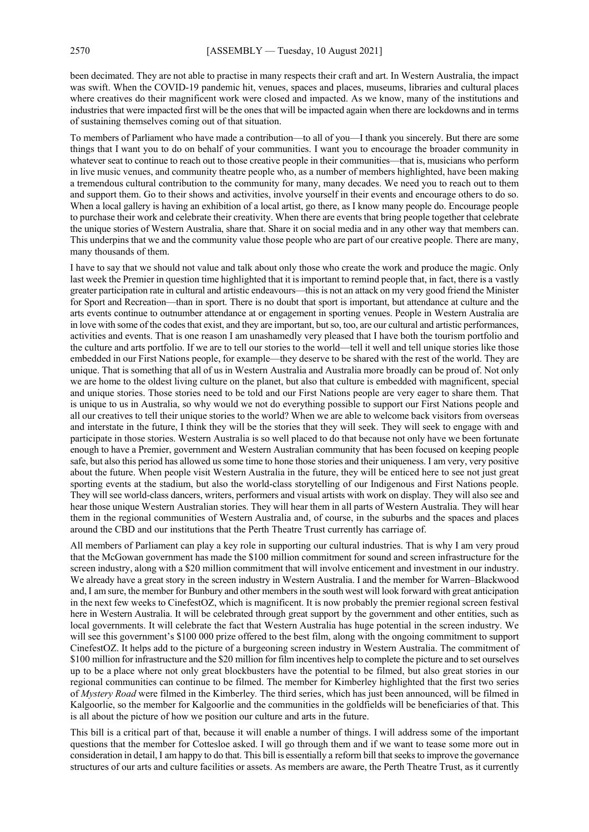been decimated. They are not able to practise in many respects their craft and art. In Western Australia, the impact was swift. When the COVID-19 pandemic hit, venues, spaces and places, museums, libraries and cultural places where creatives do their magnificent work were closed and impacted. As we know, many of the institutions and industries that were impacted first will be the ones that will be impacted again when there are lockdowns and in terms of sustaining themselves coming out of that situation.

To members of Parliament who have made a contribution—to all of you—I thank you sincerely. But there are some things that I want you to do on behalf of your communities. I want you to encourage the broader community in whatever seat to continue to reach out to those creative people in their communities—that is, musicians who perform in live music venues, and community theatre people who, as a number of members highlighted, have been making a tremendous cultural contribution to the community for many, many decades. We need you to reach out to them and support them. Go to their shows and activities, involve yourself in their events and encourage others to do so. When a local gallery is having an exhibition of a local artist, go there, as I know many people do. Encourage people to purchase their work and celebrate their creativity. When there are events that bring people together that celebrate the unique stories of Western Australia, share that. Share it on social media and in any other way that members can. This underpins that we and the community value those people who are part of our creative people. There are many, many thousands of them.

I have to say that we should not value and talk about only those who create the work and produce the magic. Only last week the Premier in question time highlighted that it is important to remind people that, in fact, there is a vastly greater participation rate in cultural and artistic endeavours—this is not an attack on my very good friend the Minister for Sport and Recreation—than in sport. There is no doubt that sport is important, but attendance at culture and the arts events continue to outnumber attendance at or engagement in sporting venues. People in Western Australia are in love with some of the codes that exist, and they are important, but so, too, are our cultural and artistic performances, activities and events. That is one reason I am unashamedly very pleased that I have both the tourism portfolio and the culture and arts portfolio. If we are to tell our stories to the world—tell it well and tell unique stories like those embedded in our First Nations people, for example—they deserve to be shared with the rest of the world. They are unique. That is something that all of us in Western Australia and Australia more broadly can be proud of. Not only we are home to the oldest living culture on the planet, but also that culture is embedded with magnificent, special and unique stories. Those stories need to be told and our First Nations people are very eager to share them. That is unique to us in Australia, so why would we not do everything possible to support our First Nations people and all our creatives to tell their unique stories to the world? When we are able to welcome back visitors from overseas and interstate in the future, I think they will be the stories that they will seek. They will seek to engage with and participate in those stories. Western Australia is so well placed to do that because not only have we been fortunate enough to have a Premier, government and Western Australian community that has been focused on keeping people safe, but also this period has allowed us some time to hone those stories and their uniqueness. I am very, very positive about the future. When people visit Western Australia in the future, they will be enticed here to see not just great sporting events at the stadium, but also the world-class storytelling of our Indigenous and First Nations people. They will see world-class dancers, writers, performers and visual artists with work on display. They will also see and hear those unique Western Australian stories. They will hear them in all parts of Western Australia. They will hear them in the regional communities of Western Australia and, of course, in the suburbs and the spaces and places around the CBD and our institutions that the Perth Theatre Trust currently has carriage of.

All members of Parliament can play a key role in supporting our cultural industries. That is why I am very proud that the McGowan government has made the \$100 million commitment for sound and screen infrastructure for the screen industry, along with a \$20 million commitment that will involve enticement and investment in our industry. We already have a great story in the screen industry in Western Australia. I and the member for Warren–Blackwood and, I am sure, the member for Bunbury and other members in the south west will look forward with great anticipation in the next few weeks to CinefestOZ, which is magnificent. It is now probably the premier regional screen festival here in Western Australia. It will be celebrated through great support by the government and other entities, such as local governments. It will celebrate the fact that Western Australia has huge potential in the screen industry. We will see this government's \$100 000 prize offered to the best film, along with the ongoing commitment to support CinefestOZ. It helps add to the picture of a burgeoning screen industry in Western Australia. The commitment of \$100 million for infrastructure and the \$20 million for film incentives help to complete the picture and to set ourselves up to be a place where not only great blockbusters have the potential to be filmed, but also great stories in our regional communities can continue to be filmed. The member for Kimberley highlighted that the first two series of *Mystery Road* were filmed in the Kimberley*.* The third series, which has just been announced, will be filmed in Kalgoorlie, so the member for Kalgoorlie and the communities in the goldfields will be beneficiaries of that. This is all about the picture of how we position our culture and arts in the future.

This bill is a critical part of that, because it will enable a number of things. I will address some of the important questions that the member for Cottesloe asked. I will go through them and if we want to tease some more out in consideration in detail, I am happy to do that. This bill is essentially a reform bill that seeks to improve the governance structures of our arts and culture facilities or assets. As members are aware, the Perth Theatre Trust, as it currently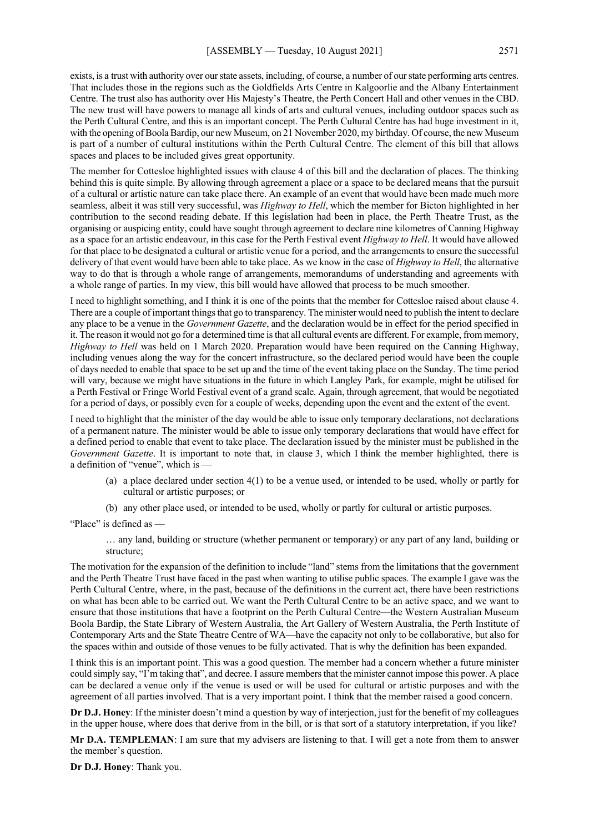exists, is a trust with authority over our state assets, including, of course, a number of our state performing arts centres. That includes those in the regions such as the Goldfields Arts Centre in Kalgoorlie and the Albany Entertainment Centre. The trust also has authority over His Majesty's Theatre, the Perth Concert Hall and other venues in the CBD. The new trust will have powers to manage all kinds of arts and cultural venues, including outdoor spaces such as the Perth Cultural Centre, and this is an important concept. The Perth Cultural Centre has had huge investment in it, with the opening of Boola Bardip, our new Museum, on 21 November 2020, my birthday. Of course, the new Museum is part of a number of cultural institutions within the Perth Cultural Centre. The element of this bill that allows spaces and places to be included gives great opportunity.

The member for Cottesloe highlighted issues with clause 4 of this bill and the declaration of places. The thinking behind this is quite simple. By allowing through agreement a place or a space to be declared means that the pursuit of a cultural or artistic nature can take place there. An example of an event that would have been made much more seamless, albeit it was still very successful, was *Highway to Hell*, which the member for Bicton highlighted in her contribution to the second reading debate. If this legislation had been in place, the Perth Theatre Trust, as the organising or auspicing entity, could have sought through agreement to declare nine kilometres of Canning Highway as a space for an artistic endeavour, in this case for the Perth Festival event *Highway to Hell*. It would have allowed for that place to be designated a cultural or artistic venue for a period, and the arrangements to ensure the successful delivery of that event would have been able to take place. As we know in the case of *Highway to Hell*, the alternative way to do that is through a whole range of arrangements, memorandums of understanding and agreements with a whole range of parties. In my view, this bill would have allowed that process to be much smoother.

I need to highlight something, and I think it is one of the points that the member for Cottesloe raised about clause 4. There are a couple of important things that go to transparency. The minister would need to publish the intent to declare any place to be a venue in the *Government Gazette*, and the declaration would be in effect for the period specified in it. The reason it would not go for a determined time is that all cultural events are different. For example, from memory, *Highway to Hell* was held on 1 March 2020. Preparation would have been required on the Canning Highway, including venues along the way for the concert infrastructure, so the declared period would have been the couple of days needed to enable that space to be set up and the time of the event taking place on the Sunday. The time period will vary, because we might have situations in the future in which Langley Park, for example, might be utilised for a Perth Festival or Fringe World Festival event of a grand scale. Again, through agreement, that would be negotiated for a period of days, or possibly even for a couple of weeks, depending upon the event and the extent of the event.

I need to highlight that the minister of the day would be able to issue only temporary declarations, not declarations of a permanent nature. The minister would be able to issue only temporary declarations that would have effect for a defined period to enable that event to take place. The declaration issued by the minister must be published in the *Government Gazette*. It is important to note that, in clause 3, which I think the member highlighted, there is a definition of "venue", which is —

- (a) a place declared under section 4(1) to be a venue used, or intended to be used, wholly or partly for cultural or artistic purposes; or
- (b) any other place used, or intended to be used, wholly or partly for cultural or artistic purposes.

"Place" is defined as -

… any land, building or structure (whether permanent or temporary) or any part of any land, building or structure;

The motivation for the expansion of the definition to include "land" stems from the limitations that the government and the Perth Theatre Trust have faced in the past when wanting to utilise public spaces. The example I gave was the Perth Cultural Centre, where, in the past, because of the definitions in the current act, there have been restrictions on what has been able to be carried out. We want the Perth Cultural Centre to be an active space, and we want to ensure that those institutions that have a footprint on the Perth Cultural Centre—the Western Australian Museum Boola Bardip, the State Library of Western Australia, the Art Gallery of Western Australia, the Perth Institute of Contemporary Arts and the State Theatre Centre of WA—have the capacity not only to be collaborative, but also for the spaces within and outside of those venues to be fully activated. That is why the definition has been expanded.

I think this is an important point. This was a good question. The member had a concern whether a future minister could simply say, "I'm taking that", and decree. I assure members that the minister cannot impose this power. A place can be declared a venue only if the venue is used or will be used for cultural or artistic purposes and with the agreement of all parties involved. That is a very important point. I think that the member raised a good concern.

**Dr D.J. Honey**: If the minister doesn't mind a question by way of interjection, just for the benefit of my colleagues in the upper house, where does that derive from in the bill, or is that sort of a statutory interpretation, if you like?

**Mr D.A. TEMPLEMAN**: I am sure that my advisers are listening to that. I will get a note from them to answer the member's question.

**Dr D.J. Honey**: Thank you.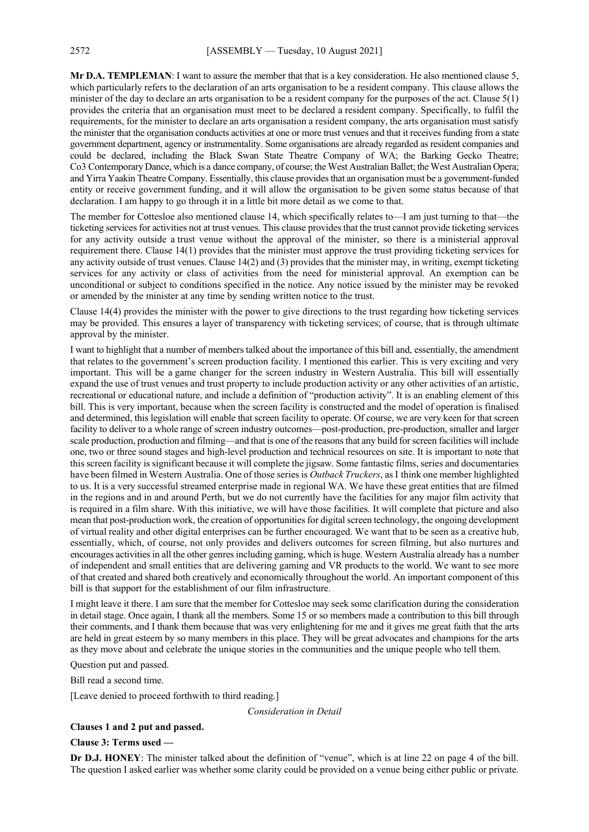**Mr D.A. TEMPLEMAN**: I want to assure the member that that is a key consideration. He also mentioned clause 5, which particularly refers to the declaration of an arts organisation to be a resident company. This clause allows the minister of the day to declare an arts organisation to be a resident company for the purposes of the act. Clause 5(1) provides the criteria that an organisation must meet to be declared a resident company. Specifically, to fulfil the requirements, for the minister to declare an arts organisation a resident company, the arts organisation must satisfy the minister that the organisation conducts activities at one or more trust venues and that it receives funding from a state government department, agency or instrumentality. Some organisations are already regarded as resident companies and could be declared, including the Black Swan State Theatre Company of WA; the Barking Gecko Theatre; Co3 Contemporary Dance, which is a dance company, of course; the West Australian Ballet; the West Australian Opera; and Yirra Yaakin Theatre Company. Essentially, this clause provides that an organisation must be a government-funded entity or receive government funding, and it will allow the organisation to be given some status because of that declaration. I am happy to go through it in a little bit more detail as we come to that.

The member for Cottesloe also mentioned clause 14, which specifically relates to—I am just turning to that—the ticketing services for activities not at trust venues. This clause provides that the trust cannot provide ticketing services for any activity outside a trust venue without the approval of the minister, so there is a ministerial approval requirement there. Clause 14(1) provides that the minister must approve the trust providing ticketing services for any activity outside of trust venues. Clause 14(2) and (3) provides that the minister may, in writing, exempt ticketing services for any activity or class of activities from the need for ministerial approval. An exemption can be unconditional or subject to conditions specified in the notice. Any notice issued by the minister may be revoked or amended by the minister at any time by sending written notice to the trust.

Clause 14(4) provides the minister with the power to give directions to the trust regarding how ticketing services may be provided. This ensures a layer of transparency with ticketing services; of course, that is through ultimate approval by the minister.

I want to highlight that a number of members talked about the importance of this bill and, essentially, the amendment that relates to the government's screen production facility. I mentioned this earlier. This is very exciting and very important. This will be a game changer for the screen industry in Western Australia. This bill will essentially expand the use of trust venues and trust property to include production activity or any other activities of an artistic, recreational or educational nature, and include a definition of "production activity". It is an enabling element of this bill. This is very important, because when the screen facility is constructed and the model of operation is finalised and determined, this legislation will enable that screen facility to operate. Of course, we are very keen for that screen facility to deliver to a whole range of screen industry outcomes—post-production, pre-production, smaller and larger scale production, production and filming—and that is one of the reasons that any build for screen facilities will include one, two or three sound stages and high-level production and technical resources on site. It is important to note that this screen facility is significant because it will complete the jigsaw. Some fantastic films, series and documentaries have been filmed in Western Australia. One of those series is *Outback Truckers*, as I think one member highlighted to us. It is a very successful streamed enterprise made in regional WA. We have these great entities that are filmed in the regions and in and around Perth, but we do not currently have the facilities for any major film activity that is required in a film share. With this initiative, we will have those facilities. It will complete that picture and also mean that post-production work, the creation of opportunities for digital screen technology, the ongoing development of virtual reality and other digital enterprises can be further encouraged. We want that to be seen as a creative hub, essentially, which, of course, not only provides and delivers outcomes for screen filming, but also nurtures and encourages activities in all the other genres including gaming, which is huge. Western Australia already has a number of independent and small entities that are delivering gaming and VR products to the world. We want to see more of that created and shared both creatively and economically throughout the world. An important component of this bill is that support for the establishment of our film infrastructure.

I might leave it there. I am sure that the member for Cottesloe may seek some clarification during the consideration in detail stage. Once again, I thank all the members. Some 15 or so members made a contribution to this bill through their comments, and I thank them because that was very enlightening for me and it gives me great faith that the arts are held in great esteem by so many members in this place. They will be great advocates and champions for the arts as they move about and celebrate the unique stories in the communities and the unique people who tell them.

Question put and passed.

Bill read a second time.

[Leave denied to proceed forthwith to third reading.]

*Consideration in Detail*

## **Clauses 1 and 2 put and passed.**

### **Clause 3: Terms used —**

**Dr D.J. HONEY**: The minister talked about the definition of "venue", which is at line 22 on page 4 of the bill. The question I asked earlier was whether some clarity could be provided on a venue being either public or private.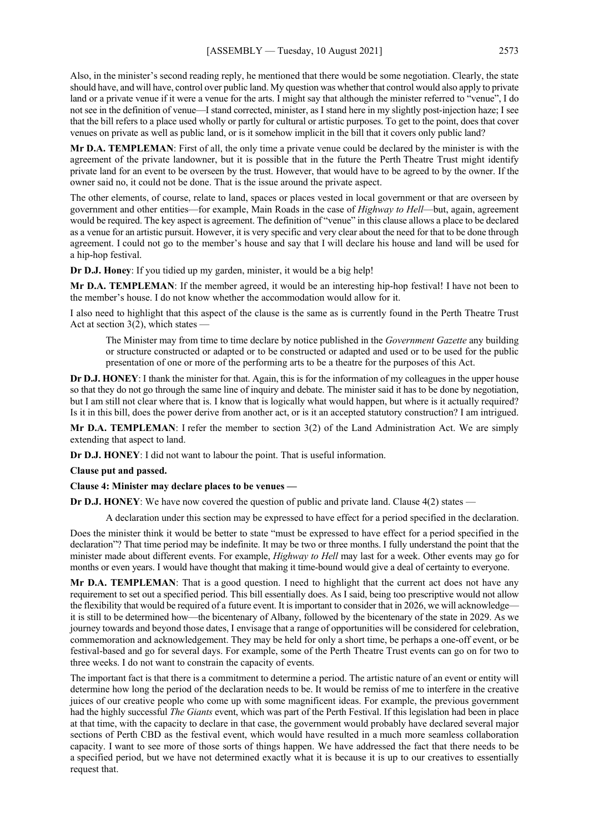Also, in the minister's second reading reply, he mentioned that there would be some negotiation. Clearly, the state should have, and will have, control over public land. My question was whether that control would also apply to private land or a private venue if it were a venue for the arts. I might say that although the minister referred to "venue", I do not see in the definition of venue—I stand corrected, minister, as I stand here in my slightly post-injection haze; I see that the bill refers to a place used wholly or partly for cultural or artistic purposes. To get to the point, does that cover venues on private as well as public land, or is it somehow implicit in the bill that it covers only public land?

**Mr D.A. TEMPLEMAN**: First of all, the only time a private venue could be declared by the minister is with the agreement of the private landowner, but it is possible that in the future the Perth Theatre Trust might identify private land for an event to be overseen by the trust. However, that would have to be agreed to by the owner. If the owner said no, it could not be done. That is the issue around the private aspect.

The other elements, of course, relate to land, spaces or places vested in local government or that are overseen by government and other entities—for example, Main Roads in the case of *Highway to Hell*—but, again, agreement would be required. The key aspect is agreement. The definition of "venue" in this clause allows a place to be declared as a venue for an artistic pursuit. However, it is very specific and very clear about the need for that to be done through agreement. I could not go to the member's house and say that I will declare his house and land will be used for a hip-hop festival.

**Dr D.J. Honey**: If you tidied up my garden, minister, it would be a big help!

**Mr D.A. TEMPLEMAN**: If the member agreed, it would be an interesting hip-hop festival! I have not been to the member's house. I do not know whether the accommodation would allow for it.

I also need to highlight that this aspect of the clause is the same as is currently found in the Perth Theatre Trust Act at section 3(2), which states —

The Minister may from time to time declare by notice published in the *Government Gazette* any building or structure constructed or adapted or to be constructed or adapted and used or to be used for the public presentation of one or more of the performing arts to be a theatre for the purposes of this Act.

**Dr D.J. HONEY**: I thank the minister for that. Again, this is for the information of my colleagues in the upper house so that they do not go through the same line of inquiry and debate. The minister said it has to be done by negotiation, but I am still not clear where that is. I know that is logically what would happen, but where is it actually required? Is it in this bill, does the power derive from another act, or is it an accepted statutory construction? I am intrigued.

**Mr D.A. TEMPLEMAN**: I refer the member to section 3(2) of the Land Administration Act. We are simply extending that aspect to land.

**Dr D.J. HONEY**: I did not want to labour the point. That is useful information.

**Clause put and passed.**

**Clause 4: Minister may declare places to be venues —**

**Dr D.J. HONEY**: We have now covered the question of public and private land. Clause 4(2) states —

A declaration under this section may be expressed to have effect for a period specified in the declaration.

Does the minister think it would be better to state "must be expressed to have effect for a period specified in the declaration"? That time period may be indefinite. It may be two or three months. I fully understand the point that the minister made about different events. For example, *Highway to Hell* may last for a week. Other events may go for months or even years. I would have thought that making it time-bound would give a deal of certainty to everyone.

**Mr D.A. TEMPLEMAN**: That is a good question. I need to highlight that the current act does not have any requirement to set out a specified period. This bill essentially does. As I said, being too prescriptive would not allow the flexibility that would be required of a future event. It is important to consider that in 2026, we will acknowledge it is still to be determined how—the bicentenary of Albany, followed by the bicentenary of the state in 2029. As we journey towards and beyond those dates, I envisage that a range of opportunities will be considered for celebration, commemoration and acknowledgement. They may be held for only a short time, be perhaps a one-off event, or be festival-based and go for several days. For example, some of the Perth Theatre Trust events can go on for two to three weeks. I do not want to constrain the capacity of events.

The important fact is that there is a commitment to determine a period. The artistic nature of an event or entity will determine how long the period of the declaration needs to be. It would be remiss of me to interfere in the creative juices of our creative people who come up with some magnificent ideas. For example, the previous government had the highly successful *The Giants* event, which was part of the Perth Festival. If this legislation had been in place at that time, with the capacity to declare in that case, the government would probably have declared several major sections of Perth CBD as the festival event, which would have resulted in a much more seamless collaboration capacity. I want to see more of those sorts of things happen. We have addressed the fact that there needs to be a specified period, but we have not determined exactly what it is because it is up to our creatives to essentially request that.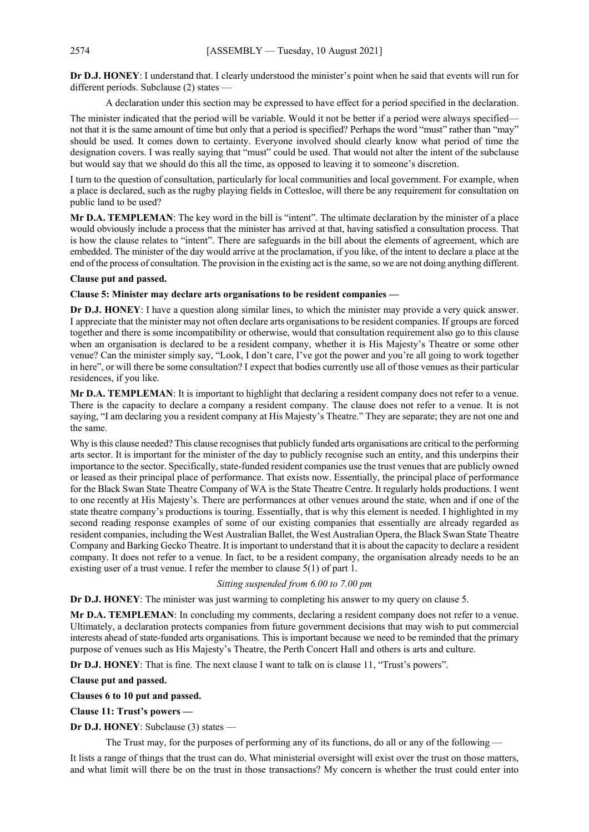**Dr D.J. HONEY**: I understand that. I clearly understood the minister's point when he said that events will run for different periods. Subclause (2) states —

A declaration under this section may be expressed to have effect for a period specified in the declaration.

The minister indicated that the period will be variable. Would it not be better if a period were always specified not that it is the same amount of time but only that a period is specified? Perhaps the word "must" rather than "may" should be used. It comes down to certainty. Everyone involved should clearly know what period of time the designation covers. I was really saying that "must" could be used. That would not alter the intent of the subclause but would say that we should do this all the time, as opposed to leaving it to someone's discretion.

I turn to the question of consultation, particularly for local communities and local government. For example, when a place is declared, such as the rugby playing fields in Cottesloe, will there be any requirement for consultation on public land to be used?

**Mr D.A. TEMPLEMAN**: The key word in the bill is "intent". The ultimate declaration by the minister of a place would obviously include a process that the minister has arrived at that, having satisfied a consultation process. That is how the clause relates to "intent". There are safeguards in the bill about the elements of agreement, which are embedded. The minister of the day would arrive at the proclamation, if you like, of the intent to declare a place at the end of the process of consultation. The provision in the existing act is the same, so we are not doing anything different.

## **Clause put and passed.**

**Clause 5: Minister may declare arts organisations to be resident companies —**

**Dr D.J. HONEY**: I have a question along similar lines, to which the minister may provide a very quick answer. I appreciate that the minister may not often declare arts organisations to be resident companies. If groups are forced together and there is some incompatibility or otherwise, would that consultation requirement also go to this clause when an organisation is declared to be a resident company, whether it is His Majesty's Theatre or some other venue? Can the minister simply say, "Look, I don't care, I've got the power and you're all going to work together in here", or will there be some consultation? I expect that bodies currently use all of those venues as their particular residences, if you like.

**Mr D.A. TEMPLEMAN**: It is important to highlight that declaring a resident company does not refer to a venue. There is the capacity to declare a company a resident company. The clause does not refer to a venue. It is not saying, "I am declaring you a resident company at His Majesty's Theatre." They are separate; they are not one and the same.

Why is this clause needed? This clause recognises that publicly funded arts organisations are critical to the performing arts sector. It is important for the minister of the day to publicly recognise such an entity, and this underpins their importance to the sector. Specifically, state-funded resident companies use the trust venues that are publicly owned or leased as their principal place of performance. That exists now. Essentially, the principal place of performance for the Black Swan State Theatre Company of WA is the State Theatre Centre. It regularly holds productions. I went to one recently at His Majesty's. There are performances at other venues around the state, when and if one of the state theatre company's productions is touring. Essentially, that is why this element is needed. I highlighted in my second reading response examples of some of our existing companies that essentially are already regarded as resident companies, including the West Australian Ballet, the West Australian Opera, the Black Swan State Theatre Company and Barking Gecko Theatre. It is important to understand that it is about the capacity to declare a resident company. It does not refer to a venue. In fact, to be a resident company, the organisation already needs to be an existing user of a trust venue. I refer the member to clause 5(1) of part 1.

## *Sitting suspended from 6.00 to 7.00 pm*

**Dr D.J. HONEY**: The minister was just warming to completing his answer to my query on clause 5.

**Mr D.A. TEMPLEMAN**: In concluding my comments, declaring a resident company does not refer to a venue. Ultimately, a declaration protects companies from future government decisions that may wish to put commercial interests ahead of state-funded arts organisations. This is important because we need to be reminded that the primary purpose of venues such as His Majesty's Theatre, the Perth Concert Hall and others is arts and culture.

**Dr D.J. HONEY**: That is fine. The next clause I want to talk on is clause 11, "Trust's powers".

**Clause put and passed.**

**Clauses 6 to 10 put and passed.**

**Clause 11: Trust's powers —**

**Dr D.J. HONEY**: Subclause (3) states —

The Trust may, for the purposes of performing any of its functions, do all or any of the following —

It lists a range of things that the trust can do. What ministerial oversight will exist over the trust on those matters, and what limit will there be on the trust in those transactions? My concern is whether the trust could enter into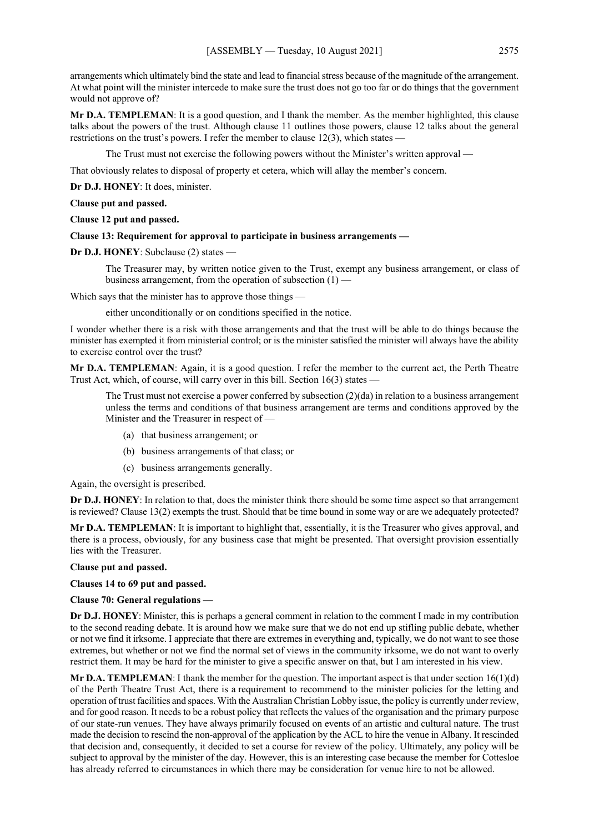arrangements which ultimately bind the state and lead to financial stress because of the magnitude of the arrangement. At what point will the minister intercede to make sure the trust does not go too far or do things that the government would not approve of?

**Mr D.A. TEMPLEMAN**: It is a good question, and I thank the member. As the member highlighted, this clause talks about the powers of the trust. Although clause 11 outlines those powers, clause 12 talks about the general restrictions on the trust's powers. I refer the member to clause  $12(3)$ , which states —

The Trust must not exercise the following powers without the Minister's written approval —

That obviously relates to disposal of property et cetera, which will allay the member's concern.

**Dr D.J. HONEY**: It does, minister.

**Clause put and passed.**

**Clause 12 put and passed.**

#### **Clause 13: Requirement for approval to participate in business arrangements —**

**Dr D.J. HONEY**: Subclause (2) states —

The Treasurer may, by written notice given to the Trust, exempt any business arrangement, or class of business arrangement, from the operation of subsection  $(1)$  —

Which says that the minister has to approve those things —

either unconditionally or on conditions specified in the notice.

I wonder whether there is a risk with those arrangements and that the trust will be able to do things because the minister has exempted it from ministerial control; or is the minister satisfied the minister will always have the ability to exercise control over the trust?

**Mr D.A. TEMPLEMAN**: Again, it is a good question. I refer the member to the current act, the Perth Theatre Trust Act, which, of course, will carry over in this bill. Section 16(3) states —

The Trust must not exercise a power conferred by subsection  $(2)(da)$  in relation to a business arrangement unless the terms and conditions of that business arrangement are terms and conditions approved by the Minister and the Treasurer in respect of —

- (a) that business arrangement; or
- (b) business arrangements of that class; or
- (c) business arrangements generally.

Again, the oversight is prescribed.

**Dr D.J. HONEY**: In relation to that, does the minister think there should be some time aspect so that arrangement is reviewed? Clause 13(2) exempts the trust. Should that be time bound in some way or are we adequately protected?

**Mr D.A. TEMPLEMAN**: It is important to highlight that, essentially, it is the Treasurer who gives approval, and there is a process, obviously, for any business case that might be presented. That oversight provision essentially lies with the Treasurer.

#### **Clause put and passed.**

**Clauses 14 to 69 put and passed.**

#### **Clause 70: General regulations —**

**Dr D.J. HONEY**: Minister, this is perhaps a general comment in relation to the comment I made in my contribution to the second reading debate. It is around how we make sure that we do not end up stifling public debate, whether or not we find it irksome. I appreciate that there are extremes in everything and, typically, we do not want to see those extremes, but whether or not we find the normal set of views in the community irksome, we do not want to overly restrict them. It may be hard for the minister to give a specific answer on that, but I am interested in his view.

**Mr D.A. TEMPLEMAN**: I thank the member for the question. The important aspect is that under section  $16(1)(d)$ of the Perth Theatre Trust Act, there is a requirement to recommend to the minister policies for the letting and operation of trust facilities and spaces. With the Australian Christian Lobby issue, the policy is currently under review, and for good reason. It needs to be a robust policy that reflects the values of the organisation and the primary purpose of our state-run venues. They have always primarily focused on events of an artistic and cultural nature. The trust made the decision to rescind the non-approval of the application by the ACL to hire the venue in Albany. It rescinded that decision and, consequently, it decided to set a course for review of the policy. Ultimately, any policy will be subject to approval by the minister of the day. However, this is an interesting case because the member for Cottesloe has already referred to circumstances in which there may be consideration for venue hire to not be allowed.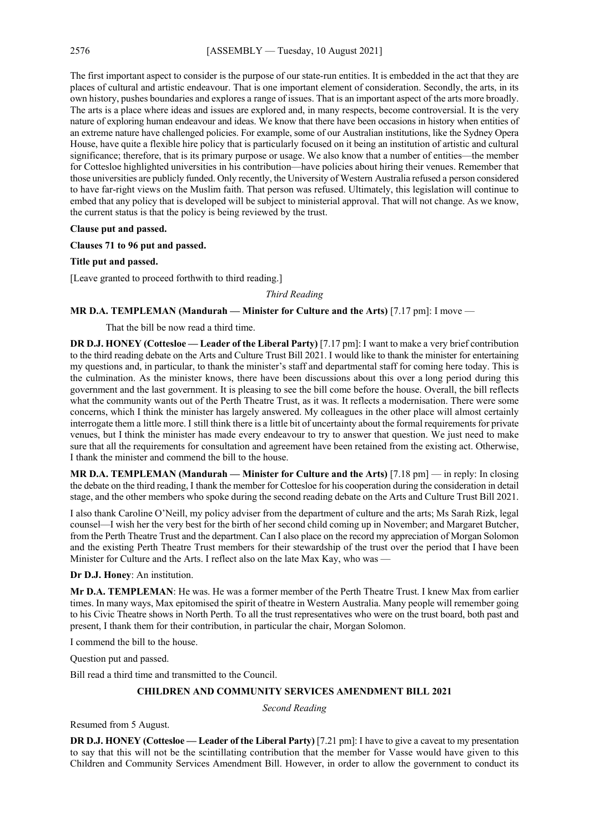The first important aspect to consider is the purpose of our state-run entities. It is embedded in the act that they are places of cultural and artistic endeavour. That is one important element of consideration. Secondly, the arts, in its own history, pushes boundaries and explores a range of issues. That is an important aspect of the arts more broadly. The arts is a place where ideas and issues are explored and, in many respects, become controversial. It is the very nature of exploring human endeavour and ideas. We know that there have been occasions in history when entities of an extreme nature have challenged policies. For example, some of our Australian institutions, like the Sydney Opera House, have quite a flexible hire policy that is particularly focused on it being an institution of artistic and cultural significance; therefore, that is its primary purpose or usage. We also know that a number of entities—the member for Cottesloe highlighted universities in his contribution—have policies about hiring their venues. Remember that those universities are publicly funded. Only recently, the University of Western Australia refused a person considered to have far-right views on the Muslim faith. That person was refused. Ultimately, this legislation will continue to embed that any policy that is developed will be subject to ministerial approval. That will not change. As we know, the current status is that the policy is being reviewed by the trust.

## **Clause put and passed.**

**Clauses 71 to 96 put and passed.**

## **Title put and passed.**

[Leave granted to proceed forthwith to third reading.]

*Third Reading*

## **MR D.A. TEMPLEMAN (Mandurah — Minister for Culture and the Arts)** [7.17 pm]: I move —

That the bill be now read a third time.

**DR D.J. HONEY (Cottesloe — Leader of the Liberal Party)** [7.17 pm]: I want to make a very brief contribution to the third reading debate on the Arts and Culture Trust Bill 2021. I would like to thank the minister for entertaining my questions and, in particular, to thank the minister's staff and departmental staff for coming here today. This is the culmination. As the minister knows, there have been discussions about this over a long period during this government and the last government. It is pleasing to see the bill come before the house. Overall, the bill reflects what the community wants out of the Perth Theatre Trust, as it was. It reflects a modernisation. There were some concerns, which I think the minister has largely answered. My colleagues in the other place will almost certainly interrogate them a little more. I still think there is a little bit of uncertainty about the formal requirements for private venues, but I think the minister has made every endeavour to try to answer that question. We just need to make sure that all the requirements for consultation and agreement have been retained from the existing act. Otherwise, I thank the minister and commend the bill to the house.

**MR D.A. TEMPLEMAN (Mandurah — Minister for Culture and the Arts)** [7.18 pm] — in reply: In closing the debate on the third reading, I thank the member for Cottesloe for his cooperation during the consideration in detail stage, and the other members who spoke during the second reading debate on the Arts and Culture Trust Bill 2021.

I also thank Caroline O'Neill, my policy adviser from the department of culture and the arts; Ms Sarah Rizk, legal counsel—I wish her the very best for the birth of her second child coming up in November; and Margaret Butcher, from the Perth Theatre Trust and the department. Can I also place on the record my appreciation of Morgan Solomon and the existing Perth Theatre Trust members for their stewardship of the trust over the period that I have been Minister for Culture and the Arts. I reflect also on the late Max Kay, who was —

#### **Dr D.J. Honey**: An institution.

**Mr D.A. TEMPLEMAN**: He was. He was a former member of the Perth Theatre Trust. I knew Max from earlier times. In many ways, Max epitomised the spirit of theatre in Western Australia. Many people will remember going to his Civic Theatre shows in North Perth. To all the trust representatives who were on the trust board, both past and present, I thank them for their contribution, in particular the chair, Morgan Solomon.

I commend the bill to the house.

Question put and passed.

Bill read a third time and transmitted to the Council.

## **CHILDREN AND COMMUNITY SERVICES AMENDMENT BILL 2021**

*Second Reading*

Resumed from 5 August.

**DR D.J. HONEY (Cottesloe — Leader of the Liberal Party)** [7.21 pm]: I have to give a caveat to my presentation to say that this will not be the scintillating contribution that the member for Vasse would have given to this Children and Community Services Amendment Bill. However, in order to allow the government to conduct its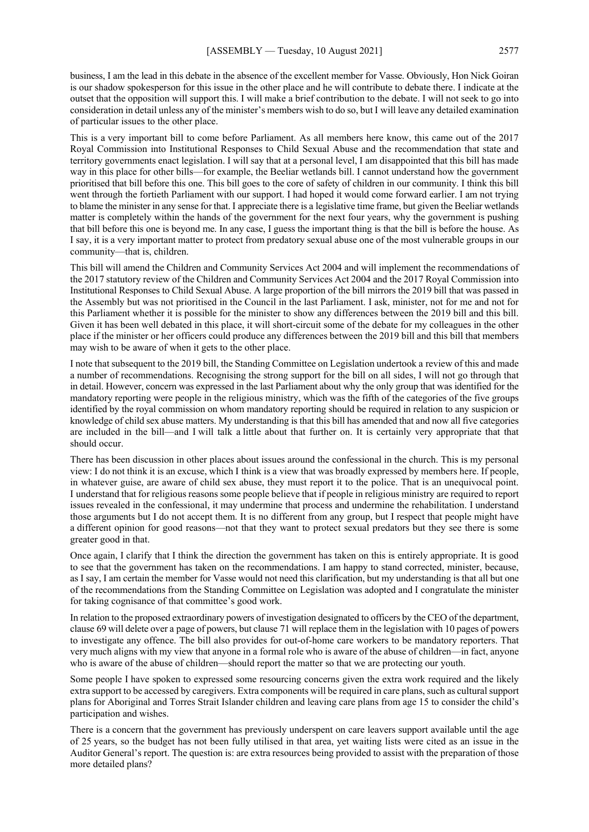business, I am the lead in this debate in the absence of the excellent member for Vasse. Obviously, Hon Nick Goiran is our shadow spokesperson for this issue in the other place and he will contribute to debate there. I indicate at the outset that the opposition will support this. I will make a brief contribution to the debate. I will not seek to go into consideration in detail unless any of the minister's members wish to do so, but I will leave any detailed examination of particular issues to the other place.

This is a very important bill to come before Parliament. As all members here know, this came out of the 2017 Royal Commission into Institutional Responses to Child Sexual Abuse and the recommendation that state and territory governments enact legislation. I will say that at a personal level, I am disappointed that this bill has made way in this place for other bills—for example, the Beeliar wetlands bill. I cannot understand how the government prioritised that bill before this one. This bill goes to the core of safety of children in our community. I think this bill went through the fortieth Parliament with our support. I had hoped it would come forward earlier. I am not trying to blame the minister in any sense for that. I appreciate there is a legislative time frame, but given the Beeliar wetlands matter is completely within the hands of the government for the next four years, why the government is pushing that bill before this one is beyond me. In any case, I guess the important thing is that the bill is before the house. As I say, it is a very important matter to protect from predatory sexual abuse one of the most vulnerable groups in our community—that is, children.

This bill will amend the Children and Community Services Act 2004 and will implement the recommendations of the 2017 statutory review of the Children and Community Services Act 2004 and the 2017 Royal Commission into Institutional Responses to Child Sexual Abuse. A large proportion of the bill mirrors the 2019 bill that was passed in the Assembly but was not prioritised in the Council in the last Parliament. I ask, minister, not for me and not for this Parliament whether it is possible for the minister to show any differences between the 2019 bill and this bill. Given it has been well debated in this place, it will short-circuit some of the debate for my colleagues in the other place if the minister or her officers could produce any differences between the 2019 bill and this bill that members may wish to be aware of when it gets to the other place.

I note that subsequent to the 2019 bill, the Standing Committee on Legislation undertook a review of this and made a number of recommendations. Recognising the strong support for the bill on all sides, I will not go through that in detail. However, concern was expressed in the last Parliament about why the only group that was identified for the mandatory reporting were people in the religious ministry, which was the fifth of the categories of the five groups identified by the royal commission on whom mandatory reporting should be required in relation to any suspicion or knowledge of child sex abuse matters. My understanding is that this bill has amended that and now all five categories are included in the bill—and I will talk a little about that further on. It is certainly very appropriate that that should occur.

There has been discussion in other places about issues around the confessional in the church. This is my personal view: I do not think it is an excuse, which I think is a view that was broadly expressed by members here. If people, in whatever guise, are aware of child sex abuse, they must report it to the police. That is an unequivocal point. I understand that for religious reasons some people believe that if people in religious ministry are required to report issues revealed in the confessional, it may undermine that process and undermine the rehabilitation. I understand those arguments but I do not accept them. It is no different from any group, but I respect that people might have a different opinion for good reasons—not that they want to protect sexual predators but they see there is some greater good in that.

Once again, I clarify that I think the direction the government has taken on this is entirely appropriate. It is good to see that the government has taken on the recommendations. I am happy to stand corrected, minister, because, as I say, I am certain the member for Vasse would not need this clarification, but my understanding is that all but one of the recommendations from the Standing Committee on Legislation was adopted and I congratulate the minister for taking cognisance of that committee's good work.

In relation to the proposed extraordinary powers of investigation designated to officers by the CEO of the department, clause 69 will delete over a page of powers, but clause 71 will replace them in the legislation with 10 pages of powers to investigate any offence. The bill also provides for out-of-home care workers to be mandatory reporters. That very much aligns with my view that anyone in a formal role who is aware of the abuse of children—in fact, anyone who is aware of the abuse of children—should report the matter so that we are protecting our youth.

Some people I have spoken to expressed some resourcing concerns given the extra work required and the likely extra support to be accessed by caregivers. Extra components will be required in care plans, such as cultural support plans for Aboriginal and Torres Strait Islander children and leaving care plans from age 15 to consider the child's participation and wishes.

There is a concern that the government has previously underspent on care leavers support available until the age of 25 years, so the budget has not been fully utilised in that area, yet waiting lists were cited as an issue in the Auditor General's report. The question is: are extra resources being provided to assist with the preparation of those more detailed plans?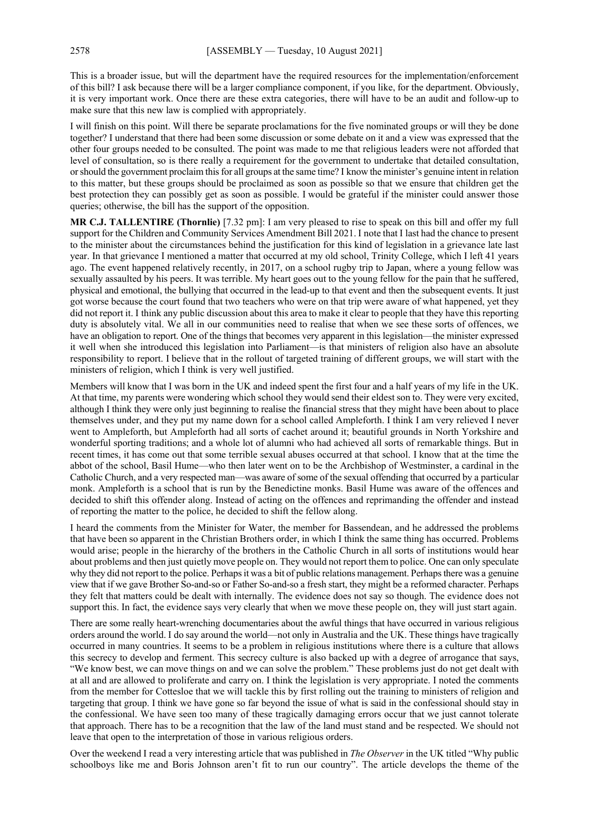This is a broader issue, but will the department have the required resources for the implementation/enforcement of this bill? I ask because there will be a larger compliance component, if you like, for the department. Obviously, it is very important work. Once there are these extra categories, there will have to be an audit and follow-up to make sure that this new law is complied with appropriately.

I will finish on this point. Will there be separate proclamations for the five nominated groups or will they be done together? I understand that there had been some discussion or some debate on it and a view was expressed that the other four groups needed to be consulted. The point was made to me that religious leaders were not afforded that level of consultation, so is there really a requirement for the government to undertake that detailed consultation, or should the government proclaim this for all groups at the same time? I know the minister's genuine intent in relation to this matter, but these groups should be proclaimed as soon as possible so that we ensure that children get the best protection they can possibly get as soon as possible. I would be grateful if the minister could answer those queries; otherwise, the bill has the support of the opposition.

**MR C.J. TALLENTIRE (Thornlie)** [7.32 pm]: I am very pleased to rise to speak on this bill and offer my full support for the Children and Community Services Amendment Bill 2021. I note that I last had the chance to present to the minister about the circumstances behind the justification for this kind of legislation in a grievance late last year. In that grievance I mentioned a matter that occurred at my old school, Trinity College, which I left 41 years ago. The event happened relatively recently, in 2017, on a school rugby trip to Japan, where a young fellow was sexually assaulted by his peers. It was terrible. My heart goes out to the young fellow for the pain that he suffered, physical and emotional, the bullying that occurred in the lead-up to that event and then the subsequent events. It just got worse because the court found that two teachers who were on that trip were aware of what happened, yet they did not report it. I think any public discussion about this area to make it clear to people that they have this reporting duty is absolutely vital. We all in our communities need to realise that when we see these sorts of offences, we have an obligation to report. One of the things that becomes very apparent in this legislation—the minister expressed it well when she introduced this legislation into Parliament—is that ministers of religion also have an absolute responsibility to report. I believe that in the rollout of targeted training of different groups, we will start with the ministers of religion, which I think is very well justified.

Members will know that I was born in the UK and indeed spent the first four and a half years of my life in the UK. At that time, my parents were wondering which school they would send their eldest son to. They were very excited, although I think they were only just beginning to realise the financial stress that they might have been about to place themselves under, and they put my name down for a school called Ampleforth. I think I am very relieved I never went to Ampleforth, but Ampleforth had all sorts of cachet around it; beautiful grounds in North Yorkshire and wonderful sporting traditions; and a whole lot of alumni who had achieved all sorts of remarkable things. But in recent times, it has come out that some terrible sexual abuses occurred at that school. I know that at the time the abbot of the school, Basil Hume—who then later went on to be the Archbishop of Westminster, a cardinal in the Catholic Church, and a very respected man—was aware of some of the sexual offending that occurred by a particular monk. Ampleforth is a school that is run by the Benedictine monks. Basil Hume was aware of the offences and decided to shift this offender along. Instead of acting on the offences and reprimanding the offender and instead of reporting the matter to the police, he decided to shift the fellow along.

I heard the comments from the Minister for Water, the member for Bassendean, and he addressed the problems that have been so apparent in the Christian Brothers order, in which I think the same thing has occurred. Problems would arise; people in the hierarchy of the brothers in the Catholic Church in all sorts of institutions would hear about problems and then just quietly move people on. They would not report them to police. One can only speculate why they did not report to the police. Perhaps it was a bit of public relations management. Perhaps there was a genuine view that if we gave Brother So-and-so or Father So-and-so a fresh start, they might be a reformed character. Perhaps they felt that matters could be dealt with internally. The evidence does not say so though. The evidence does not support this. In fact, the evidence says very clearly that when we move these people on, they will just start again.

There are some really heart-wrenching documentaries about the awful things that have occurred in various religious orders around the world. I do say around the world—not only in Australia and the UK. These things have tragically occurred in many countries. It seems to be a problem in religious institutions where there is a culture that allows this secrecy to develop and ferment. This secrecy culture is also backed up with a degree of arrogance that says, "We know best, we can move things on and we can solve the problem." These problems just do not get dealt with at all and are allowed to proliferate and carry on. I think the legislation is very appropriate. I noted the comments from the member for Cottesloe that we will tackle this by first rolling out the training to ministers of religion and targeting that group. I think we have gone so far beyond the issue of what is said in the confessional should stay in the confessional. We have seen too many of these tragically damaging errors occur that we just cannot tolerate that approach. There has to be a recognition that the law of the land must stand and be respected. We should not leave that open to the interpretation of those in various religious orders.

Over the weekend I read a very interesting article that was published in *The Observer* in the UK titled "Why public schoolboys like me and Boris Johnson aren't fit to run our country". The article develops the theme of the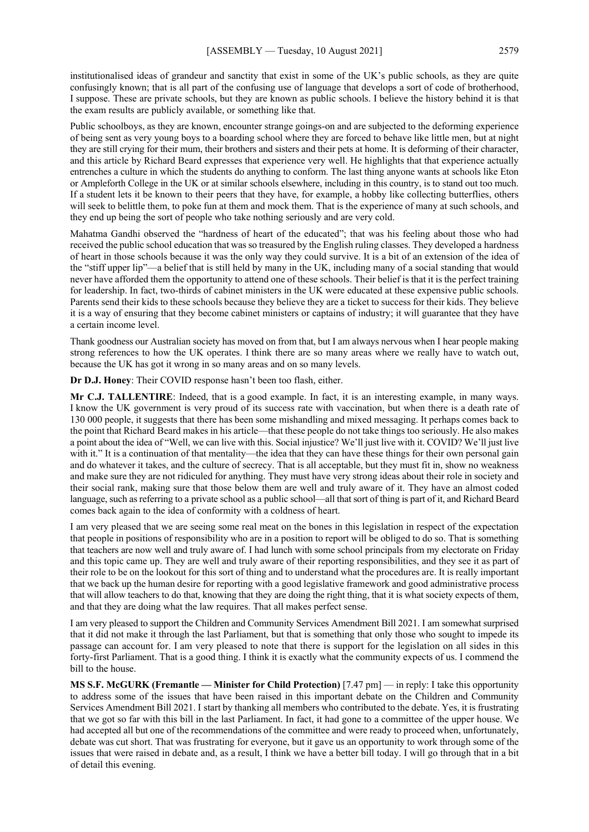institutionalised ideas of grandeur and sanctity that exist in some of the UK's public schools, as they are quite confusingly known; that is all part of the confusing use of language that develops a sort of code of brotherhood, I suppose. These are private schools, but they are known as public schools. I believe the history behind it is that the exam results are publicly available, or something like that.

Public schoolboys, as they are known, encounter strange goings-on and are subjected to the deforming experience of being sent as very young boys to a boarding school where they are forced to behave like little men, but at night they are still crying for their mum, their brothers and sisters and their pets at home. It is deforming of their character, and this article by Richard Beard expresses that experience very well. He highlights that that experience actually entrenches a culture in which the students do anything to conform. The last thing anyone wants at schools like Eton or Ampleforth College in the UK or at similar schools elsewhere, including in this country, is to stand out too much. If a student lets it be known to their peers that they have, for example, a hobby like collecting butterflies, others will seek to belittle them, to poke fun at them and mock them. That is the experience of many at such schools, and they end up being the sort of people who take nothing seriously and are very cold.

Mahatma Gandhi observed the "hardness of heart of the educated"; that was his feeling about those who had received the public school education that was so treasured by the English ruling classes. They developed a hardness of heart in those schools because it was the only way they could survive. It is a bit of an extension of the idea of the "stiff upper lip"—a belief that is still held by many in the UK, including many of a social standing that would never have afforded them the opportunity to attend one of these schools. Their belief is that it is the perfect training for leadership. In fact, two-thirds of cabinet ministers in the UK were educated at these expensive public schools. Parents send their kids to these schools because they believe they are a ticket to success for their kids. They believe it is a way of ensuring that they become cabinet ministers or captains of industry; it will guarantee that they have a certain income level.

Thank goodness our Australian society has moved on from that, but I am always nervous when I hear people making strong references to how the UK operates. I think there are so many areas where we really have to watch out, because the UK has got it wrong in so many areas and on so many levels.

**Dr D.J. Honey**: Their COVID response hasn't been too flash, either.

**Mr C.J. TALLENTIRE**: Indeed, that is a good example. In fact, it is an interesting example, in many ways. I know the UK government is very proud of its success rate with vaccination, but when there is a death rate of 130 000 people, it suggests that there has been some mishandling and mixed messaging. It perhaps comes back to the point that Richard Beard makes in his article—that these people do not take things too seriously. He also makes a point about the idea of "Well, we can live with this. Social injustice? We'll just live with it. COVID? We'll just live with it." It is a continuation of that mentality—the idea that they can have these things for their own personal gain and do whatever it takes, and the culture of secrecy. That is all acceptable, but they must fit in, show no weakness and make sure they are not ridiculed for anything. They must have very strong ideas about their role in society and their social rank, making sure that those below them are well and truly aware of it. They have an almost coded language, such as referring to a private school as a public school—all that sort of thing is part of it, and Richard Beard comes back again to the idea of conformity with a coldness of heart.

I am very pleased that we are seeing some real meat on the bones in this legislation in respect of the expectation that people in positions of responsibility who are in a position to report will be obliged to do so. That is something that teachers are now well and truly aware of. I had lunch with some school principals from my electorate on Friday and this topic came up. They are well and truly aware of their reporting responsibilities, and they see it as part of their role to be on the lookout for this sort of thing and to understand what the procedures are. It is really important that we back up the human desire for reporting with a good legislative framework and good administrative process that will allow teachers to do that, knowing that they are doing the right thing, that it is what society expects of them, and that they are doing what the law requires. That all makes perfect sense.

I am very pleased to support the Children and Community Services Amendment Bill 2021. I am somewhat surprised that it did not make it through the last Parliament, but that is something that only those who sought to impede its passage can account for. I am very pleased to note that there is support for the legislation on all sides in this forty-first Parliament. That is a good thing. I think it is exactly what the community expects of us. I commend the bill to the house.

**MS S.F. McGURK (Fremantle — Minister for Child Protection)** [7.47 pm] — in reply: I take this opportunity to address some of the issues that have been raised in this important debate on the Children and Community Services Amendment Bill 2021. I start by thanking all members who contributed to the debate. Yes, it is frustrating that we got so far with this bill in the last Parliament. In fact, it had gone to a committee of the upper house. We had accepted all but one of the recommendations of the committee and were ready to proceed when, unfortunately, debate was cut short. That was frustrating for everyone, but it gave us an opportunity to work through some of the issues that were raised in debate and, as a result, I think we have a better bill today. I will go through that in a bit of detail this evening.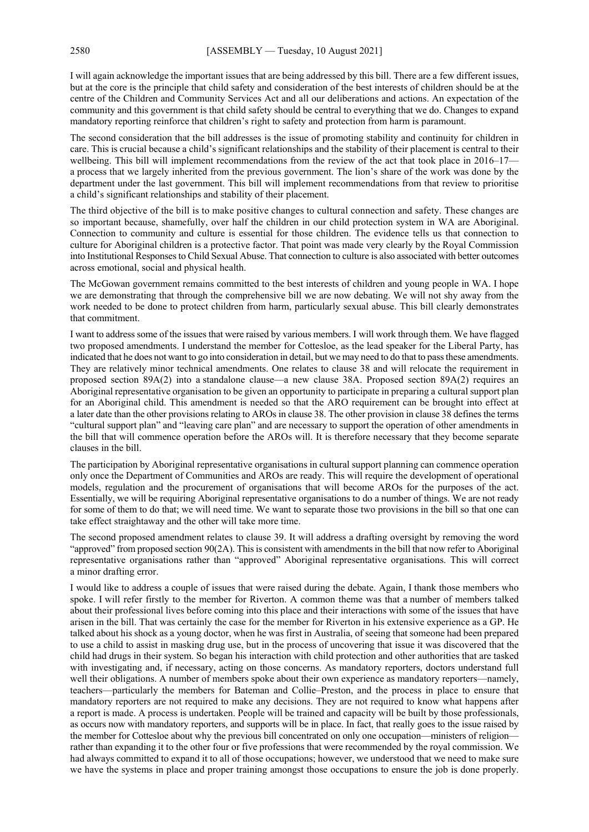I will again acknowledge the important issues that are being addressed by this bill. There are a few different issues, but at the core is the principle that child safety and consideration of the best interests of children should be at the centre of the Children and Community Services Act and all our deliberations and actions. An expectation of the community and this government is that child safety should be central to everything that we do. Changes to expand mandatory reporting reinforce that children's right to safety and protection from harm is paramount.

The second consideration that the bill addresses is the issue of promoting stability and continuity for children in care. This is crucial because a child's significant relationships and the stability of their placement is central to their wellbeing. This bill will implement recommendations from the review of the act that took place in 2016–17 a process that we largely inherited from the previous government. The lion's share of the work was done by the department under the last government. This bill will implement recommendations from that review to prioritise a child's significant relationships and stability of their placement.

The third objective of the bill is to make positive changes to cultural connection and safety. These changes are so important because, shamefully, over half the children in our child protection system in WA are Aboriginal. Connection to community and culture is essential for those children. The evidence tells us that connection to culture for Aboriginal children is a protective factor. That point was made very clearly by the Royal Commission into Institutional Responses to Child Sexual Abuse. That connection to culture is also associated with better outcomes across emotional, social and physical health.

The McGowan government remains committed to the best interests of children and young people in WA. I hope we are demonstrating that through the comprehensive bill we are now debating. We will not shy away from the work needed to be done to protect children from harm, particularly sexual abuse. This bill clearly demonstrates that commitment.

I want to address some of the issues that were raised by various members. I will work through them. We have flagged two proposed amendments. I understand the member for Cottesloe, as the lead speaker for the Liberal Party, has indicated that he does not want to go into consideration in detail, but we may need to do that to pass these amendments. They are relatively minor technical amendments. One relates to clause 38 and will relocate the requirement in proposed section 89A(2) into a standalone clause—a new clause 38A. Proposed section 89A(2) requires an Aboriginal representative organisation to be given an opportunity to participate in preparing a cultural support plan for an Aboriginal child. This amendment is needed so that the ARO requirement can be brought into effect at a later date than the other provisions relating to AROs in clause 38. The other provision in clause 38 defines the terms "cultural support plan" and "leaving care plan" and are necessary to support the operation of other amendments in the bill that will commence operation before the AROs will. It is therefore necessary that they become separate clauses in the bill.

The participation by Aboriginal representative organisations in cultural support planning can commence operation only once the Department of Communities and AROs are ready. This will require the development of operational models, regulation and the procurement of organisations that will become AROs for the purposes of the act. Essentially, we will be requiring Aboriginal representative organisations to do a number of things. We are not ready for some of them to do that; we will need time. We want to separate those two provisions in the bill so that one can take effect straightaway and the other will take more time.

The second proposed amendment relates to clause 39. It will address a drafting oversight by removing the word "approved" from proposed section 90(2A). This is consistent with amendments in the bill that now refer to Aboriginal representative organisations rather than "approved" Aboriginal representative organisations. This will correct a minor drafting error.

I would like to address a couple of issues that were raised during the debate. Again, I thank those members who spoke. I will refer firstly to the member for Riverton. A common theme was that a number of members talked about their professional lives before coming into this place and their interactions with some of the issues that have arisen in the bill. That was certainly the case for the member for Riverton in his extensive experience as a GP. He talked about his shock as a young doctor, when he was first in Australia, of seeing that someone had been prepared to use a child to assist in masking drug use, but in the process of uncovering that issue it was discovered that the child had drugs in their system. So began his interaction with child protection and other authorities that are tasked with investigating and, if necessary, acting on those concerns. As mandatory reporters, doctors understand full well their obligations. A number of members spoke about their own experience as mandatory reporters—namely, teachers—particularly the members for Bateman and Collie–Preston, and the process in place to ensure that mandatory reporters are not required to make any decisions. They are not required to know what happens after a report is made. A process is undertaken. People will be trained and capacity will be built by those professionals, as occurs now with mandatory reporters, and supports will be in place. In fact, that really goes to the issue raised by the member for Cottesloe about why the previous bill concentrated on only one occupation—ministers of religion rather than expanding it to the other four or five professions that were recommended by the royal commission. We had always committed to expand it to all of those occupations; however, we understood that we need to make sure we have the systems in place and proper training amongst those occupations to ensure the job is done properly.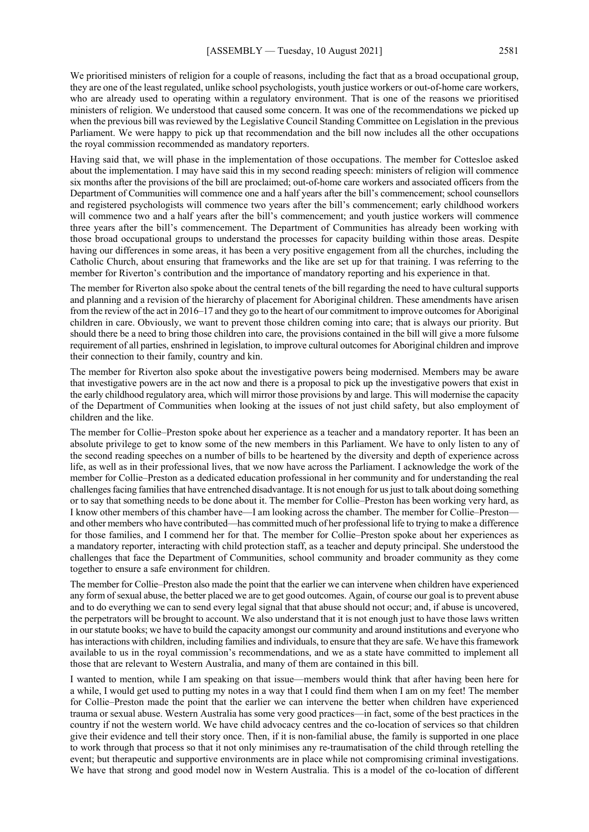We prioritised ministers of religion for a couple of reasons, including the fact that as a broad occupational group, they are one of the least regulated, unlike school psychologists, youth justice workers or out-of-home care workers, who are already used to operating within a regulatory environment. That is one of the reasons we prioritised ministers of religion. We understood that caused some concern. It was one of the recommendations we picked up when the previous bill was reviewed by the Legislative Council Standing Committee on Legislation in the previous Parliament. We were happy to pick up that recommendation and the bill now includes all the other occupations the royal commission recommended as mandatory reporters.

Having said that, we will phase in the implementation of those occupations. The member for Cottesloe asked about the implementation. I may have said this in my second reading speech: ministers of religion will commence six months after the provisions of the bill are proclaimed; out-of-home care workers and associated officers from the Department of Communities will commence one and a half years after the bill's commencement; school counsellors and registered psychologists will commence two years after the bill's commencement; early childhood workers will commence two and a half years after the bill's commencement; and youth justice workers will commence three years after the bill's commencement. The Department of Communities has already been working with those broad occupational groups to understand the processes for capacity building within those areas. Despite having our differences in some areas, it has been a very positive engagement from all the churches, including the Catholic Church, about ensuring that frameworks and the like are set up for that training. I was referring to the member for Riverton's contribution and the importance of mandatory reporting and his experience in that.

The member for Riverton also spoke about the central tenets of the bill regarding the need to have cultural supports and planning and a revision of the hierarchy of placement for Aboriginal children. These amendments have arisen from the review of the act in 2016–17 and they go to the heart of our commitment to improve outcomes for Aboriginal children in care. Obviously, we want to prevent those children coming into care; that is always our priority. But should there be a need to bring those children into care, the provisions contained in the bill will give a more fulsome requirement of all parties, enshrined in legislation, to improve cultural outcomes for Aboriginal children and improve their connection to their family, country and kin.

The member for Riverton also spoke about the investigative powers being modernised. Members may be aware that investigative powers are in the act now and there is a proposal to pick up the investigative powers that exist in the early childhood regulatory area, which will mirror those provisions by and large. This will modernise the capacity of the Department of Communities when looking at the issues of not just child safety, but also employment of children and the like.

The member for Collie–Preston spoke about her experience as a teacher and a mandatory reporter. It has been an absolute privilege to get to know some of the new members in this Parliament. We have to only listen to any of the second reading speeches on a number of bills to be heartened by the diversity and depth of experience across life, as well as in their professional lives, that we now have across the Parliament. I acknowledge the work of the member for Collie–Preston as a dedicated education professional in her community and for understanding the real challenges facing families that have entrenched disadvantage. It is not enough for us just to talk about doing something or to say that something needs to be done about it. The member for Collie–Preston has been working very hard, as I know other members of this chamber have—I am looking across the chamber. The member for Collie–Preston and other members who have contributed—has committed much of her professional life to trying to make a difference for those families, and I commend her for that. The member for Collie–Preston spoke about her experiences as a mandatory reporter, interacting with child protection staff, as a teacher and deputy principal. She understood the challenges that face the Department of Communities, school community and broader community as they come together to ensure a safe environment for children.

The member for Collie–Preston also made the point that the earlier we can intervene when children have experienced any form of sexual abuse, the better placed we are to get good outcomes. Again, of course our goal is to prevent abuse and to do everything we can to send every legal signal that that abuse should not occur; and, if abuse is uncovered, the perpetrators will be brought to account. We also understand that it is not enough just to have those laws written in our statute books; we have to build the capacity amongst our community and around institutions and everyone who has interactions with children, including families and individuals, to ensure that they are safe. We have this framework available to us in the royal commission's recommendations, and we as a state have committed to implement all those that are relevant to Western Australia, and many of them are contained in this bill.

I wanted to mention, while I am speaking on that issue—members would think that after having been here for a while, I would get used to putting my notes in a way that I could find them when I am on my feet! The member for Collie–Preston made the point that the earlier we can intervene the better when children have experienced trauma or sexual abuse. Western Australia has some very good practices—in fact, some of the best practices in the country if not the western world. We have child advocacy centres and the co-location of services so that children give their evidence and tell their story once. Then, if it is non-familial abuse, the family is supported in one place to work through that process so that it not only minimises any re-traumatisation of the child through retelling the event; but therapeutic and supportive environments are in place while not compromising criminal investigations. We have that strong and good model now in Western Australia. This is a model of the co-location of different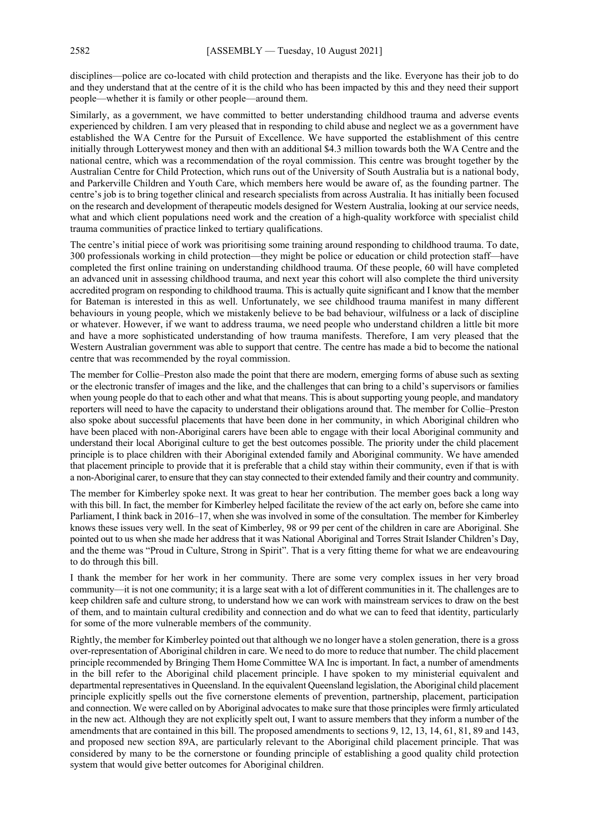disciplines—police are co-located with child protection and therapists and the like. Everyone has their job to do and they understand that at the centre of it is the child who has been impacted by this and they need their support people—whether it is family or other people—around them.

Similarly, as a government, we have committed to better understanding childhood trauma and adverse events experienced by children. I am very pleased that in responding to child abuse and neglect we as a government have established the WA Centre for the Pursuit of Excellence. We have supported the establishment of this centre initially through Lotterywest money and then with an additional \$4.3 million towards both the WA Centre and the national centre, which was a recommendation of the royal commission. This centre was brought together by the Australian Centre for Child Protection, which runs out of the University of South Australia but is a national body, and Parkerville Children and Youth Care, which members here would be aware of, as the founding partner. The centre's job is to bring together clinical and research specialists from across Australia. It has initially been focused on the research and development of therapeutic models designed for Western Australia, looking at our service needs, what and which client populations need work and the creation of a high-quality workforce with specialist child trauma communities of practice linked to tertiary qualifications.

The centre's initial piece of work was prioritising some training around responding to childhood trauma. To date, 300 professionals working in child protection—they might be police or education or child protection staff—have completed the first online training on understanding childhood trauma. Of these people, 60 will have completed an advanced unit in assessing childhood trauma, and next year this cohort will also complete the third university accredited program on responding to childhood trauma. This is actually quite significant and I know that the member for Bateman is interested in this as well. Unfortunately, we see childhood trauma manifest in many different behaviours in young people, which we mistakenly believe to be bad behaviour, wilfulness or a lack of discipline or whatever. However, if we want to address trauma, we need people who understand children a little bit more and have a more sophisticated understanding of how trauma manifests. Therefore, I am very pleased that the Western Australian government was able to support that centre. The centre has made a bid to become the national centre that was recommended by the royal commission.

The member for Collie–Preston also made the point that there are modern, emerging forms of abuse such as sexting or the electronic transfer of images and the like, and the challenges that can bring to a child's supervisors or families when young people do that to each other and what that means. This is about supporting young people, and mandatory reporters will need to have the capacity to understand their obligations around that. The member for Collie–Preston also spoke about successful placements that have been done in her community, in which Aboriginal children who have been placed with non-Aboriginal carers have been able to engage with their local Aboriginal community and understand their local Aboriginal culture to get the best outcomes possible. The priority under the child placement principle is to place children with their Aboriginal extended family and Aboriginal community. We have amended that placement principle to provide that it is preferable that a child stay within their community, even if that is with a non-Aboriginal carer, to ensure that they can stay connected to their extended family and their country and community.

The member for Kimberley spoke next. It was great to hear her contribution. The member goes back a long way with this bill. In fact, the member for Kimberley helped facilitate the review of the act early on, before she came into Parliament, I think back in 2016–17, when she was involved in some of the consultation. The member for Kimberley knows these issues very well. In the seat of Kimberley, 98 or 99 per cent of the children in care are Aboriginal. She pointed out to us when she made her address that it was National Aboriginal and Torres Strait Islander Children's Day, and the theme was "Proud in Culture, Strong in Spirit". That is a very fitting theme for what we are endeavouring to do through this bill.

I thank the member for her work in her community. There are some very complex issues in her very broad community—it is not one community; it is a large seat with a lot of different communities in it. The challenges are to keep children safe and culture strong, to understand how we can work with mainstream services to draw on the best of them, and to maintain cultural credibility and connection and do what we can to feed that identity, particularly for some of the more vulnerable members of the community.

Rightly, the member for Kimberley pointed out that although we no longer have a stolen generation, there is a gross over-representation of Aboriginal children in care. We need to do more to reduce that number. The child placement principle recommended by Bringing Them Home Committee WA Inc is important. In fact, a number of amendments in the bill refer to the Aboriginal child placement principle. I have spoken to my ministerial equivalent and departmental representatives in Queensland. In the equivalent Queensland legislation, the Aboriginal child placement principle explicitly spells out the five cornerstone elements of prevention, partnership, placement, participation and connection. We were called on by Aboriginal advocates to make sure that those principles were firmly articulated in the new act. Although they are not explicitly spelt out, I want to assure members that they inform a number of the amendments that are contained in this bill. The proposed amendments to sections 9, 12, 13, 14, 61, 81, 89 and 143, and proposed new section 89A, are particularly relevant to the Aboriginal child placement principle. That was considered by many to be the cornerstone or founding principle of establishing a good quality child protection system that would give better outcomes for Aboriginal children.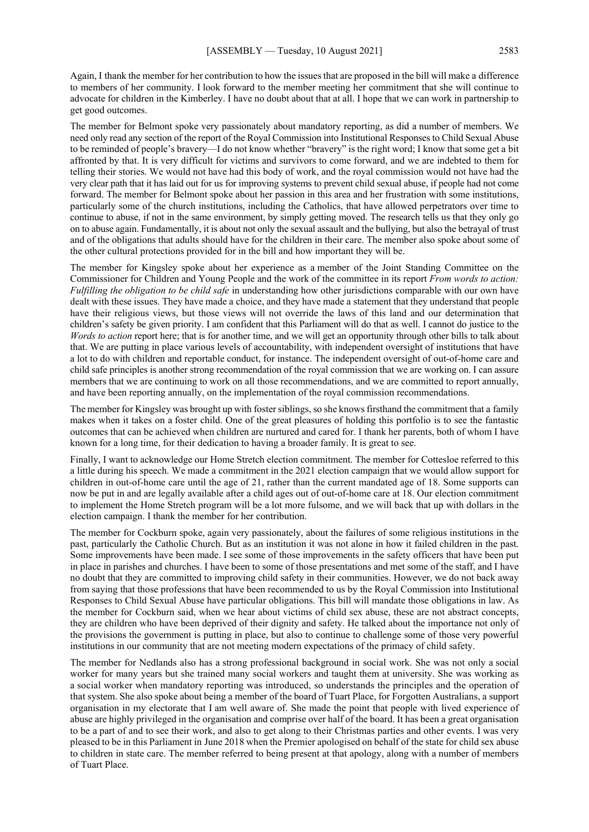Again, I thank the member for her contribution to how the issues that are proposed in the bill will make a difference to members of her community. I look forward to the member meeting her commitment that she will continue to advocate for children in the Kimberley. I have no doubt about that at all. I hope that we can work in partnership to get good outcomes.

The member for Belmont spoke very passionately about mandatory reporting, as did a number of members. We need only read any section of the report of the Royal Commission into Institutional Responses to Child Sexual Abuse to be reminded of people's bravery—I do not know whether "bravery" is the right word; I know that some get a bit affronted by that. It is very difficult for victims and survivors to come forward, and we are indebted to them for telling their stories. We would not have had this body of work, and the royal commission would not have had the very clear path that it has laid out for us for improving systems to prevent child sexual abuse, if people had not come forward. The member for Belmont spoke about her passion in this area and her frustration with some institutions, particularly some of the church institutions, including the Catholics, that have allowed perpetrators over time to continue to abuse, if not in the same environment, by simply getting moved. The research tells us that they only go on to abuse again. Fundamentally, it is about not only the sexual assault and the bullying, but also the betrayal of trust and of the obligations that adults should have for the children in their care. The member also spoke about some of the other cultural protections provided for in the bill and how important they will be.

The member for Kingsley spoke about her experience as a member of the Joint Standing Committee on the Commissioner for Children and Young People and the work of the committee in its report *From words to action: Fulfilling the obligation to be child safe* in understanding how other jurisdictions comparable with our own have dealt with these issues. They have made a choice, and they have made a statement that they understand that people have their religious views, but those views will not override the laws of this land and our determination that children's safety be given priority. I am confident that this Parliament will do that as well. I cannot do justice to the *Words to action* report here; that is for another time, and we will get an opportunity through other bills to talk about that. We are putting in place various levels of accountability, with independent oversight of institutions that have a lot to do with children and reportable conduct, for instance. The independent oversight of out-of-home care and child safe principles is another strong recommendation of the royal commission that we are working on. I can assure members that we are continuing to work on all those recommendations, and we are committed to report annually, and have been reporting annually, on the implementation of the royal commission recommendations.

The member for Kingsley was brought up with foster siblings, so she knows firsthand the commitment that a family makes when it takes on a foster child. One of the great pleasures of holding this portfolio is to see the fantastic outcomes that can be achieved when children are nurtured and cared for. I thank her parents, both of whom I have known for a long time, for their dedication to having a broader family. It is great to see.

Finally, I want to acknowledge our Home Stretch election commitment. The member for Cottesloe referred to this a little during his speech. We made a commitment in the 2021 election campaign that we would allow support for children in out-of-home care until the age of 21, rather than the current mandated age of 18. Some supports can now be put in and are legally available after a child ages out of out-of-home care at 18. Our election commitment to implement the Home Stretch program will be a lot more fulsome, and we will back that up with dollars in the election campaign. I thank the member for her contribution.

The member for Cockburn spoke, again very passionately, about the failures of some religious institutions in the past, particularly the Catholic Church. But as an institution it was not alone in how it failed children in the past. Some improvements have been made. I see some of those improvements in the safety officers that have been put in place in parishes and churches. I have been to some of those presentations and met some of the staff, and I have no doubt that they are committed to improving child safety in their communities. However, we do not back away from saying that those professions that have been recommended to us by the Royal Commission into Institutional Responses to Child Sexual Abuse have particular obligations. This bill will mandate those obligations in law. As the member for Cockburn said, when we hear about victims of child sex abuse, these are not abstract concepts, they are children who have been deprived of their dignity and safety. He talked about the importance not only of the provisions the government is putting in place, but also to continue to challenge some of those very powerful institutions in our community that are not meeting modern expectations of the primacy of child safety.

The member for Nedlands also has a strong professional background in social work. She was not only a social worker for many years but she trained many social workers and taught them at university. She was working as a social worker when mandatory reporting was introduced, so understands the principles and the operation of that system. She also spoke about being a member of the board of Tuart Place, for Forgotten Australians, a support organisation in my electorate that I am well aware of. She made the point that people with lived experience of abuse are highly privileged in the organisation and comprise over half of the board. It has been a great organisation to be a part of and to see their work, and also to get along to their Christmas parties and other events. I was very pleased to be in this Parliament in June 2018 when the Premier apologised on behalf of the state for child sex abuse to children in state care. The member referred to being present at that apology, along with a number of members of Tuart Place.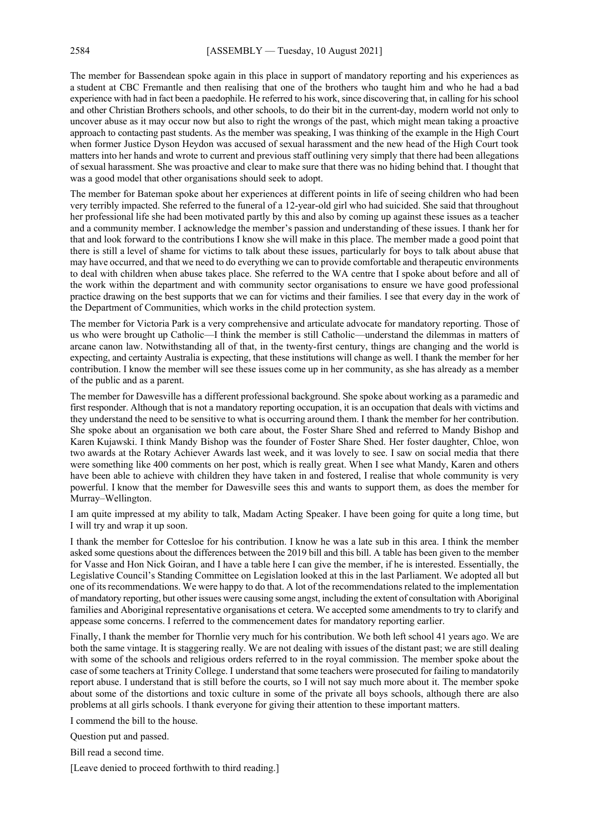The member for Bassendean spoke again in this place in support of mandatory reporting and his experiences as a student at CBC Fremantle and then realising that one of the brothers who taught him and who he had a bad experience with had in fact been a paedophile. He referred to his work, since discovering that, in calling for his school and other Christian Brothers schools, and other schools, to do their bit in the current-day, modern world not only to uncover abuse as it may occur now but also to right the wrongs of the past, which might mean taking a proactive approach to contacting past students. As the member was speaking, I was thinking of the example in the High Court when former Justice Dyson Heydon was accused of sexual harassment and the new head of the High Court took matters into her hands and wrote to current and previous staff outlining very simply that there had been allegations of sexual harassment. She was proactive and clear to make sure that there was no hiding behind that. I thought that was a good model that other organisations should seek to adopt.

The member for Bateman spoke about her experiences at different points in life of seeing children who had been very terribly impacted. She referred to the funeral of a 12-year-old girl who had suicided. She said that throughout her professional life she had been motivated partly by this and also by coming up against these issues as a teacher and a community member. I acknowledge the member's passion and understanding of these issues. I thank her for that and look forward to the contributions I know she will make in this place. The member made a good point that there is still a level of shame for victims to talk about these issues, particularly for boys to talk about abuse that may have occurred, and that we need to do everything we can to provide comfortable and therapeutic environments to deal with children when abuse takes place. She referred to the WA centre that I spoke about before and all of the work within the department and with community sector organisations to ensure we have good professional practice drawing on the best supports that we can for victims and their families. I see that every day in the work of the Department of Communities, which works in the child protection system.

The member for Victoria Park is a very comprehensive and articulate advocate for mandatory reporting. Those of us who were brought up Catholic—I think the member is still Catholic—understand the dilemmas in matters of arcane canon law. Notwithstanding all of that, in the twenty-first century, things are changing and the world is expecting, and certainty Australia is expecting, that these institutions will change as well. I thank the member for her contribution. I know the member will see these issues come up in her community, as she has already as a member of the public and as a parent.

The member for Dawesville has a different professional background. She spoke about working as a paramedic and first responder. Although that is not a mandatory reporting occupation, it is an occupation that deals with victims and they understand the need to be sensitive to what is occurring around them. I thank the member for her contribution. She spoke about an organisation we both care about, the Foster Share Shed and referred to Mandy Bishop and Karen Kujawski. I think Mandy Bishop was the founder of Foster Share Shed. Her foster daughter, Chloe, won two awards at the Rotary Achiever Awards last week, and it was lovely to see. I saw on social media that there were something like 400 comments on her post, which is really great. When I see what Mandy, Karen and others have been able to achieve with children they have taken in and fostered, I realise that whole community is very powerful. I know that the member for Dawesville sees this and wants to support them, as does the member for Murray–Wellington.

I am quite impressed at my ability to talk, Madam Acting Speaker. I have been going for quite a long time, but I will try and wrap it up soon.

I thank the member for Cottesloe for his contribution. I know he was a late sub in this area. I think the member asked some questions about the differences between the 2019 bill and this bill. A table has been given to the member for Vasse and Hon Nick Goiran, and I have a table here I can give the member, if he is interested. Essentially, the Legislative Council's Standing Committee on Legislation looked at this in the last Parliament. We adopted all but one of its recommendations. We were happy to do that. A lot of the recommendations related to the implementation of mandatory reporting, but other issues were causing some angst, including the extent of consultation with Aboriginal families and Aboriginal representative organisations et cetera. We accepted some amendments to try to clarify and appease some concerns. I referred to the commencement dates for mandatory reporting earlier.

Finally, I thank the member for Thornlie very much for his contribution. We both left school 41 years ago. We are both the same vintage. It is staggering really. We are not dealing with issues of the distant past; we are still dealing with some of the schools and religious orders referred to in the royal commission. The member spoke about the case of some teachers at Trinity College. I understand that some teachers were prosecuted for failing to mandatorily report abuse. I understand that is still before the courts, so I will not say much more about it. The member spoke about some of the distortions and toxic culture in some of the private all boys schools, although there are also problems at all girls schools. I thank everyone for giving their attention to these important matters.

I commend the bill to the house.

Question put and passed.

Bill read a second time.

[Leave denied to proceed forthwith to third reading.]